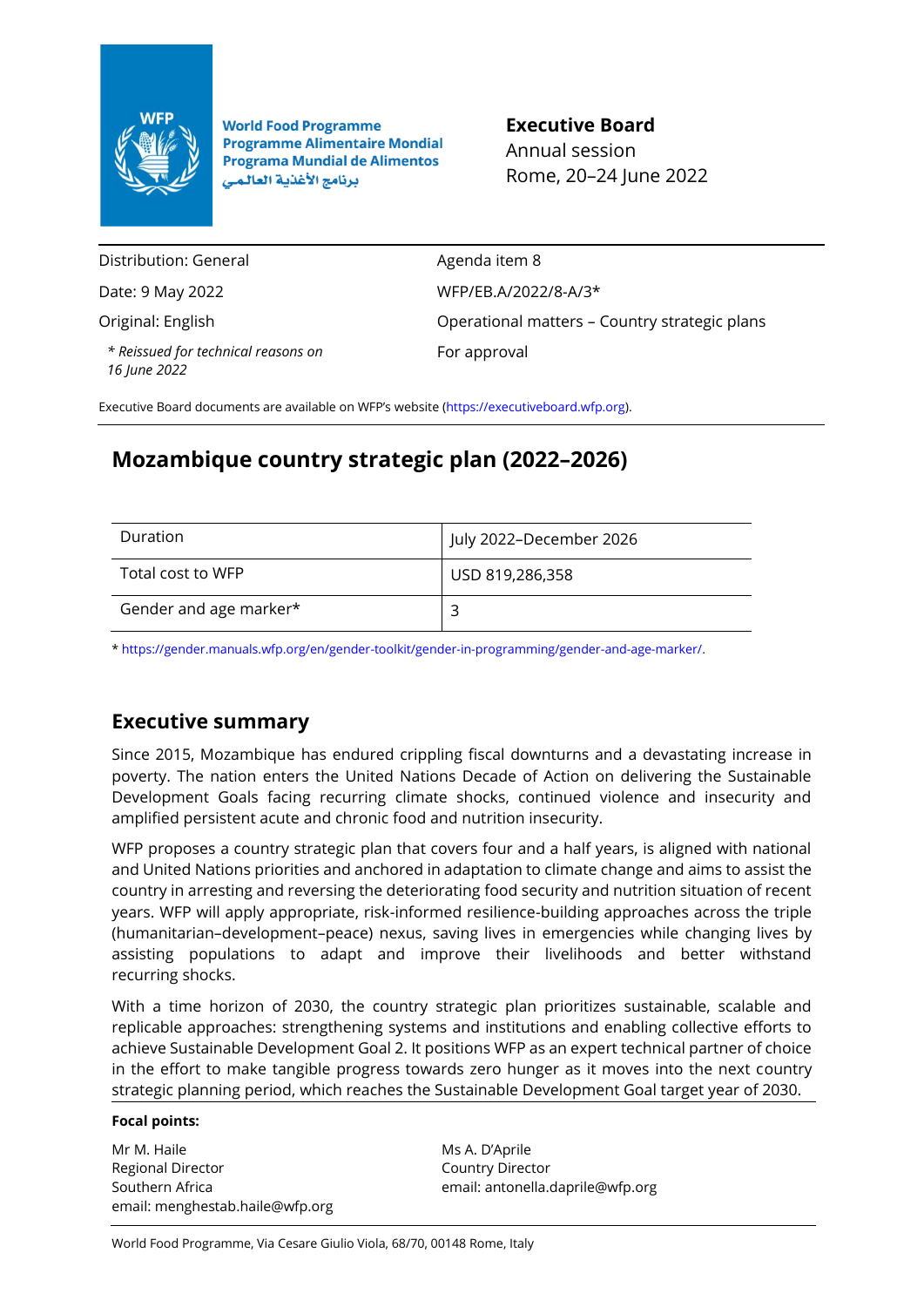

**World Food Programme Programme Alimentaire Mondial Programa Mundial de Alimentos** برنامج الأغذية العالمي

# **Executive Board** Annual session Rome, 20–24 June 2022

Distribution: General Date: 9 May 2022 Original: English

*\* Reissued for technical reasons on 16 June 2022*

Agenda item 8 WFP/EB.A/2022/8-A/3\* Operational matters – Country strategic plans For approval

Executive Board documents are available on WFP's website [\(https://executiveboard.wfp.org\)](https://executiveboard.wfp.org/).

# **Mozambique country strategic plan (2022–2026)**

| Duration               | July 2022-December 2026 |
|------------------------|-------------------------|
| Total cost to WFP      | USD 819,286,358         |
| Gender and age marker* |                         |

[\\* https://gender.manuals.wfp.org/en/gender-toolkit/gender-in-programming/gender-and-age-marker/.](https://gender.manuals.wfp.org/en/gender-toolkit/gender-in-programming/gender-and-age-marker/)

# **Executive summary**

Since 2015, Mozambique has endured crippling fiscal downturns and a devastating increase in poverty. The nation enters the United Nations Decade of Action on delivering the Sustainable Development Goals facing recurring climate shocks, continued violence and insecurity and amplified persistent acute and chronic food and nutrition insecurity.

WFP proposes a country strategic plan that covers four and a half years, is aligned with national and United Nations priorities and anchored in adaptation to climate change and aims to assist the country in arresting and reversing the deteriorating food security and nutrition situation of recent years. WFP will apply appropriate, risk-informed resilience-building approaches across the triple (humanitarian–development–peace) nexus, saving lives in emergencies while changing lives by assisting populations to adapt and improve their livelihoods and better withstand recurring shocks.

With a time horizon of 2030, the country strategic plan prioritizes sustainable, scalable and replicable approaches: strengthening systems and institutions and enabling collective efforts to achieve Sustainable Development Goal 2. It positions WFP as an expert technical partner of choice in the effort to make tangible progress towards zero hunger as it moves into the next country strategic planning period, which reaches the Sustainable Development Goal target year of 2030.

#### **Focal points:**

Mr M. Haile Regional Director Southern Africa email: menghestab.haile@wfp.org Ms A. D'Aprile Country Director email: antonella.daprile@wfp.org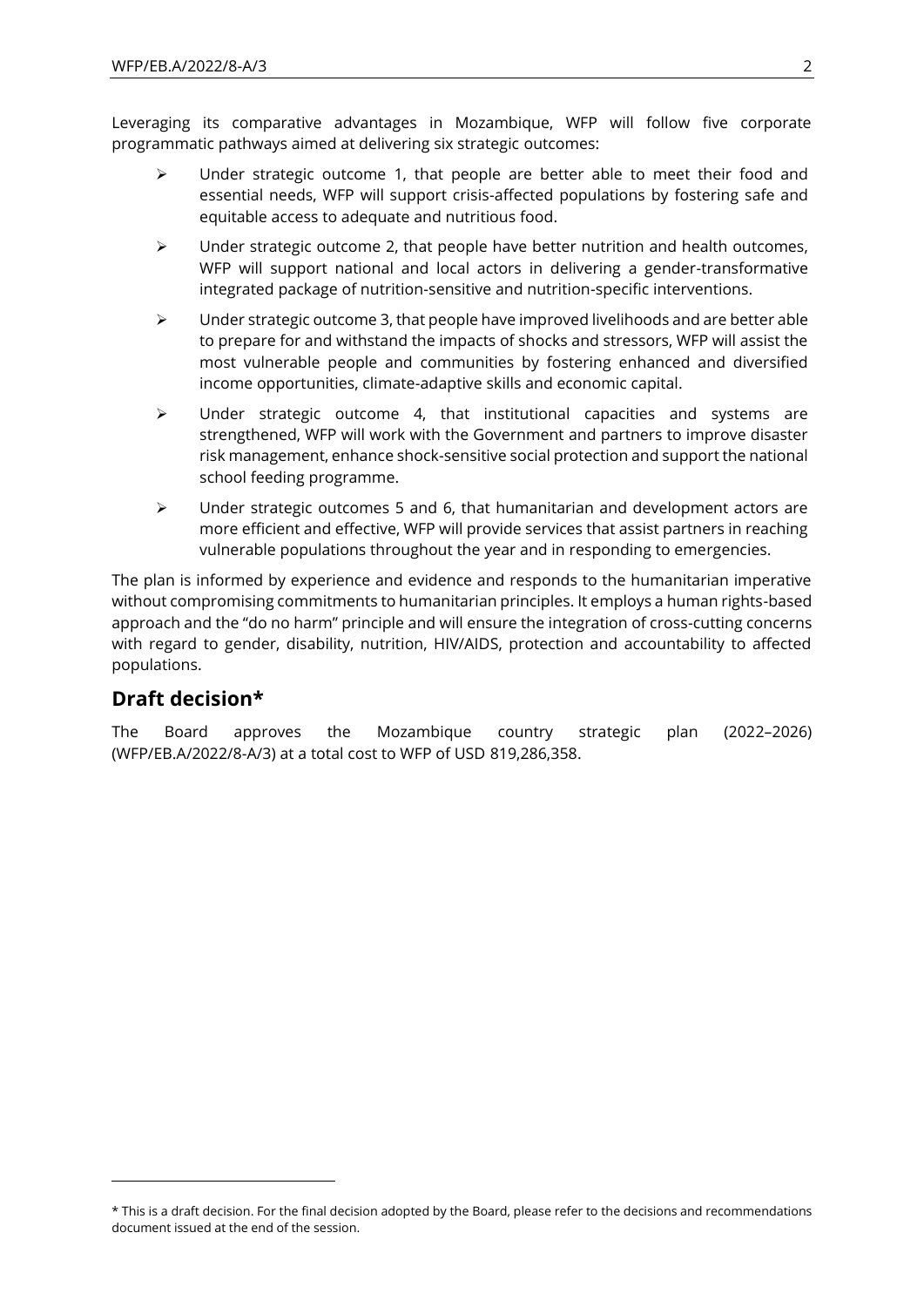Leveraging its comparative advantages in Mozambique, WFP will follow five corporate programmatic pathways aimed at delivering six strategic outcomes:

- ➢ Under strategic outcome 1, that people are better able to meet their food and essential needs, WFP will support crisis-affected populations by fostering safe and equitable access to adequate and nutritious food.
- $\triangleright$  Under strategic outcome 2, that people have better nutrition and health outcomes, WFP will support national and local actors in delivering a gender-transformative integrated package of nutrition-sensitive and nutrition-specific interventions.
- $\triangleright$  Under strategic outcome 3, that people have improved livelihoods and are better able to prepare for and withstand the impacts of shocks and stressors, WFP will assist the most vulnerable people and communities by fostering enhanced and diversified income opportunities, climate-adaptive skills and economic capital.
- $\triangleright$  Under strategic outcome 4, that institutional capacities and systems are strengthened, WFP will work with the Government and partners to improve disaster risk management, enhance shock-sensitive social protection and support the national school feeding programme.
- $\triangleright$  Under strategic outcomes 5 and 6, that humanitarian and development actors are more efficient and effective, WFP will provide services that assist partners in reaching vulnerable populations throughout the year and in responding to emergencies.

The plan is informed by experience and evidence and responds to the humanitarian imperative without compromising commitments to humanitarian principles. It employs a human rights-based approach and the "do no harm" principle and will ensure the integration of cross-cutting concerns with regard to gender, disability, nutrition, HIV/AIDS, protection and accountability to affected populations.

# **Draft decision\***

The Board approves the Mozambique country strategic plan (2022–2026) (WFP/EB.A/2022/8-A/3) at a total cost to WFP of USD 819,286,358.

<sup>\*</sup> This is a draft decision. For the final decision adopted by the Board, please refer to the decisions and recommendations document issued at the end of the session.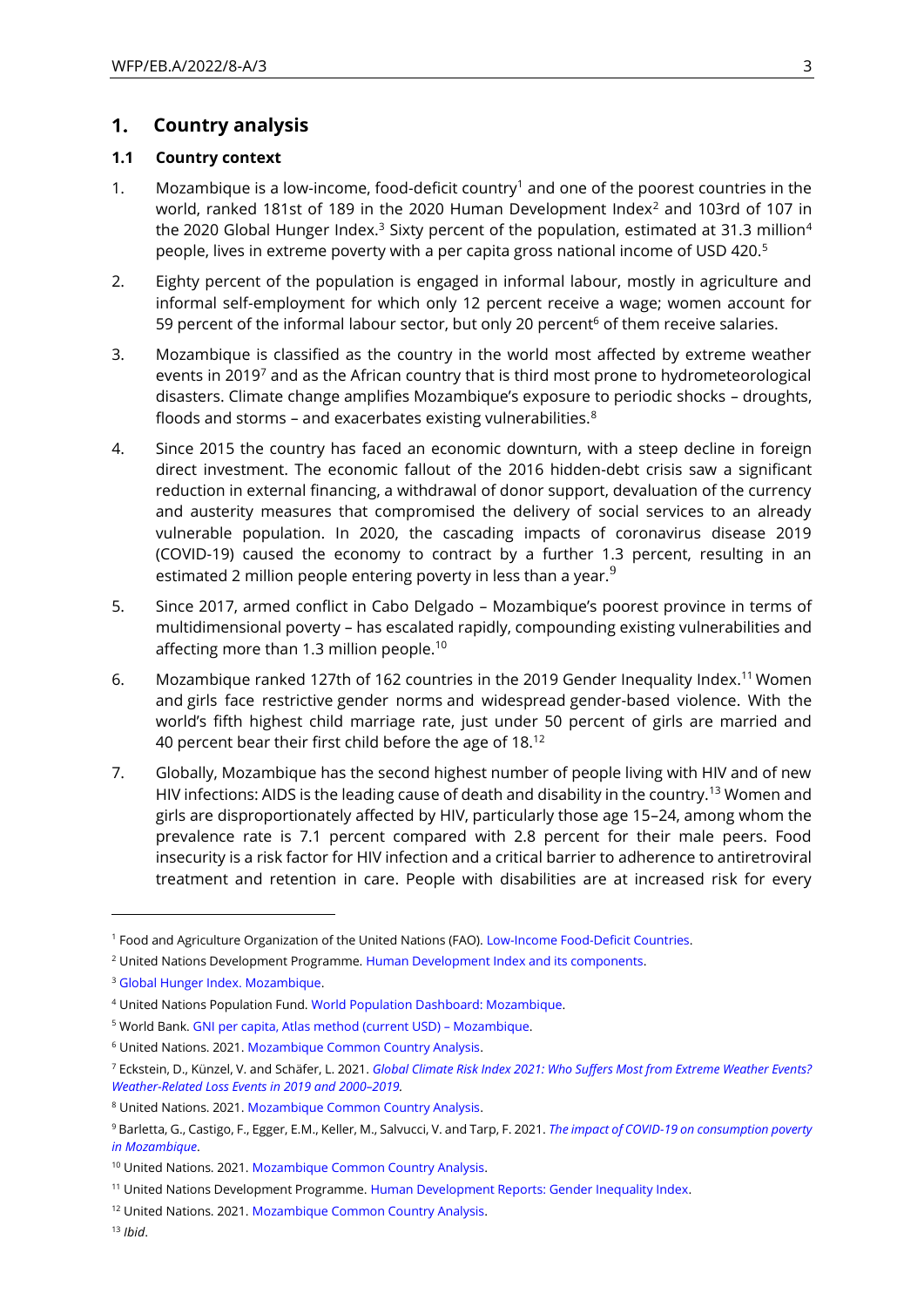#### $\mathbf{1}$ . **Country analysis**

#### **1.1 Country context**

- 1. Mozambique is a low-income, food-deficit country<sup>1</sup> and one of the poorest countries in the world, ranked 181st of 189 in the 2020 Human Development Index<sup>2</sup> and 103rd of 107 in the 2020 Global Hunger Index.<sup>3</sup> Sixty percent of the population, estimated at 31.3 million<sup>4</sup> people, lives in extreme poverty with a per capita gross national income of USD 420.<sup>5</sup>
- 2. Eighty percent of the population is engaged in informal labour, mostly in agriculture and informal self-employment for which only 12 percent receive a wage; women account for 59 percent of the informal labour sector, but only 20 percent $6$  of them receive salaries.
- 3. Mozambique is classified as the country in the world most affected by extreme weather events in 2019<sup>7</sup> and as the African country that is third most prone to hydrometeorological disasters. Climate change amplifies Mozambique's exposure to periodic shocks – droughts, floods and storms – and exacerbates existing vulnerabilities.<sup>8</sup>
- 4. Since 2015 the country has faced an economic downturn, with a steep decline in foreign direct investment. The economic fallout of the 2016 hidden-debt crisis saw a significant reduction in external financing, a withdrawal of donor support, devaluation of the currency and austerity measures that compromised the delivery of social services to an already vulnerable population. In 2020, the cascading impacts of coronavirus disease 2019 (COVID-19) caused the economy to contract by a further 1.3 percent, resulting in an estimated 2 million people entering poverty in less than a year.<sup>9</sup>
- 5. Since 2017, armed conflict in Cabo Delgado Mozambique's poorest province in terms of multidimensional poverty – has escalated rapidly, compounding existing vulnerabilities and affecting more than 1.3 million people.<sup>10</sup>
- 6. Mozambique ranked 127th of 162 countries in the 2019 Gender Inequality Index.<sup>11</sup> Women and girls face restrictive gender norms and widespread gender-based violence. With the world's fifth highest child marriage rate, just under 50 percent of girls are married and 40 percent bear their first child before the age of 18.<sup>12</sup>
- 7. Globally, Mozambique has the second highest number of people living with HIV and of new HIV infections: AIDS is the leading cause of death and disability in the country.<sup>13</sup> Women and girls are disproportionately affected by HIV, particularly those age 15–24, among whom the prevalence rate is 7.1 percent compared with 2.8 percent for their male peers. Food insecurity is a risk factor for HIV infection and a critical barrier to adherence to antiretroviral treatment and retention in care. People with disabilities are at increased risk for every

<sup>13</sup> *Ibid*.

<sup>1</sup> Food and Agriculture Organization of the United Nations (FAO)[. Low-Income Food-Deficit Countries.](http://www.fao.org/countryprofiles/lifdc/en)

<sup>&</sup>lt;sup>2</sup> United Nations Development Programme. Human Development Index and its components.

<sup>&</sup>lt;sup>3</sup> [Global Hunger Index. Mozambique.](https://www.globalhungerindex.org/mozambique.html)

<sup>4</sup> United Nations Population Fund[. World Population Dashboard: Mozambique.](http://www.unfpa.org/data/world-population/MZ)

<sup>5</sup> World Bank[. GNI per capita, Atlas method \(current USD\)](https://data.worldbank.org/indicator/NY.GNP.PCAP.CD?locations=MZ) – Mozambique.

<sup>6</sup> United Nations. 2021[. Mozambique Common Country Analysis.](https://minio.dev.devqube.io/uninfo-production-main/28bd535f-5690-43ca-a62e-2e935858b139_Final_CCA_Mozambique_-_August_2021.pdf)

<sup>7</sup> Eckstein, D., Künzel, V. and Schäfer, L. 2021. *[Global Climate Risk Index 2021: Who Suffers Most from Extreme Weather Events?](https://www.germanwatch.org/sites/default/files/Global%20Climate%20Risk%20Index%202021_2.pdf)  [Weather-Related Loss Events in 2019 and 2000](https://www.germanwatch.org/sites/default/files/Global%20Climate%20Risk%20Index%202021_2.pdf)–2019.*

<sup>8</sup> United Nations. 2021[. Mozambique Common Country Analysis.](https://minio.dev.devqube.io/uninfo-production-main/28bd535f-5690-43ca-a62e-2e935858b139_Final_CCA_Mozambique_-_August_2021.pdf)

<sup>9</sup> Barletta, G., Castigo, F., Egger, E.M., Keller, M., Salvucci, V. and Tarp, F. 2021. *[The impact of COVID-19 on consumption poverty](https://www.wider.unu.edu/sites/default/files/Publications/Working-paper/PDF/wp2021-94-impact-COVID-19-consumption-poverty-Mozambique.pdf)  [in Mozambique](https://www.wider.unu.edu/sites/default/files/Publications/Working-paper/PDF/wp2021-94-impact-COVID-19-consumption-poverty-Mozambique.pdf)*.

<sup>10</sup> United Nations. 2021[. Mozambique Common Country Analysis.](https://minio.dev.devqube.io/uninfo-production-main/28bd535f-5690-43ca-a62e-2e935858b139_Final_CCA_Mozambique_-_August_2021.pdf)

<sup>&</sup>lt;sup>11</sup> United Nations Development Programme[. Human Development Reports: Gender Inequality Index.](http://hdr.undp.org/en/composite/GII)

<sup>&</sup>lt;sup>12</sup> United Nations. 2021[. Mozambique Common Country Analysis.](https://minio.dev.devqube.io/uninfo-production-main/28bd535f-5690-43ca-a62e-2e935858b139_Final_CCA_Mozambique_-_August_2021.pdf)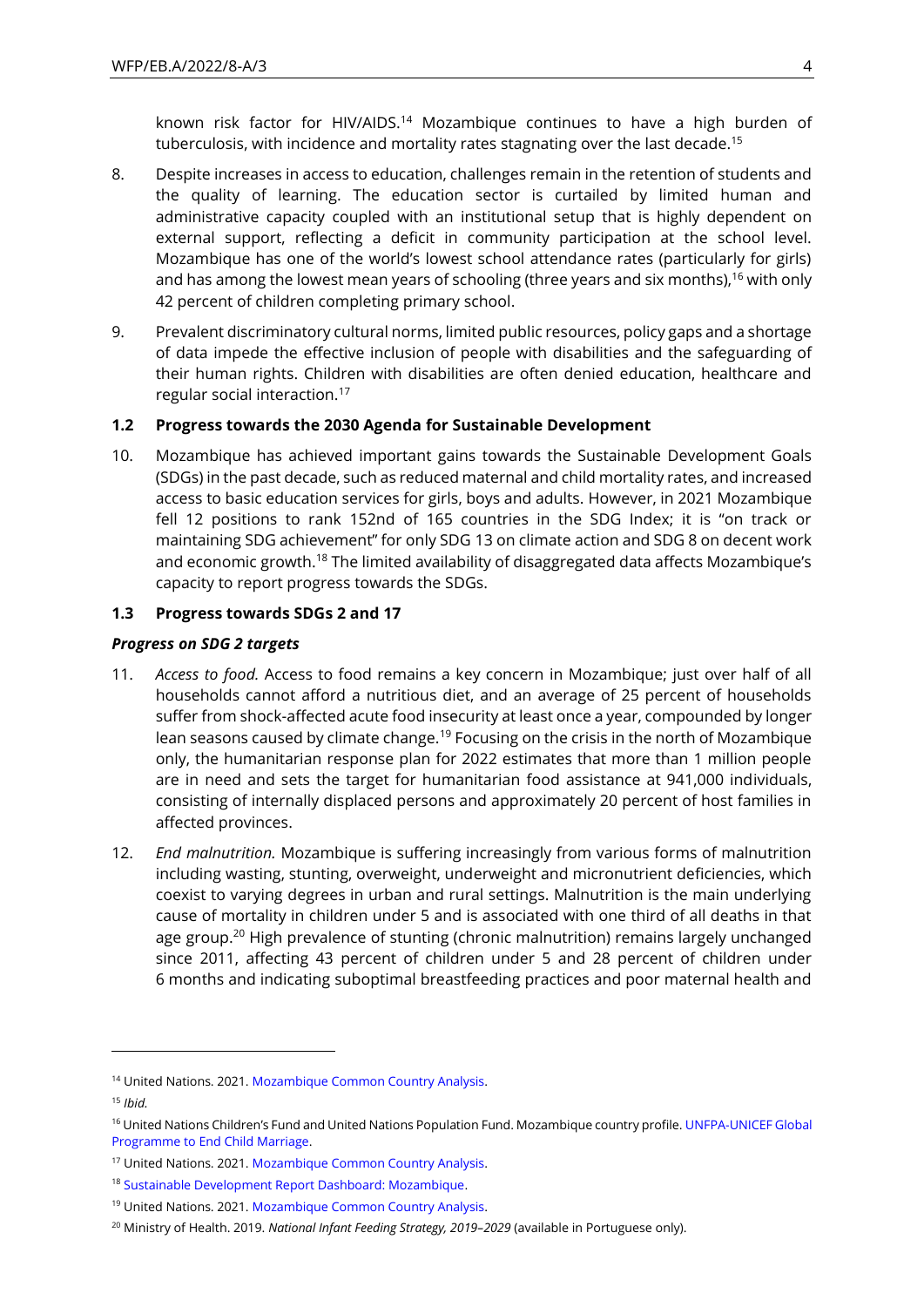known risk factor for HIV/AIDS.<sup>14</sup> Mozambique continues to have a high burden of tuberculosis, with incidence and mortality rates stagnating over the last decade.<sup>15</sup>

- 8. Despite increases in access to education, challenges remain in the retention of students and the quality of learning. The education sector is curtailed by limited human and administrative capacity coupled with an institutional setup that is highly dependent on external support, reflecting a deficit in community participation at the school level. Mozambique has one of the world's lowest school attendance rates (particularly for girls) and has among the lowest mean years of schooling (three years and six months),<sup>16</sup> with only 42 percent of children completing primary school.
- 9. Prevalent discriminatory cultural norms, limited public resources, policy gaps and a shortage of data impede the effective inclusion of people with disabilities and the safeguarding of their human rights. Children with disabilities are often denied education, healthcare and regular social interaction.<sup>17</sup>

### **1.2 Progress towards the 2030 Agenda for Sustainable Development**

10. Mozambique has achieved important gains towards the Sustainable Development Goals (SDGs) in the past decade, such as reduced maternal and child mortality rates, and increased access to basic education services for girls, boys and adults. However, in 2021 Mozambique fell 12 positions to rank 152nd of 165 countries in the SDG Index; it is "on track or maintaining SDG achievement" for only SDG 13 on climate action and SDG 8 on decent work and economic growth.<sup>18</sup> The limited availability of disaggregated data affects Mozambique's capacity to report progress towards the SDGs.

### **1.3 Progress towards SDGs 2 and 17**

#### *Progress on SDG 2 targets*

- 11. *Access to food.* Access to food remains a key concern in Mozambique; just over half of all households cannot afford a nutritious diet, and an average of 25 percent of households suffer from shock-affected acute food insecurity at least once a year, compounded by longer lean seasons caused by climate change.<sup>19</sup> Focusing on the crisis in the north of Mozambique only, the humanitarian response plan for 2022 estimates that more than 1 million people are in need and sets the target for humanitarian food assistance at 941,000 individuals, consisting of internally displaced persons and approximately 20 percent of host families in affected provinces.
- 12. *End malnutrition.* Mozambique is suffering increasingly from various forms of malnutrition including wasting, stunting, overweight, underweight and micronutrient deficiencies, which coexist to varying degrees in urban and rural settings. Malnutrition is the main underlying cause of mortality in children under 5 and is associated with one third of all deaths in that age group.<sup>20</sup> High prevalence of stunting (chronic malnutrition) remains largely unchanged since 2011, affecting 43 percent of children under 5 and 28 percent of children under 6 months and indicating suboptimal breastfeeding practices and poor maternal health and

<sup>14</sup> United Nations. 2021[. Mozambique Common Country Analysis.](https://minio.dev.devqube.io/uninfo-production-main/28bd535f-5690-43ca-a62e-2e935858b139_Final_CCA_Mozambique_-_August_2021.pdf)

<sup>15</sup> *Ibid.*

<sup>&</sup>lt;sup>16</sup> United Nations Children's Fund and United Nations Population Fund. Mozambique country profile. UNFPA-UNICEF Global [Programme to End Child Marriage.](https://www.unicef.org/media/88826/file/Child-marriage-Mozambique-profile-2019.pdf)

<sup>17</sup> United Nations. 2021[. Mozambique Common Country Analysis.](https://minio.dev.devqube.io/uninfo-production-main/28bd535f-5690-43ca-a62e-2e935858b139_Final_CCA_Mozambique_-_August_2021.pdf)

<sup>18</sup> [Sustainable Development Report Dashboard: Mozambique.](https://dashboards.sdgindex.org/profiles/mozambique)

<sup>19</sup> United Nations. 2021[. Mozambique Common Country Analysis.](https://minio.dev.devqube.io/uninfo-production-main/28bd535f-5690-43ca-a62e-2e935858b139_Final_CCA_Mozambique_-_August_2021.pdf)

<sup>20</sup> Ministry of Health. 2019. *National Infant Feeding Strategy, 2019–2029* (available in Portuguese only).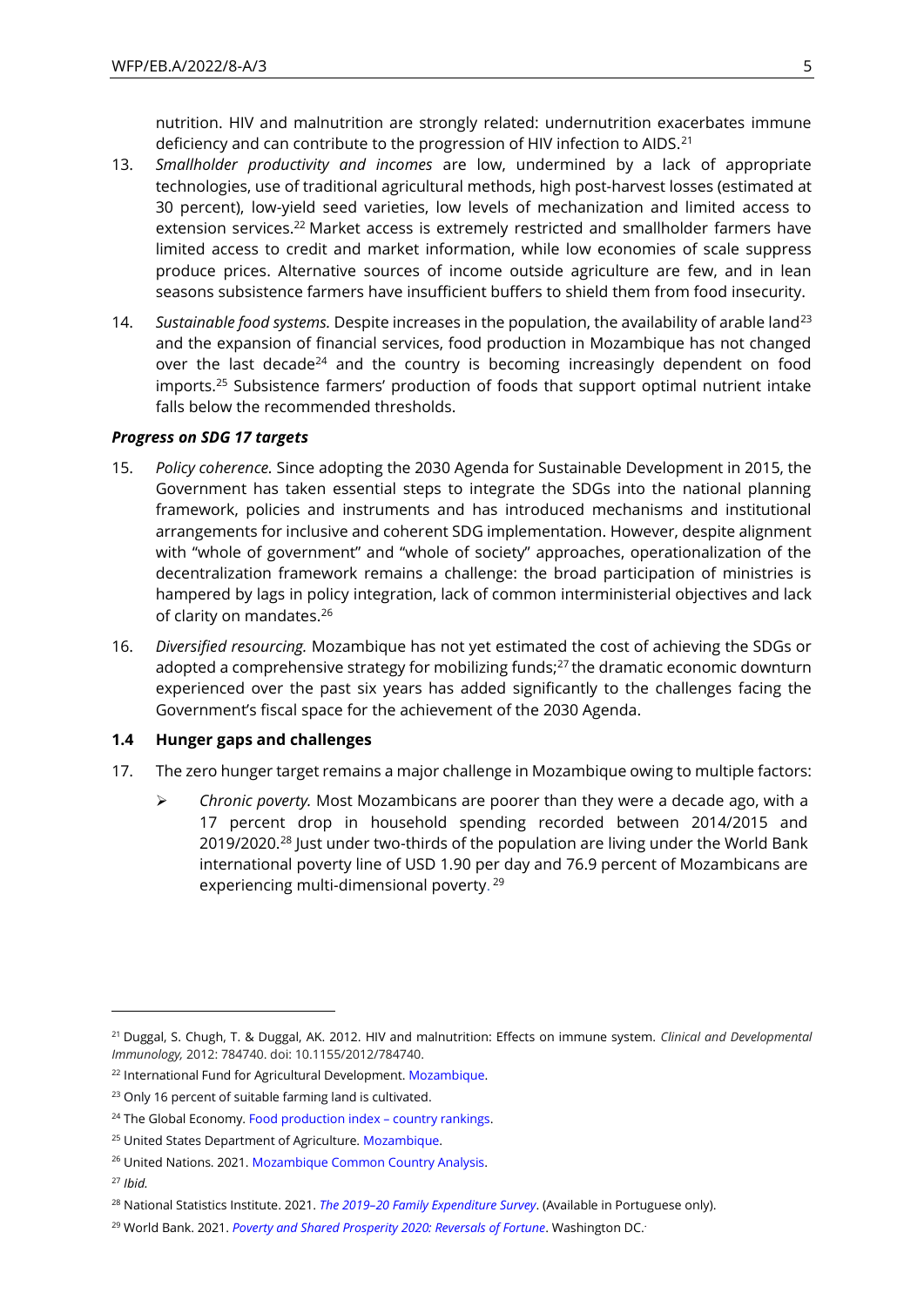nutrition. HIV and malnutrition are strongly related: undernutrition exacerbates immune deficiency and can contribute to the progression of HIV infection to AIDS.<sup>21</sup>

- 13. *Smallholder productivity and incomes* are low, undermined by a lack of appropriate technologies, use of traditional agricultural methods, high post-harvest losses (estimated at 30 percent), low-yield seed varieties, low levels of mechanization and limited access to extension services.<sup>22</sup> Market access is extremely restricted and smallholder farmers have limited access to credit and market information, while low economies of scale suppress produce prices. Alternative sources of income outside agriculture are few, and in lean seasons subsistence farmers have insufficient buffers to shield them from food insecurity.
- 14. *Sustainable food systems.* Despite increases in the population, the availability of arable land<sup>23</sup> and the expansion of financial services, food production in Mozambique has not changed over the last decade<sup>24</sup> and the country is becoming increasingly dependent on food imports.<sup>25</sup> Subsistence farmers' production of foods that support optimal nutrient intake falls below the recommended thresholds.

#### *Progress on SDG 17 targets*

- 15. *Policy coherence.* Since adopting the 2030 Agenda for Sustainable Development in 2015, the Government has taken essential steps to integrate the SDGs into the national planning framework, policies and instruments and has introduced mechanisms and institutional arrangements for inclusive and coherent SDG implementation. However, despite alignment with "whole of government" and "whole of society" approaches, operationalization of the decentralization framework remains a challenge: the broad participation of ministries is hampered by lags in policy integration, lack of common interministerial objectives and lack of clarity on mandates.<sup>26</sup>
- 16. *Diversified resourcing.* Mozambique has not yet estimated the cost of achieving the SDGs or adopted a comprehensive strategy for mobilizing funds; $^{27}$  the dramatic economic downturn experienced over the past six years has added significantly to the challenges facing the Government's fiscal space for the achievement of the 2030 Agenda.

#### **1.4 Hunger gaps and challenges**

- 17. The zero hunger target remains a major challenge in Mozambique owing to multiple factors:
	- ➢ *Chronic poverty.* Most Mozambicans are poorer than they were a decade ago, with a 17 percent drop in household spending recorded between 2014/2015 and 2019/2020.<sup>28</sup> Just under two-thirds of the population are living under the World Bank international poverty line of USD 1.90 per day and 76.9 percent of Mozambicans are experiencing multi-dimensional poverty.<sup>29</sup>

<sup>21</sup> Duggal, S. Chugh, T. & Duggal, AK. 2012. HIV and malnutrition: Effects on immune system. *Clinical and Developmental Immunology,* 2012: 784740. doi: 10.1155/2012/784740.

<sup>&</sup>lt;sup>22</sup> International Fund for Agricultural Development[. Mozambique.](https://www.ifad.org/en/web/operations/w/country/mozambique)

<sup>&</sup>lt;sup>23</sup> Only 16 percent of suitable farming land is cultivated.

 $24$  The Global Economy[. Food production index](https://www.theglobaleconomy.com/rankings/food_production_index/) – country rankings.

<sup>&</sup>lt;sup>25</sup> United States Department of Agriculture. [Mozambique.](https://www.fas.usda.gov/regions/mozambique)

<sup>&</sup>lt;sup>26</sup> United Nations. 2021[. Mozambique Common Country Analysis.](https://minio.dev.devqube.io/uninfo-production-main/28bd535f-5690-43ca-a62e-2e935858b139_Final_CCA_Mozambique_-_August_2021.pdf)

<sup>27</sup> *Ibid.*

<sup>28</sup> National Statistics Institute. 2021. *The 2019–[20 Family Expenditure Survey](http://www.ine.gov.mz/operacoes-estatisticas/inqueritos/inquerito-sobre-orcamento-familiar/iof-2019-20/inquerito-sobre-orcamento-familiar-iof-2019-20/view)*. (Available in Portuguese only).

<sup>29</sup> World Bank. 2021. *[Poverty and Shared Prosperity](https://eur03.safelinks.protection.outlook.com/?url=https%3A%2F%2Fopenknowledge.worldbank.org%2Fbitstream%2Fhandle%2F10986%2F34496%2F9781464816024.pdf&data=05%7C01%7Cmaria.quintili%40wfp.org%7Cdefac5baad6e4f447a0108da4ee6b5a5%7C462ad9aed7d94206b87471b1e079776f%7C0%7C0%7C637909050035964546%7CUnknown%7CTWFpbGZsb3d8eyJWIjoiMC4wLjAwMDAiLCJQIjoiV2luMzIiLCJBTiI6Ik1haWwiLCJXVCI6Mn0%3D%7C3000%7C%7C%7C&sdata=pea1tuX42eX8cXwZdogoJAvxMKK3%2BJLTOCvnk5bCOcY%3D&reserved=0) 2020: Reversals of Fortune*. Washington DC..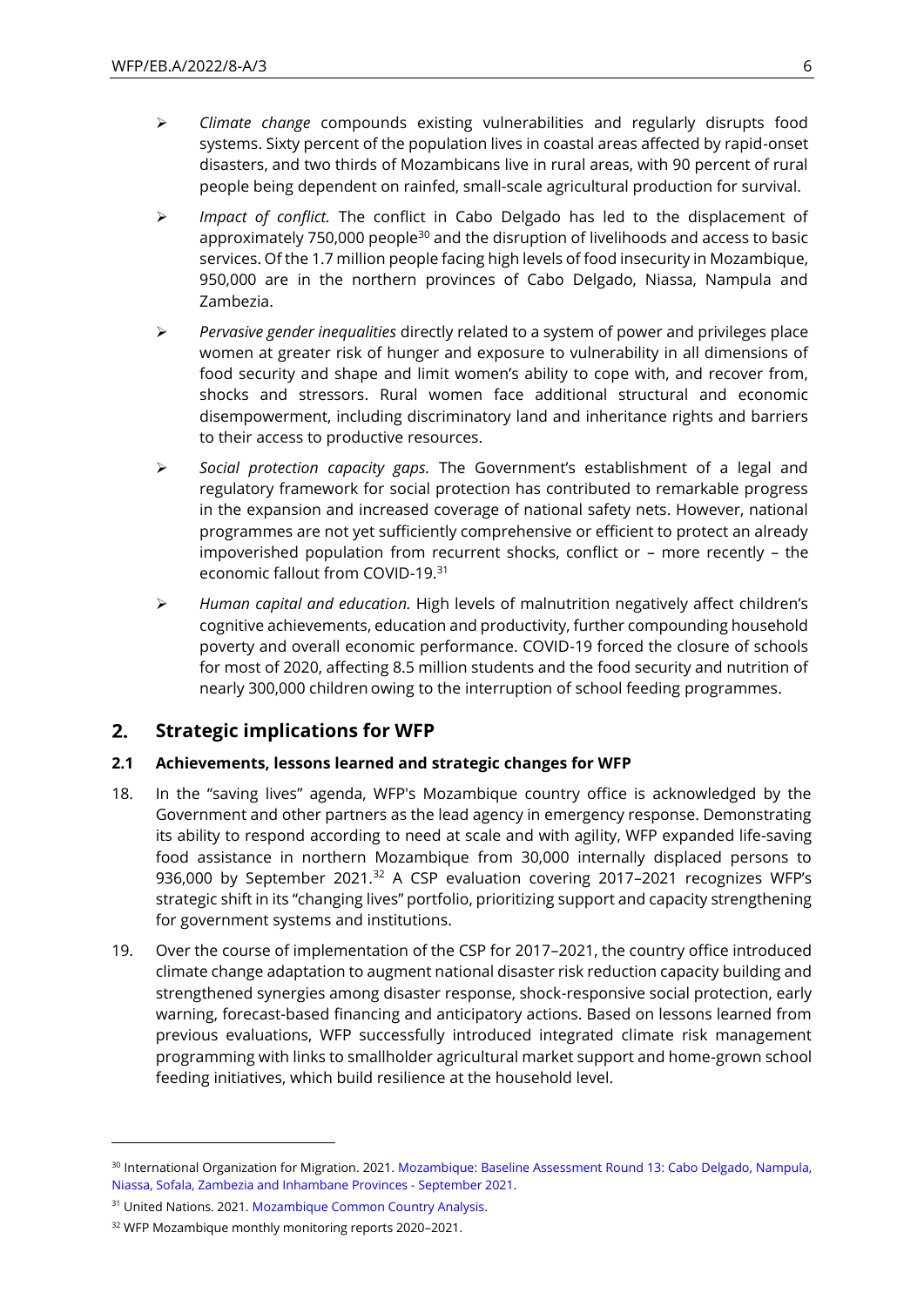- ➢ *Climate change* compounds existing vulnerabilities and regularly disrupts food systems. Sixty percent of the population lives in coastal areas affected by rapid-onset disasters, and two thirds of Mozambicans live in rural areas, with 90 percent of rural people being dependent on rainfed, small-scale agricultural production for survival.
- ➢ *Impact of conflict.* The conflict in Cabo Delgado has led to the displacement of approximately 750,000 people<sup>30</sup> and the disruption of livelihoods and access to basic services. Of the 1.7 million people facing high levels of food insecurity in Mozambique, 950,000 are in the northern provinces of Cabo Delgado, Niassa, Nampula and Zambezia.
- ➢ *Pervasive gender inequalities* directly related to a system of power and privileges place women at greater risk of hunger and exposure to vulnerability in all dimensions of food security and shape and limit women's ability to cope with, and recover from, shocks and stressors. Rural women face additional structural and economic disempowerment, including discriminatory land and inheritance rights and barriers to their access to productive resources.
- ➢ *Social protection capacity gaps.* The Government's establishment of a legal and regulatory framework for social protection has contributed to remarkable progress in the expansion and increased coverage of national safety nets. However, national programmes are not yet sufficiently comprehensive or efficient to protect an already impoverished population from recurrent shocks, conflict or – more recently – the economic fallout from COVID-19.<sup>31</sup>
- ➢ *Human capital and education.* High levels of malnutrition negatively affect children's cognitive achievements, education and productivity, further compounding household poverty and overall economic performance. COVID-19 forced the closure of schools for most of 2020, affecting 8.5 million students and the food security and nutrition of nearly 300,000 children owing to the interruption of school feeding programmes.

#### $2.$ **Strategic implications for WFP**

### **2.1 Achievements, lessons learned and strategic changes for WFP**

- 18. In the "saving lives" agenda, WFP's Mozambique country office is acknowledged by the Government and other partners as the lead agency in emergency response. Demonstrating its ability to respond according to need at scale and with agility, WFP expanded life-saving food assistance in northern Mozambique from 30,000 internally displaced persons to 936,000 by September 2021.<sup>32</sup> A CSP evaluation covering 2017-2021 recognizes WFP's strategic shift in its "changing lives" portfolio, prioritizing support and capacity strengthening for government systems and institutions.
- 19. Over the course of implementation of the CSP for 2017–2021, the country office introduced climate change adaptation to augment national disaster risk reduction capacity building and strengthened synergies among disaster response, shock-responsive social protection, early warning, forecast-based financing and anticipatory actions. Based on lessons learned from previous evaluations, WFP successfully introduced integrated climate risk management programming with links to smallholder agricultural market support and home-grown school feeding initiatives, which build resilience at the household level.

<sup>&</sup>lt;sup>30</sup> International Organization for Migration. 2021[. Mozambique: Baseline Assessment Round 13:](https://reliefweb.int/report/mozambique/iom-mozambique-dtm-baseline-assessment-report-round-13-cabo-delgado-nampula-niassa) Cabo Delgado, Nampula, Niassa, Sofala, Zambezia and Inhambane Provinces - September 2021.

<sup>&</sup>lt;sup>31</sup> United Nations. 2021[. Mozambique Common Country Analysis.](https://minio.dev.devqube.io/uninfo-production-main/28bd535f-5690-43ca-a62e-2e935858b139_Final_CCA_Mozambique_-_August_2021.pdf)

<sup>32</sup> WFP Mozambique monthly monitoring reports 2020–2021.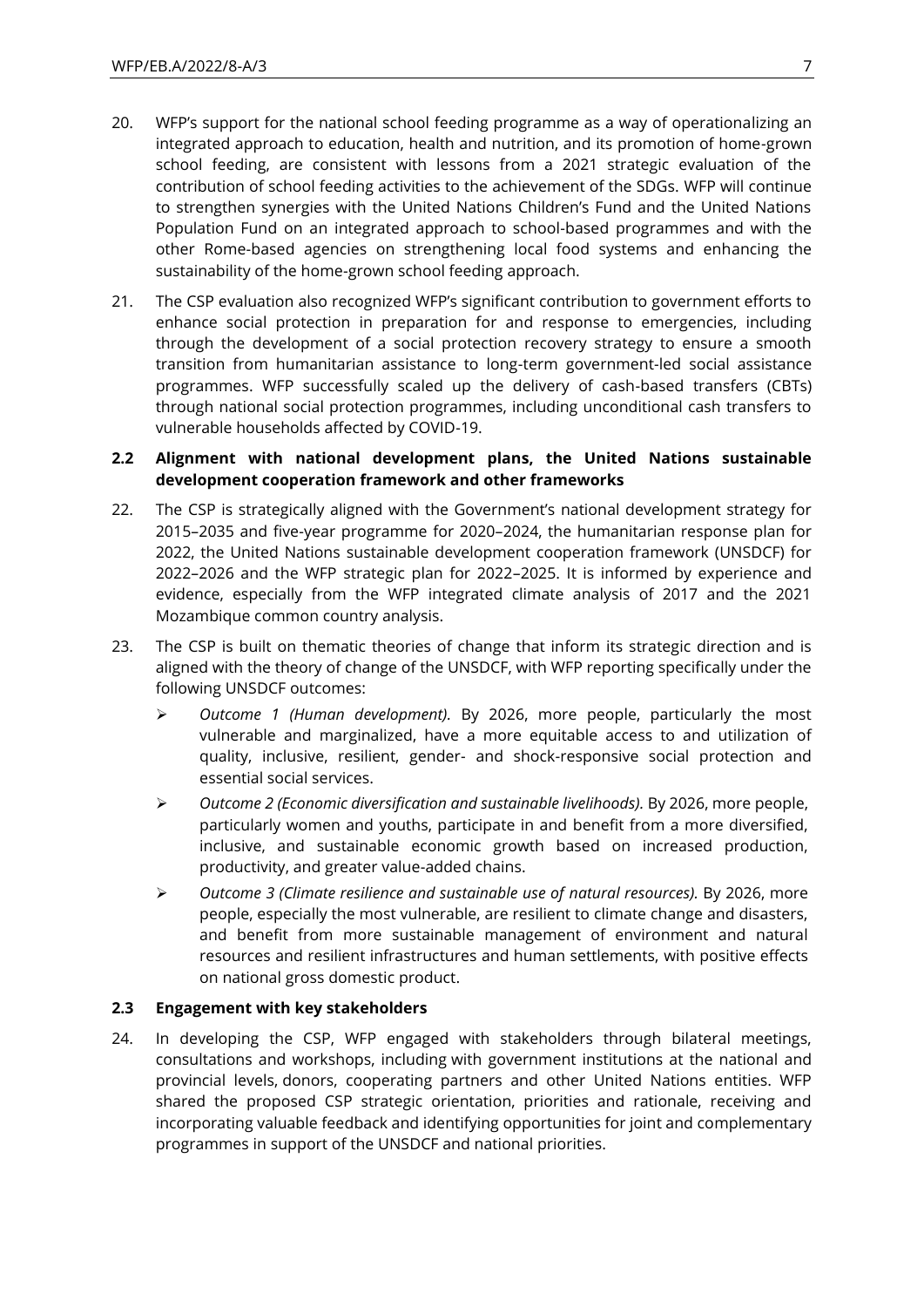- 20. WFP's support for the national school feeding programme as a way of operationalizing an integrated approach to education, health and nutrition, and its promotion of home-grown school feeding, are consistent with lessons from a 2021 strategic evaluation of the contribution of school feeding activities to the achievement of the SDGs. WFP will continue to strengthen synergies with the United Nations Children's Fund and the United Nations Population Fund on an integrated approach to school-based programmes and with the other Rome-based agencies on strengthening local food systems and enhancing the sustainability of the home-grown school feeding approach.
- 21. The CSP evaluation also recognized WFP's significant contribution to government efforts to enhance social protection in preparation for and response to emergencies, including through the development of a social protection recovery strategy to ensure a smooth transition from humanitarian assistance to long-term government-led social assistance programmes. WFP successfully scaled up the delivery of cash-based transfers (CBTs) through national social protection programmes, including unconditional cash transfers to vulnerable households affected by COVID-19.

#### **2.2 Alignment with national development plans, the United Nations sustainable development cooperation framework and other frameworks**

- 22. The CSP is strategically aligned with the Government's national development strategy for 2015–2035 and five-year programme for 2020–2024, the humanitarian response plan for 2022, the United Nations sustainable development cooperation framework (UNSDCF) for 2022–2026 and the WFP strategic plan for 2022–2025. It is informed by experience and evidence, especially from the WFP integrated climate analysis of 2017 and the 2021 Mozambique common country analysis.
- 23. The CSP is built on thematic theories of change that inform its strategic direction and is aligned with the theory of change of the UNSDCF, with WFP reporting specifically under the following UNSDCF outcomes:
	- ➢ *Outcome 1 (Human development).* By 2026, more people, particularly the most vulnerable and marginalized, have a more equitable access to and utilization of quality, inclusive, resilient, gender- and shock-responsive social protection and essential social services.
	- ➢ *Outcome 2 (Economic diversification and sustainable livelihoods).* By 2026, more people, particularly women and youths, participate in and benefit from a more diversified, inclusive, and sustainable economic growth based on increased production, productivity, and greater value-added chains.
	- ➢ *Outcome 3 (Climate resilience and sustainable use of natural resources).* By 2026, more people, especially the most vulnerable, are resilient to climate change and disasters, and benefit from more sustainable management of environment and natural resources and resilient infrastructures and human settlements, with positive effects on national gross domestic product.

### **2.3 Engagement with key stakeholders**

24. In developing the CSP, WFP engaged with stakeholders through bilateral meetings, consultations and workshops, including with government institutions at the national and provincial levels, donors, cooperating partners and other United Nations entities. WFP shared the proposed CSP strategic orientation, priorities and rationale, receiving and incorporating valuable feedback and identifying opportunities for joint and complementary programmes in support of the UNSDCF and national priorities.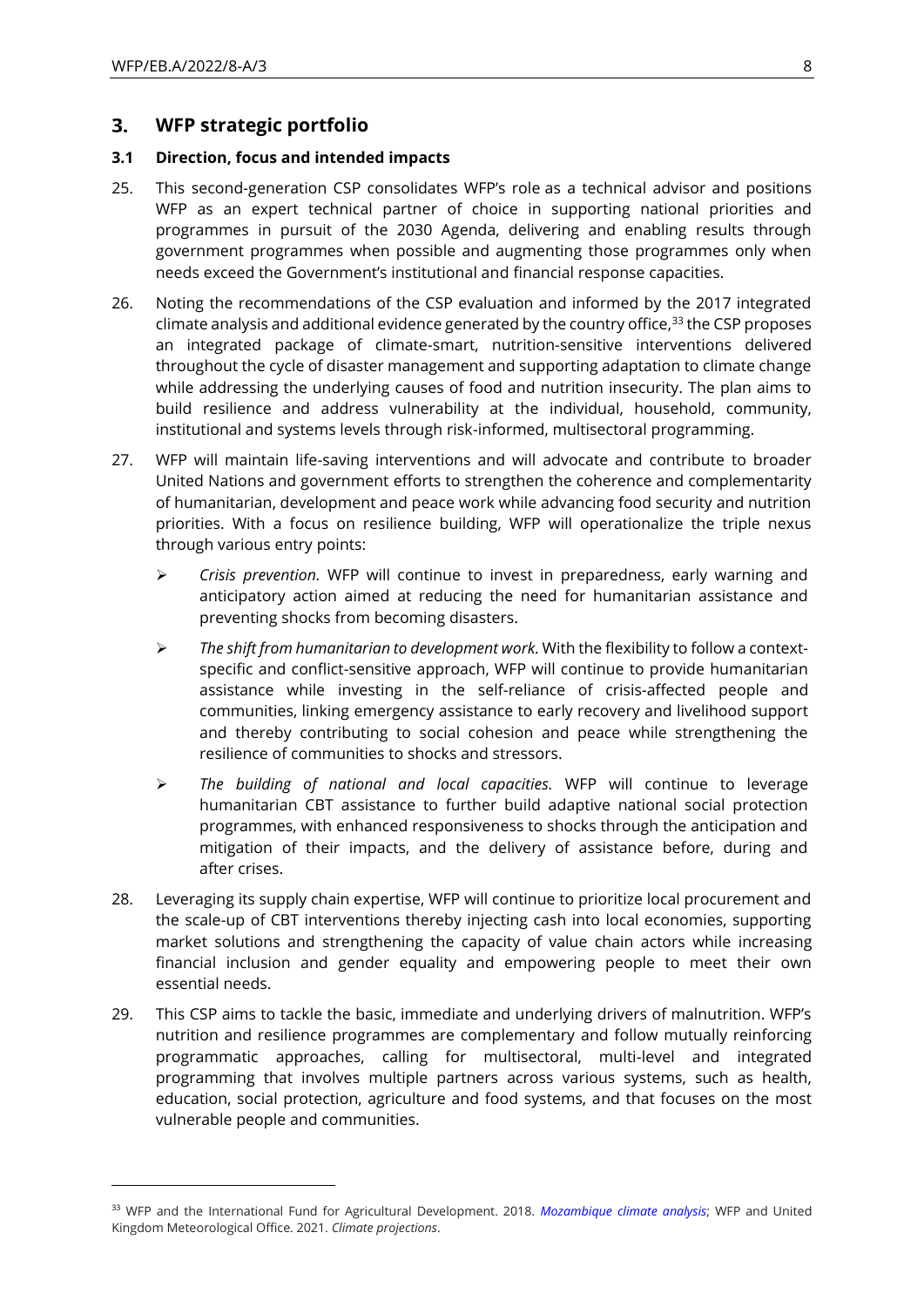#### $3.$ **WFP strategic portfolio**

#### **3.1 Direction, focus and intended impacts**

- 25. This second-generation CSP consolidates WFP's role as a technical advisor and positions WFP as an expert technical partner of choice in supporting national priorities and programmes in pursuit of the 2030 Agenda, delivering and enabling results through government programmes when possible and augmenting those programmes only when needs exceed the Government's institutional and financial response capacities.
- 26. Noting the recommendations of the CSP evaluation and informed by the 2017 integrated climate analysis and additional evidence generated by the country office,  $33$  the CSP proposes an integrated package of climate-smart, nutrition-sensitive interventions delivered throughout the cycle of disaster management and supporting adaptation to climate change while addressing the underlying causes of food and nutrition insecurity. The plan aims to build resilience and address vulnerability at the individual, household, community, institutional and systems levels through risk-informed, multisectoral programming.
- 27. WFP will maintain life-saving interventions and will advocate and contribute to broader United Nations and government efforts to strengthen the coherence and complementarity of humanitarian, development and peace work while advancing food security and nutrition priorities. With a focus on resilience building, WFP will operationalize the triple nexus through various entry points:
	- ➢ *Crisis prevention.* WFP will continue to invest in preparedness, early warning and anticipatory action aimed at reducing the need for humanitarian assistance and preventing shocks from becoming disasters.
	- ➢ *The shift from humanitarian to development work.* With the flexibility to follow a contextspecific and conflict-sensitive approach, WFP will continue to provide humanitarian assistance while investing in the self-reliance of crisis-affected people and communities, linking emergency assistance to early recovery and livelihood support and thereby contributing to social cohesion and peace while strengthening the resilience of communities to shocks and stressors.
	- ➢ *The building of national and local capacities.* WFP will continue to leverage humanitarian CBT assistance to further build adaptive national social protection programmes, with enhanced responsiveness to shocks through the anticipation and mitigation of their impacts, and the delivery of assistance before, during and after crises.
- 28. Leveraging its supply chain expertise, WFP will continue to prioritize local procurement and the scale-up of CBT interventions thereby injecting cash into local economies, supporting market solutions and strengthening the capacity of value chain actors while increasing financial inclusion and gender equality and empowering people to meet their own essential needs.
- 29. This CSP aims to tackle the basic, immediate and underlying drivers of malnutrition. WFP's nutrition and resilience programmes are complementary and follow mutually reinforcing programmatic approaches, calling for multisectoral, multi-level and integrated programming that involves multiple partners across various systems, such as health, education, social protection, agriculture and food systems, and that focuses on the most vulnerable people and communities.

<sup>33</sup> WFP and the International Fund for Agricultural Development. 2018. *[Mozambique climate analysis](https://docs.wfp.org/api/documents/WFP-0000108186/download/)*; WFP and United Kingdom Meteorological Office. 2021. *Climate projections*.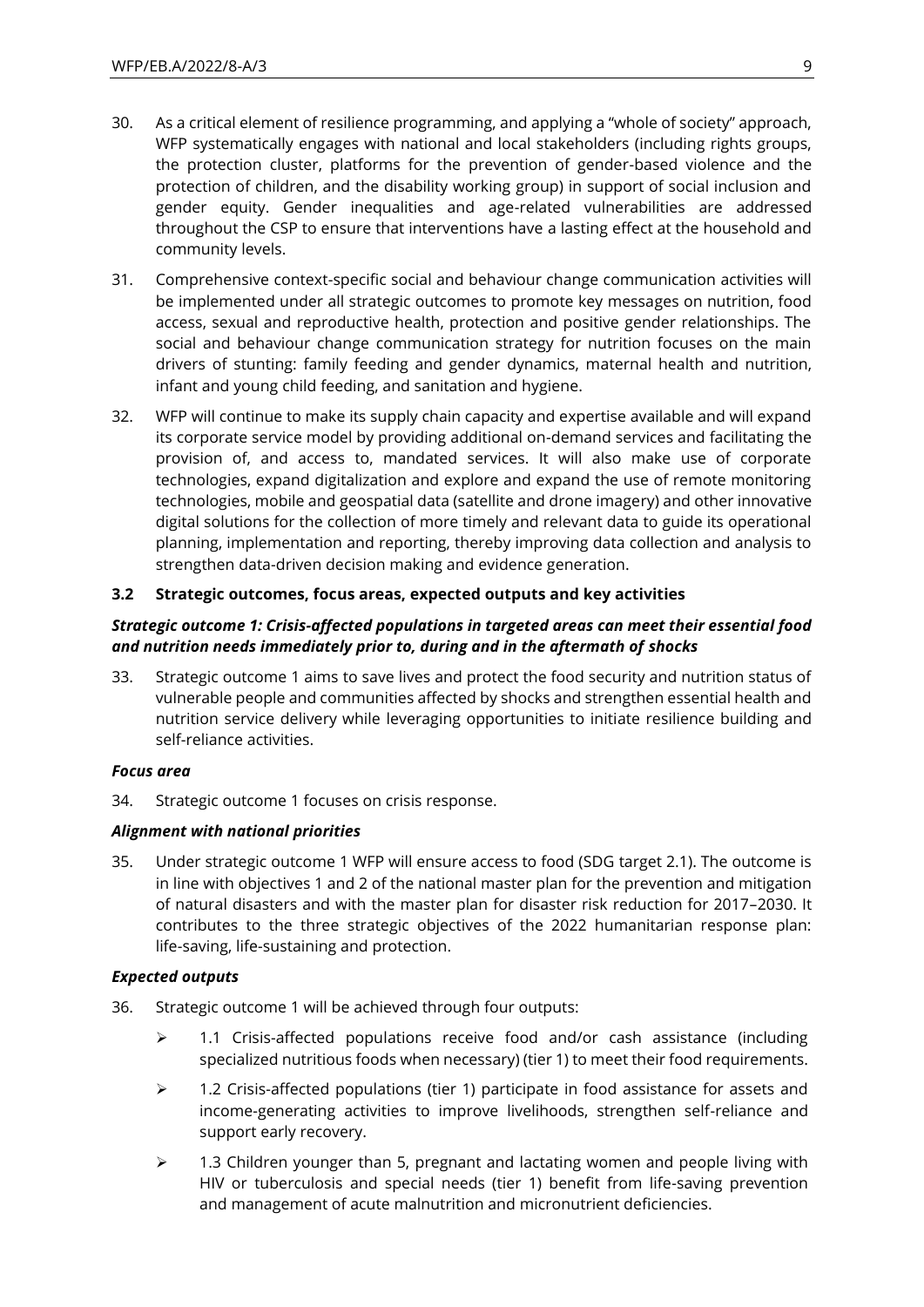- 30. As a critical element of resilience programming, and applying a "whole of society" approach, WFP systematically engages with national and local stakeholders (including rights groups, the protection cluster, platforms for the prevention of gender-based violence and the protection of children, and the disability working group) in support of social inclusion and gender equity. Gender inequalities and age-related vulnerabilities are addressed throughout the CSP to ensure that interventions have a lasting effect at the household and community levels.
- 31. Comprehensive context-specific social and behaviour change communication activities will be implemented under all strategic outcomes to promote key messages on nutrition, food access, sexual and reproductive health, protection and positive gender relationships. The social and behaviour change communication strategy for nutrition focuses on the main drivers of stunting: family feeding and gender dynamics, maternal health and nutrition, infant and young child feeding, and sanitation and hygiene.
- 32. WFP will continue to make its supply chain capacity and expertise available and will expand its corporate service model by providing additional on-demand services and facilitating the provision of, and access to, mandated services. It will also make use of corporate technologies, expand digitalization and explore and expand the use of remote monitoring technologies, mobile and geospatial data (satellite and drone imagery) and other innovative digital solutions for the collection of more timely and relevant data to guide its operational planning, implementation and reporting, thereby improving data collection and analysis to strengthen data-driven decision making and evidence generation.

### **3.2 Strategic outcomes, focus areas, expected outputs and key activities**

### *Strategic outcome 1: Crisis-affected populations in targeted areas can meet their essential food and nutrition needs immediately prior to, during and in the aftermath of shocks*

33. Strategic outcome 1 aims to save lives and protect the food security and nutrition status of vulnerable people and communities affected by shocks and strengthen essential health and nutrition service delivery while leveraging opportunities to initiate resilience building and self-reliance activities.

#### *Focus area*

34. Strategic outcome 1 focuses on crisis response.

### *Alignment with national priorities*

35. Under strategic outcome 1 WFP will ensure access to food (SDG target 2.1). The outcome is in line with objectives 1 and 2 of the national master plan for the prevention and mitigation of natural disasters and with the master plan for disaster risk reduction for 2017–2030. It contributes to the three strategic objectives of the 2022 humanitarian response plan: life-saving, life-sustaining and protection.

### *Expected outputs*

- 36. Strategic outcome 1 will be achieved through four outputs:
	- ➢ 1.1 Crisis-affected populations receive food and/or cash assistance (including specialized nutritious foods when necessary) (tier 1) to meet their food requirements.
	- $\triangleright$  1.2 Crisis-affected populations (tier 1) participate in food assistance for assets and income-generating activities to improve livelihoods, strengthen self-reliance and support early recovery.
	- $\geq$  1.3 Children younger than 5, pregnant and lactating women and people living with HIV or tuberculosis and special needs (tier 1) benefit from life-saving prevention and management of acute malnutrition and micronutrient deficiencies.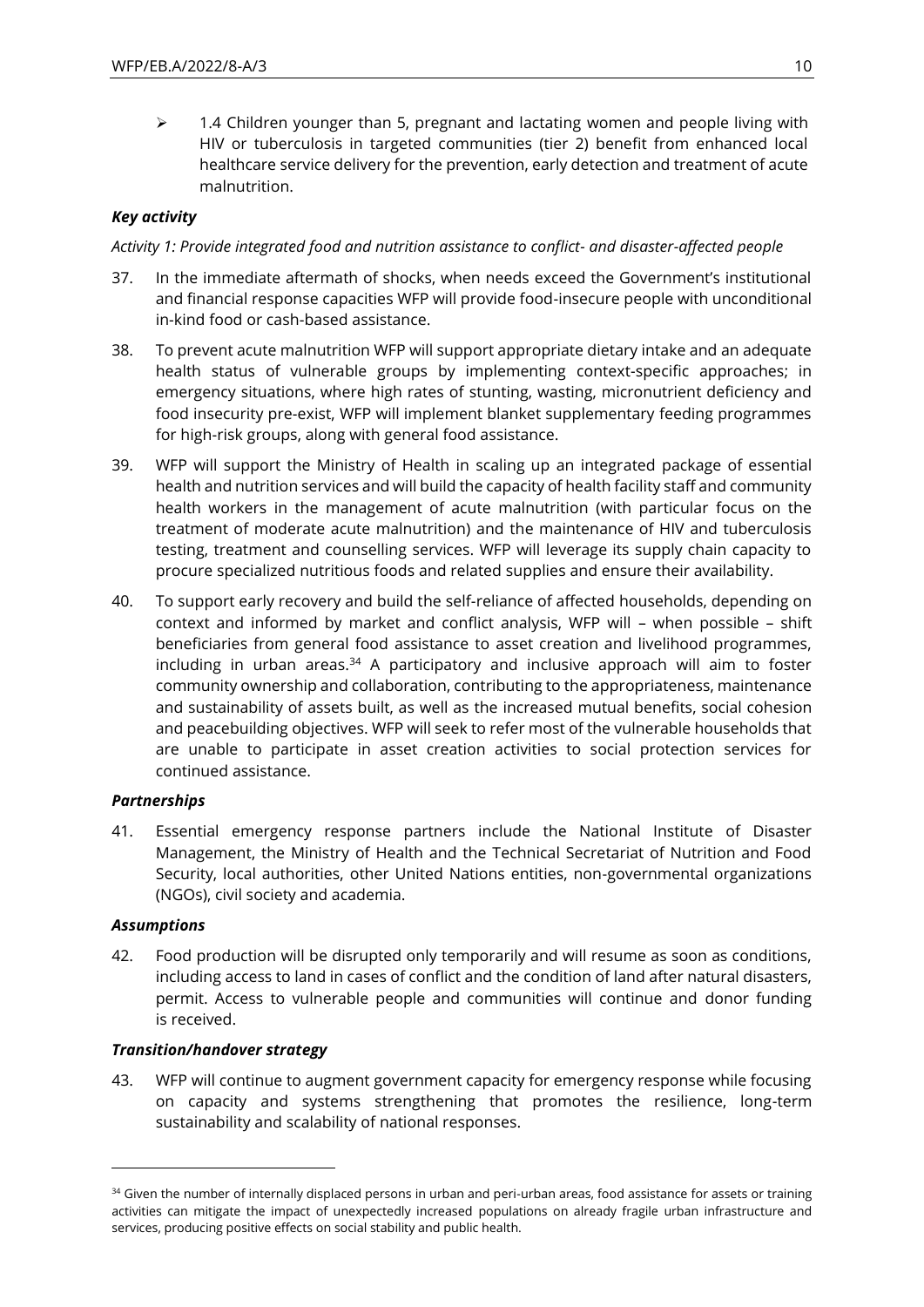$\geq$  1.4 Children younger than 5, pregnant and lactating women and people living with HIV or tuberculosis in targeted communities (tier 2) benefit from enhanced local healthcare service delivery for the prevention, early detection and treatment of acute malnutrition.

## *Key activity*

### *Activity 1: Provide integrated food and nutrition assistance to conflict- and disaster-affected people*

- 37. In the immediate aftermath of shocks, when needs exceed the Government's institutional and financial response capacities WFP will provide food-insecure people with unconditional in-kind food or cash-based assistance.
- 38. To prevent acute malnutrition WFP will support appropriate dietary intake and an adequate health status of vulnerable groups by implementing context-specific approaches; in emergency situations, where high rates of stunting, wasting, micronutrient deficiency and food insecurity pre-exist, WFP will implement blanket supplementary feeding programmes for high-risk groups, along with general food assistance.
- 39. WFP will support the Ministry of Health in scaling up an integrated package of essential health and nutrition services and will build the capacity of health facility staff and community health workers in the management of acute malnutrition (with particular focus on the treatment of moderate acute malnutrition) and the maintenance of HIV and tuberculosis testing, treatment and counselling services. WFP will leverage its supply chain capacity to procure specialized nutritious foods and related supplies and ensure their availability.
- 40. To support early recovery and build the self-reliance of affected households, depending on context and informed by market and conflict analysis, WFP will – when possible – shift beneficiaries from general food assistance to asset creation and livelihood programmes, including in urban areas. $34$  A participatory and inclusive approach will aim to foster community ownership and collaboration, contributing to the appropriateness, maintenance and sustainability of assets built, as well as the increased mutual benefits, social cohesion and peacebuilding objectives. WFP will seek to refer most of the vulnerable households that are unable to participate in asset creation activities to social protection services for continued assistance.

### *Partnerships*

41. Essential emergency response partners include the National Institute of Disaster Management, the Ministry of Health and the Technical Secretariat of Nutrition and Food Security, local authorities, other United Nations entities, non-governmental organizations (NGOs), civil society and academia.

#### *Assumptions*

42. Food production will be disrupted only temporarily and will resume as soon as conditions, including access to land in cases of conflict and the condition of land after natural disasters, permit. Access to vulnerable people and communities will continue and donor funding is received.

### *Transition/handover strategy*

43. WFP will continue to augment government capacity for emergency response while focusing on capacity and systems strengthening that promotes the resilience, long-term sustainability and scalability of national responses.

<sup>&</sup>lt;sup>34</sup> Given the number of internally displaced persons in urban and peri-urban areas, food assistance for assets or training activities can mitigate the impact of unexpectedly increased populations on already fragile urban infrastructure and services, producing positive effects on social stability and public health.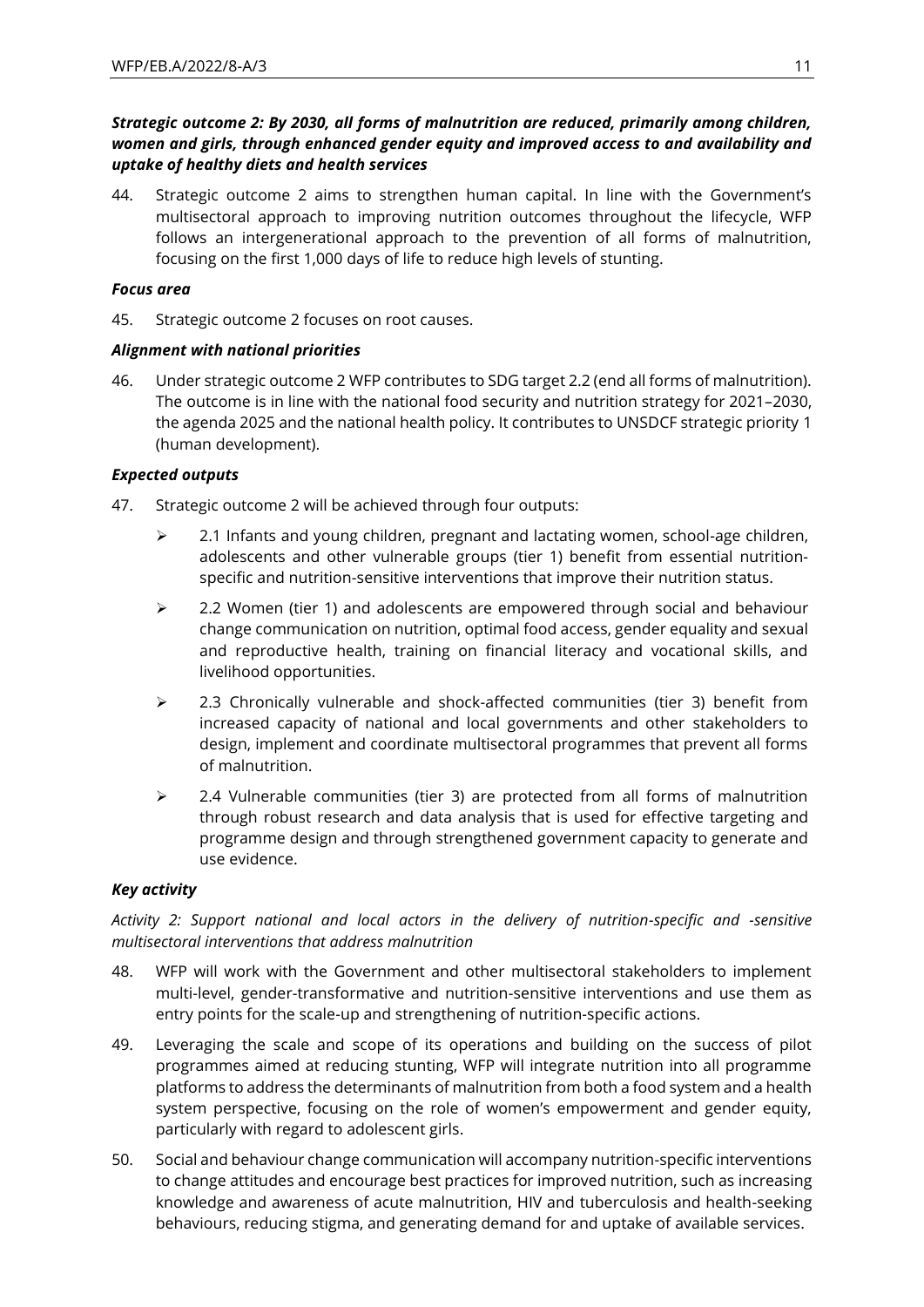## *Strategic outcome 2: By 2030, all forms of malnutrition are reduced, primarily among children, women and girls, through enhanced gender equity and improved access to and availability and uptake of healthy diets and health services*

44. Strategic outcome 2 aims to strengthen human capital. In line with the Government's multisectoral approach to improving nutrition outcomes throughout the lifecycle, WFP follows an intergenerational approach to the prevention of all forms of malnutrition, focusing on the first 1,000 days of life to reduce high levels of stunting.

### *Focus area*

45. Strategic outcome 2 focuses on root causes.

### *Alignment with national priorities*

46. Under strategic outcome 2 WFP contributes to SDG target 2.2 (end all forms of malnutrition). The outcome is in line with the national food security and nutrition strategy for 2021–2030, the agenda 2025 and the national health policy. It contributes to UNSDCF strategic priority 1 (human development).

### *Expected outputs*

- 47. Strategic outcome 2 will be achieved through four outputs:
	- $\geq$  2.1 Infants and young children, pregnant and lactating women, school-age children, adolescents and other vulnerable groups (tier 1) benefit from essential nutritionspecific and nutrition-sensitive interventions that improve their nutrition status.
	- $\geq$  2.2 Women (tier 1) and adolescents are empowered through social and behaviour change communication on nutrition, optimal food access, gender equality and sexual and reproductive health, training on financial literacy and vocational skills, and livelihood opportunities.
	- ➢ 2.3 Chronically vulnerable and shock-affected communities (tier 3) benefit from increased capacity of national and local governments and other stakeholders to design, implement and coordinate multisectoral programmes that prevent all forms of malnutrition.
	- $\geq$  2.4 Vulnerable communities (tier 3) are protected from all forms of malnutrition through robust research and data analysis that is used for effective targeting and programme design and through strengthened government capacity to generate and use evidence.

#### *Key activity*

*Activity 2: Support national and local actors in the delivery of nutrition-specific and -sensitive multisectoral interventions that address malnutrition*

- 48. WFP will work with the Government and other multisectoral stakeholders to implement multi-level, gender-transformative and nutrition-sensitive interventions and use them as entry points for the scale-up and strengthening of nutrition-specific actions.
- 49. Leveraging the scale and scope of its operations and building on the success of pilot programmes aimed at reducing stunting, WFP will integrate nutrition into all programme platforms to address the determinants of malnutrition from both a food system and a health system perspective, focusing on the role of women's empowerment and gender equity, particularly with regard to adolescent girls.
- 50. Social and behaviour change communication will accompany nutrition-specific interventions to change attitudes and encourage best practices for improved nutrition, such as increasing knowledge and awareness of acute malnutrition, HIV and tuberculosis and health-seeking behaviours, reducing stigma, and generating demand for and uptake of available services.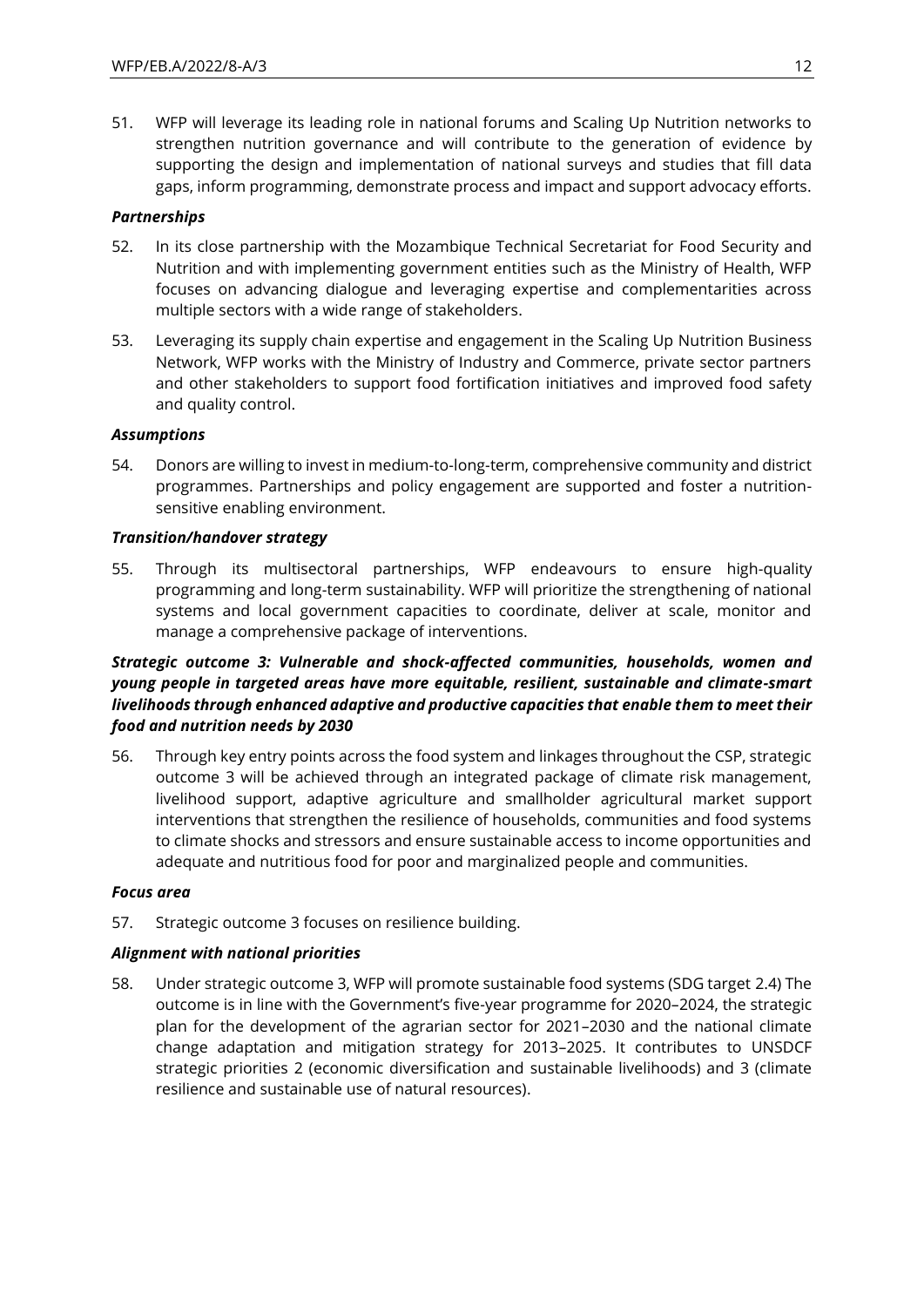51. WFP will leverage its leading role in national forums and Scaling Up Nutrition networks to strengthen nutrition governance and will contribute to the generation of evidence by supporting the design and implementation of national surveys and studies that fill data gaps, inform programming, demonstrate process and impact and support advocacy efforts.

### *Partnerships*

- 52. In its close partnership with the Mozambique Technical Secretariat for Food Security and Nutrition and with implementing government entities such as the Ministry of Health, WFP focuses on advancing dialogue and leveraging expertise and complementarities across multiple sectors with a wide range of stakeholders.
- 53. Leveraging its supply chain expertise and engagement in the Scaling Up Nutrition Business Network, WFP works with the Ministry of Industry and Commerce, private sector partners and other stakeholders to support food fortification initiatives and improved food safety and quality control.

### *Assumptions*

54. Donors are willing to invest in medium-to-long-term, comprehensive community and district programmes. Partnerships and policy engagement are supported and foster a nutritionsensitive enabling environment.

### *Transition/handover strategy*

55. Through its multisectoral partnerships, WFP endeavours to ensure high-quality programming and long-term sustainability. WFP will prioritize the strengthening of national systems and local government capacities to coordinate, deliver at scale, monitor and manage a comprehensive package of interventions.

## *Strategic outcome 3: Vulnerable and shock-affected communities, households, women and young people in targeted areas have more equitable, resilient, sustainable and climate-smart livelihoods through enhanced adaptive and productive capacities that enable them to meet their food and nutrition needs by 2030*

56. Through key entry points across the food system and linkages throughout the CSP, strategic outcome 3 will be achieved through an integrated package of climate risk management, livelihood support, adaptive agriculture and smallholder agricultural market support interventions that strengthen the resilience of households, communities and food systems to climate shocks and stressors and ensure sustainable access to income opportunities and adequate and nutritious food for poor and marginalized people and communities.

### *Focus area*

57. Strategic outcome 3 focuses on resilience building.

### *Alignment with national priorities*

58. Under strategic outcome 3, WFP will promote sustainable food systems (SDG target 2.4) The outcome is in line with the Government's five-year programme for 2020–2024, the strategic plan for the development of the agrarian sector for 2021–2030 and the national climate change adaptation and mitigation strategy for 2013–2025. It contributes to UNSDCF strategic priorities 2 (economic diversification and sustainable livelihoods) and 3 (climate resilience and sustainable use of natural resources).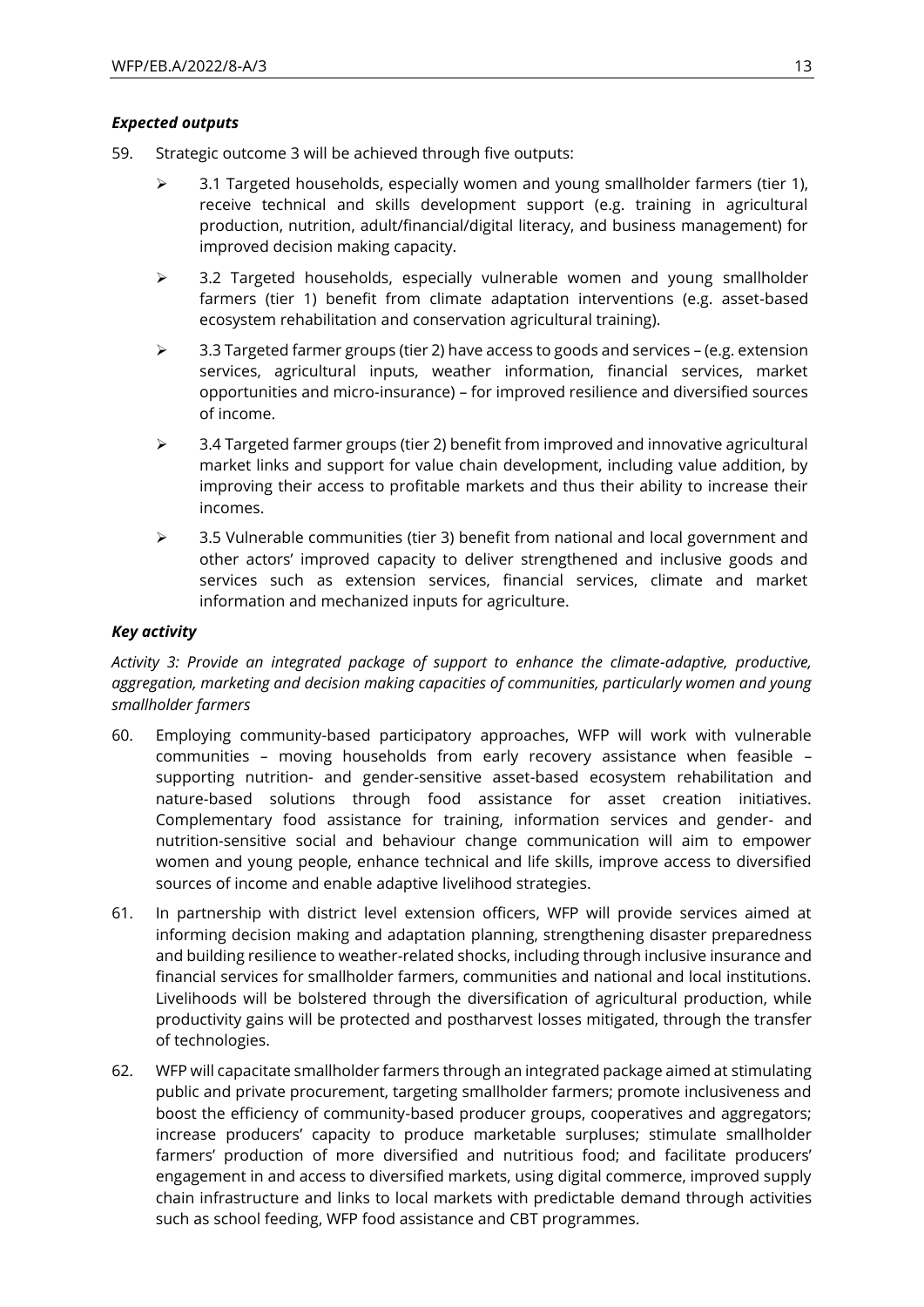### *Expected outputs*

- 59. Strategic outcome 3 will be achieved through five outputs:
	- $\triangleright$  3.1 Targeted households, especially women and young smallholder farmers (tier 1), receive technical and skills development support (e.g. training in agricultural production, nutrition, adult/financial/digital literacy, and business management) for improved decision making capacity.
	- $\geq$  3.2 Targeted households, especially vulnerable women and young smallholder farmers (tier 1) benefit from climate adaptation interventions (e.g. asset-based ecosystem rehabilitation and conservation agricultural training).
	- $\triangleright$  3.3 Targeted farmer groups (tier 2) have access to goods and services (e.g. extension services, agricultural inputs, weather information, financial services, market opportunities and micro-insurance) – for improved resilience and diversified sources of income.
	- $\geq$  3.4 Targeted farmer groups (tier 2) benefit from improved and innovative agricultural market links and support for value chain development, including value addition, by improving their access to profitable markets and thus their ability to increase their incomes.
	- $\geq$  3.5 Vulnerable communities (tier 3) benefit from national and local government and other actors' improved capacity to deliver strengthened and inclusive goods and services such as extension services, financial services, climate and market information and mechanized inputs for agriculture.

### *Key activity*

*Activity 3: Provide an integrated package of support to enhance the climate-adaptive, productive, aggregation, marketing and decision making capacities of communities, particularly women and young smallholder farmers*

- 60. Employing community-based participatory approaches, WFP will work with vulnerable communities – moving households from early recovery assistance when feasible – supporting nutrition- and gender-sensitive asset-based ecosystem rehabilitation and nature-based solutions through food assistance for asset creation initiatives. Complementary food assistance for training, information services and gender- and nutrition-sensitive social and behaviour change communication will aim to empower women and young people, enhance technical and life skills, improve access to diversified sources of income and enable adaptive livelihood strategies.
- 61. In partnership with district level extension officers, WFP will provide services aimed at informing decision making and adaptation planning, strengthening disaster preparedness and building resilience to weather-related shocks, including through inclusive insurance and financial services for smallholder farmers, communities and national and local institutions. Livelihoods will be bolstered through the diversification of agricultural production, while productivity gains will be protected and postharvest losses mitigated, through the transfer of technologies.
- 62. WFP will capacitate smallholder farmers through an integrated package aimed at stimulating public and private procurement, targeting smallholder farmers; promote inclusiveness and boost the efficiency of community-based producer groups, cooperatives and aggregators; increase producers' capacity to produce marketable surpluses; stimulate smallholder farmers' production of more diversified and nutritious food; and facilitate producers' engagement in and access to diversified markets, using digital commerce, improved supply chain infrastructure and links to local markets with predictable demand through activities such as school feeding, WFP food assistance and CBT programmes.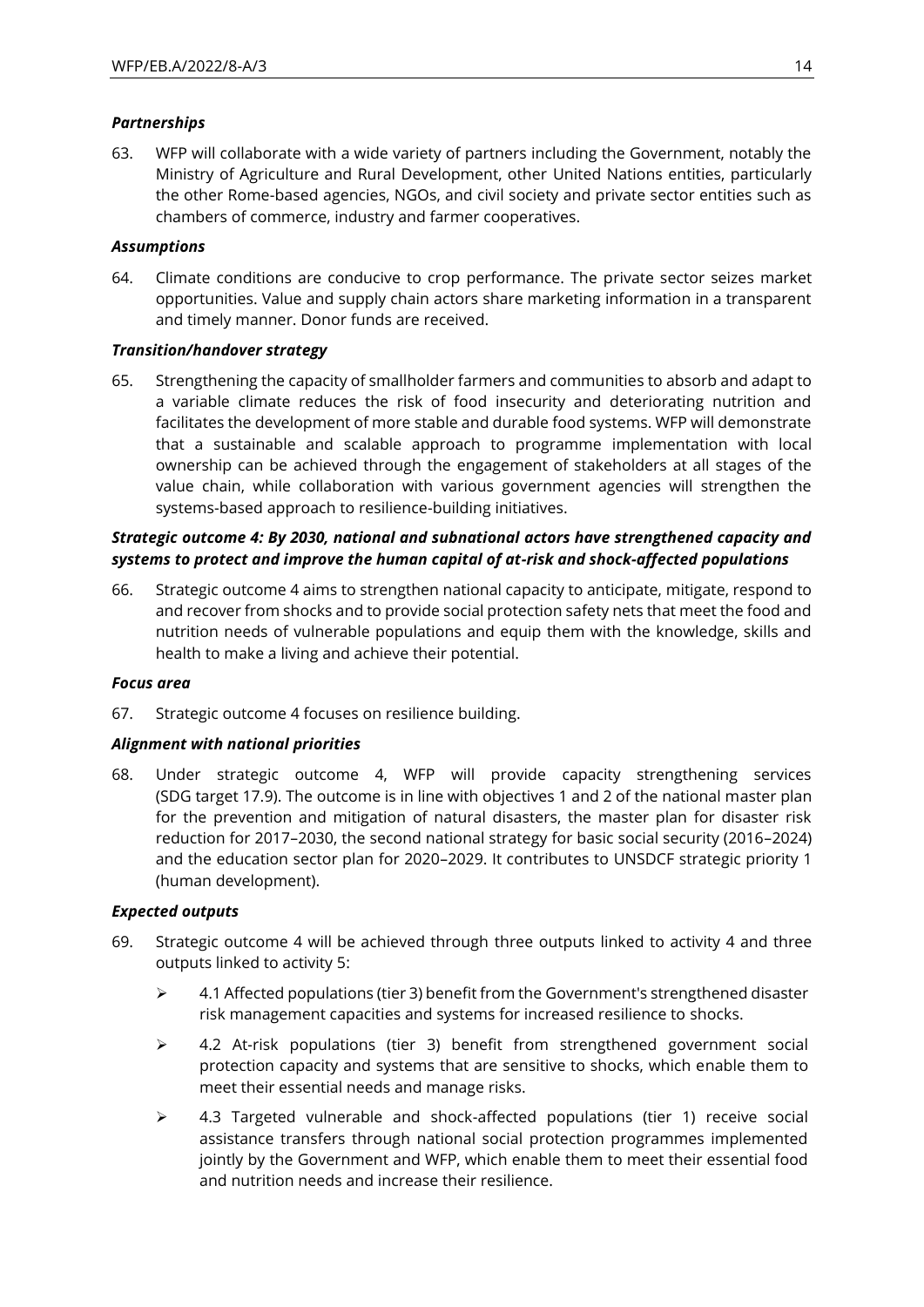### *Partnerships*

63. WFP will collaborate with a wide variety of partners including the Government, notably the Ministry of Agriculture and Rural Development, other United Nations entities, particularly the other Rome-based agencies, NGOs, and civil society and private sector entities such as chambers of commerce, industry and farmer cooperatives.

### *Assumptions*

64. Climate conditions are conducive to crop performance. The private sector seizes market opportunities. Value and supply chain actors share marketing information in a transparent and timely manner. Donor funds are received.

### *Transition/handover strategy*

65. Strengthening the capacity of smallholder farmers and communities to absorb and adapt to a variable climate reduces the risk of food insecurity and deteriorating nutrition and facilitates the development of more stable and durable food systems. WFP will demonstrate that a sustainable and scalable approach to programme implementation with local ownership can be achieved through the engagement of stakeholders at all stages of the value chain, while collaboration with various government agencies will strengthen the systems-based approach to resilience-building initiatives.

### *Strategic outcome 4: By 2030, national and subnational actors have strengthened capacity and systems to protect and improve the human capital of at-risk and shock-affected populations*

66. Strategic outcome 4 aims to strengthen national capacity to anticipate, mitigate, respond to and recover from shocks and to provide social protection safety nets that meet the food and nutrition needs of vulnerable populations and equip them with the knowledge, skills and health to make a living and achieve their potential.

#### *Focus area*

67. Strategic outcome 4 focuses on resilience building.

### *Alignment with national priorities*

68. Under strategic outcome 4, WFP will provide capacity strengthening services (SDG target 17.9). The outcome is in line with objectives 1 and 2 of the national master plan for the prevention and mitigation of natural disasters, the master plan for disaster risk reduction for 2017–2030, the second national strategy for basic social security (2016–2024) and the education sector plan for 2020–2029. It contributes to UNSDCF strategic priority 1 (human development).

#### *Expected outputs*

- 69. Strategic outcome 4 will be achieved through three outputs linked to activity 4 and three outputs linked to activity 5:
	- $\geq$  4.1 Affected populations (tier 3) benefit from the Government's strengthened disaster risk management capacities and systems for increased resilience to shocks.
	- $\geq$  4.2 At-risk populations (tier 3) benefit from strengthened government social protection capacity and systems that are sensitive to shocks, which enable them to meet their essential needs and manage risks.
	- $\triangleright$  4.3 Targeted vulnerable and shock-affected populations (tier 1) receive social assistance transfers through national social protection programmes implemented jointly by the Government and WFP, which enable them to meet their essential food and nutrition needs and increase their resilience.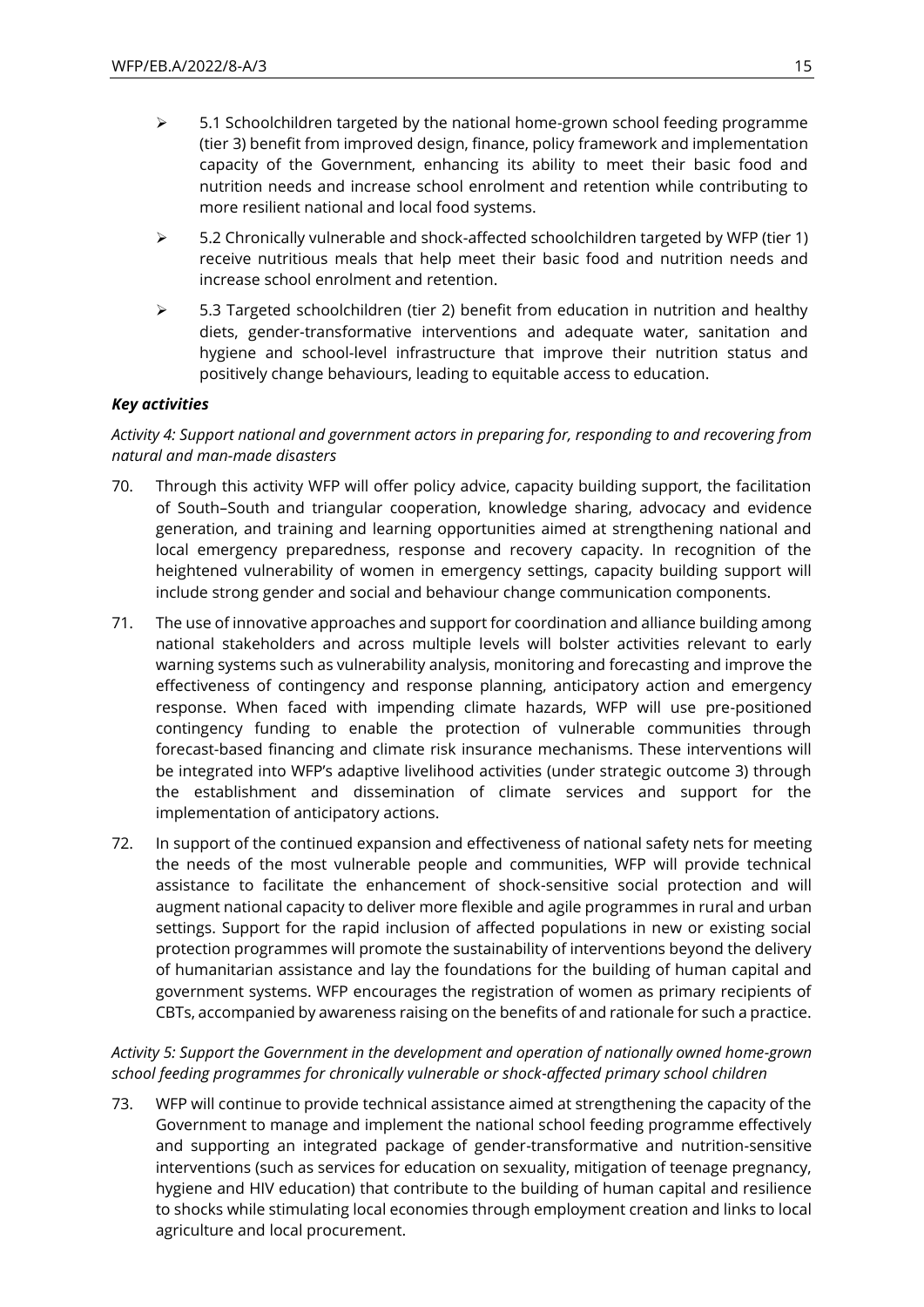- $\geq$  5.1 Schoolchildren targeted by the national home-grown school feeding programme (tier 3) benefit from improved design, finance, policy framework and implementation capacity of the Government, enhancing its ability to meet their basic food and nutrition needs and increase school enrolment and retention while contributing to more resilient national and local food systems.
- $\triangleright$  5.2 Chronically vulnerable and shock-affected schoolchildren targeted by WFP (tier 1) receive nutritious meals that help meet their basic food and nutrition needs and increase school enrolment and retention.
- $\triangleright$  5.3 Targeted schoolchildren (tier 2) benefit from education in nutrition and healthy diets, gender-transformative interventions and adequate water, sanitation and hygiene and school-level infrastructure that improve their nutrition status and positively change behaviours, leading to equitable access to education.

### *Key activities*

*Activity 4: Support national and government actors in preparing for, responding to and recovering from natural and man-made disasters*

- 70. Through this activity WFP will offer policy advice, capacity building support, the facilitation of South–South and triangular cooperation, knowledge sharing, advocacy and evidence generation, and training and learning opportunities aimed at strengthening national and local emergency preparedness, response and recovery capacity. In recognition of the heightened vulnerability of women in emergency settings, capacity building support will include strong gender and social and behaviour change communication components.
- 71. The use of innovative approaches and support for coordination and alliance building among national stakeholders and across multiple levels will bolster activities relevant to early warning systems such as vulnerability analysis, monitoring and forecasting and improve the effectiveness of contingency and response planning, anticipatory action and emergency response. When faced with impending climate hazards, WFP will use pre-positioned contingency funding to enable the protection of vulnerable communities through forecast-based financing and climate risk insurance mechanisms. These interventions will be integrated into WFP's adaptive livelihood activities (under strategic outcome 3) through the establishment and dissemination of climate services and support for the implementation of anticipatory actions.
- 72. In support of the continued expansion and effectiveness of national safety nets for meeting the needs of the most vulnerable people and communities, WFP will provide technical assistance to facilitate the enhancement of shock-sensitive social protection and will augment national capacity to deliver more flexible and agile programmes in rural and urban settings. Support for the rapid inclusion of affected populations in new or existing social protection programmes will promote the sustainability of interventions beyond the delivery of humanitarian assistance and lay the foundations for the building of human capital and government systems. WFP encourages the registration of women as primary recipients of CBTs, accompanied by awareness raising on the benefits of and rationale for such a practice.

*Activity 5: Support the Government in the development and operation of nationally owned home-grown school feeding programmes for chronically vulnerable or shock-affected primary school children*

73. WFP will continue to provide technical assistance aimed at strengthening the capacity of the Government to manage and implement the national school feeding programme effectively and supporting an integrated package of gender-transformative and nutrition-sensitive interventions (such as services for education on sexuality, mitigation of teenage pregnancy, hygiene and HIV education) that contribute to the building of human capital and resilience to shocks while stimulating local economies through employment creation and links to local agriculture and local procurement.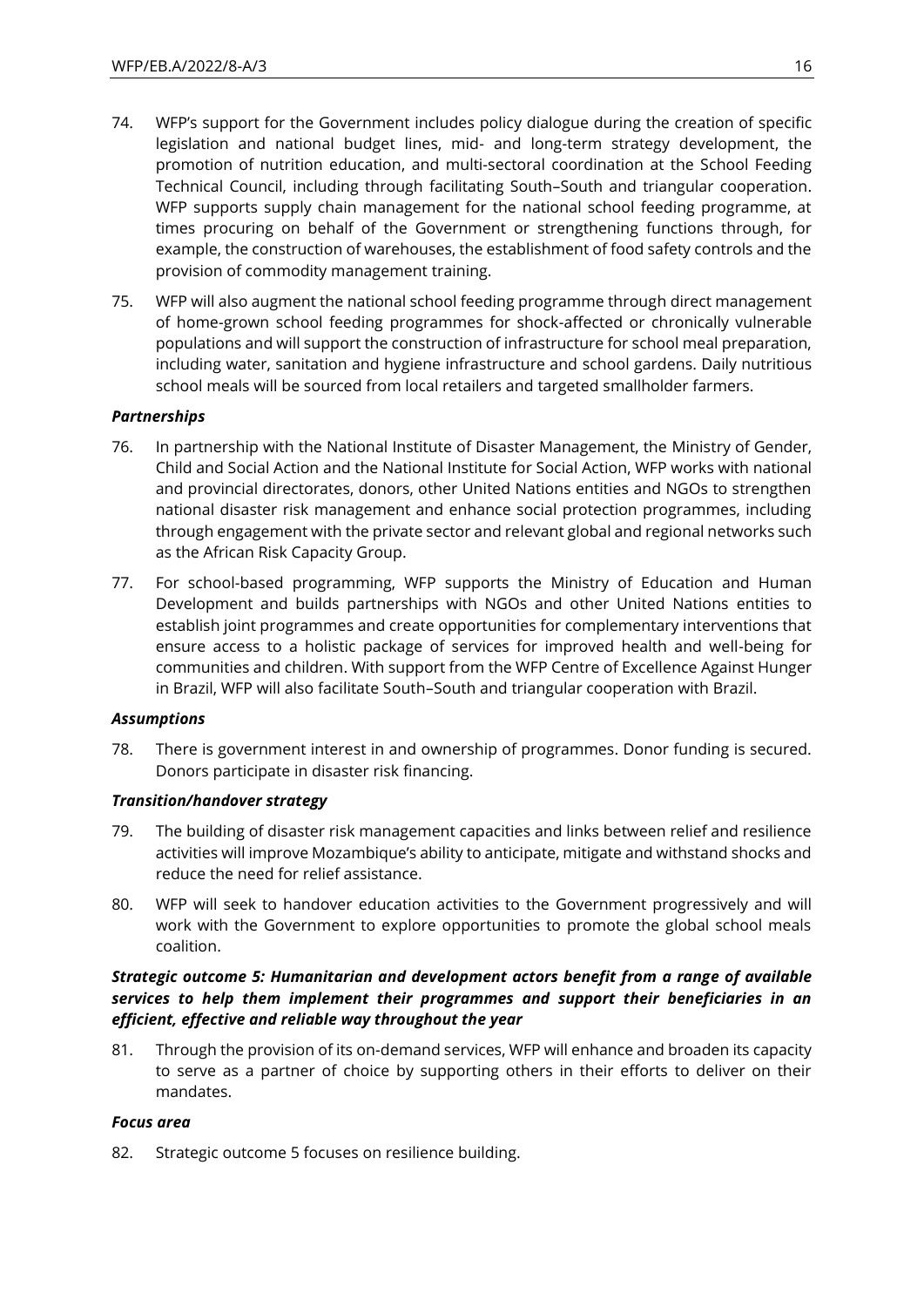- 74. WFP's support for the Government includes policy dialogue during the creation of specific legislation and national budget lines, mid- and long-term strategy development, the promotion of nutrition education, and multi-sectoral coordination at the School Feeding Technical Council, including through facilitating South–South and triangular cooperation. WFP supports supply chain management for the national school feeding programme, at times procuring on behalf of the Government or strengthening functions through, for example, the construction of warehouses, the establishment of food safety controls and the provision of commodity management training.
- 75. WFP will also augment the national school feeding programme through direct management of home-grown school feeding programmes for shock-affected or chronically vulnerable populations and will support the construction of infrastructure for school meal preparation, including water, sanitation and hygiene infrastructure and school gardens. Daily nutritious school meals will be sourced from local retailers and targeted smallholder farmers.

### *Partnerships*

- 76. In partnership with the National Institute of Disaster Management, the Ministry of Gender, Child and Social Action and the National Institute for Social Action, WFP works with national and provincial directorates, donors, other United Nations entities and NGOs to strengthen national disaster risk management and enhance social protection programmes, including through engagement with the private sector and relevant global and regional networks such as the African Risk Capacity Group.
- 77. For school-based programming, WFP supports the Ministry of Education and Human Development and builds partnerships with NGOs and other United Nations entities to establish joint programmes and create opportunities for complementary interventions that ensure access to a holistic package of services for improved health and well-being for communities and children. With support from the WFP Centre of Excellence Against Hunger in Brazil, WFP will also facilitate South–South and triangular cooperation with Brazil.

#### *Assumptions*

78. There is government interest in and ownership of programmes. Donor funding is secured. Donors participate in disaster risk financing.

#### *Transition/handover strategy*

- 79. The building of disaster risk management capacities and links between relief and resilience activities will improve Mozambique's ability to anticipate, mitigate and withstand shocks and reduce the need for relief assistance.
- 80. WFP will seek to handover education activities to the Government progressively and will work with the Government to explore opportunities to promote the global school meals coalition.

## *Strategic outcome 5: Humanitarian and development actors benefit from a range of available services to help them implement their programmes and support their beneficiaries in an efficient, effective and reliable way throughout the year*

81. Through the provision of its on-demand services, WFP will enhance and broaden its capacity to serve as a partner of choice by supporting others in their efforts to deliver on their mandates.

#### *Focus area*

82. Strategic outcome 5 focuses on resilience building.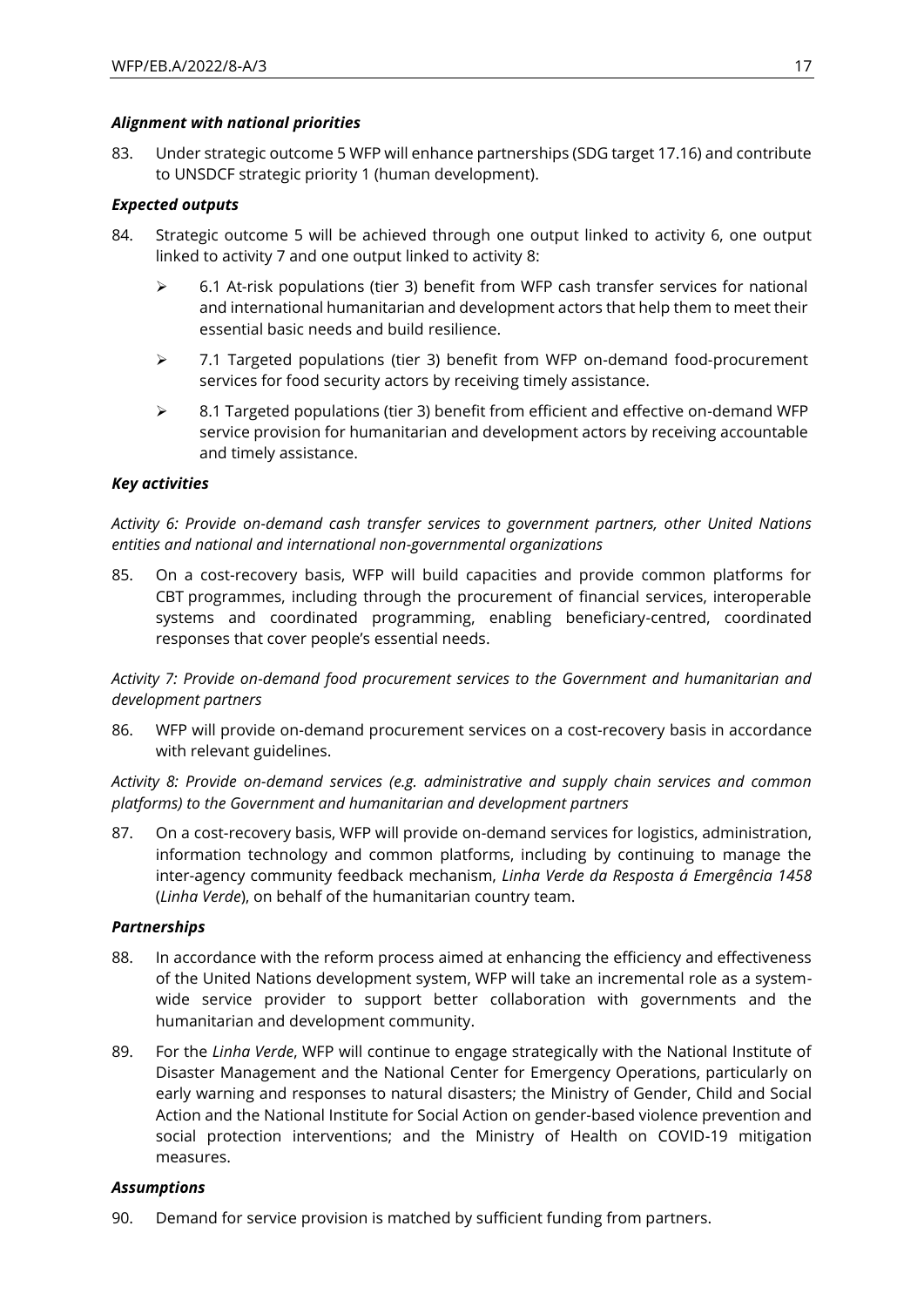### *Alignment with national priorities*

83. Under strategic outcome 5 WFP will enhance partnerships (SDG target 17.16) and contribute to UNSDCF strategic priority 1 (human development).

### *Expected outputs*

- 84. Strategic outcome 5 will be achieved through one output linked to activity 6, one output linked to activity 7 and one output linked to activity 8:
	- $\geq$  6.1 At-risk populations (tier 3) benefit from WFP cash transfer services for national and international humanitarian and development actors that help them to meet their essential basic needs and build resilience.
	- ➢ 7.1 Targeted populations (tier 3) benefit from WFP on-demand food-procurement services for food security actors by receiving timely assistance.
	- $\triangleright$  8.1 Targeted populations (tier 3) benefit from efficient and effective on-demand WFP service provision for humanitarian and development actors by receiving accountable and timely assistance.

### *Key activities*

*Activity 6: Provide on-demand cash transfer services to government partners, other United Nations entities and national and international non-governmental organizations*

85. On a cost-recovery basis, WFP will build capacities and provide common platforms for CBT programmes, including through the procurement of financial services, interoperable systems and coordinated programming, enabling beneficiary-centred, coordinated responses that cover people's essential needs.

*Activity 7: Provide on-demand food procurement services to the Government and humanitarian and development partners*

86. WFP will provide on-demand procurement services on a cost-recovery basis in accordance with relevant guidelines.

*Activity 8: Provide on-demand services (e.g. administrative and supply chain services and common platforms) to the Government and humanitarian and development partners*

87. On a cost-recovery basis, WFP will provide on-demand services for logistics, administration, information technology and common platforms, including by continuing to manage the inter-agency community feedback mechanism, *Linha Verde da Resposta á Emergência 1458* (*Linha Verde*), on behalf of the humanitarian country team.

#### *Partnerships*

- 88. In accordance with the reform process aimed at enhancing the efficiency and effectiveness of the United Nations development system, WFP will take an incremental role as a systemwide service provider to support better collaboration with governments and the humanitarian and development community.
- 89. For the *Linha Verde*, WFP will continue to engage strategically with the National Institute of Disaster Management and the National Center for Emergency Operations, particularly on early warning and responses to natural disasters; the Ministry of Gender, Child and Social Action and the National Institute for Social Action on gender-based violence prevention and social protection interventions; and the Ministry of Health on COVID-19 mitigation measures.

#### *Assumptions*

90. Demand for service provision is matched by sufficient funding from partners.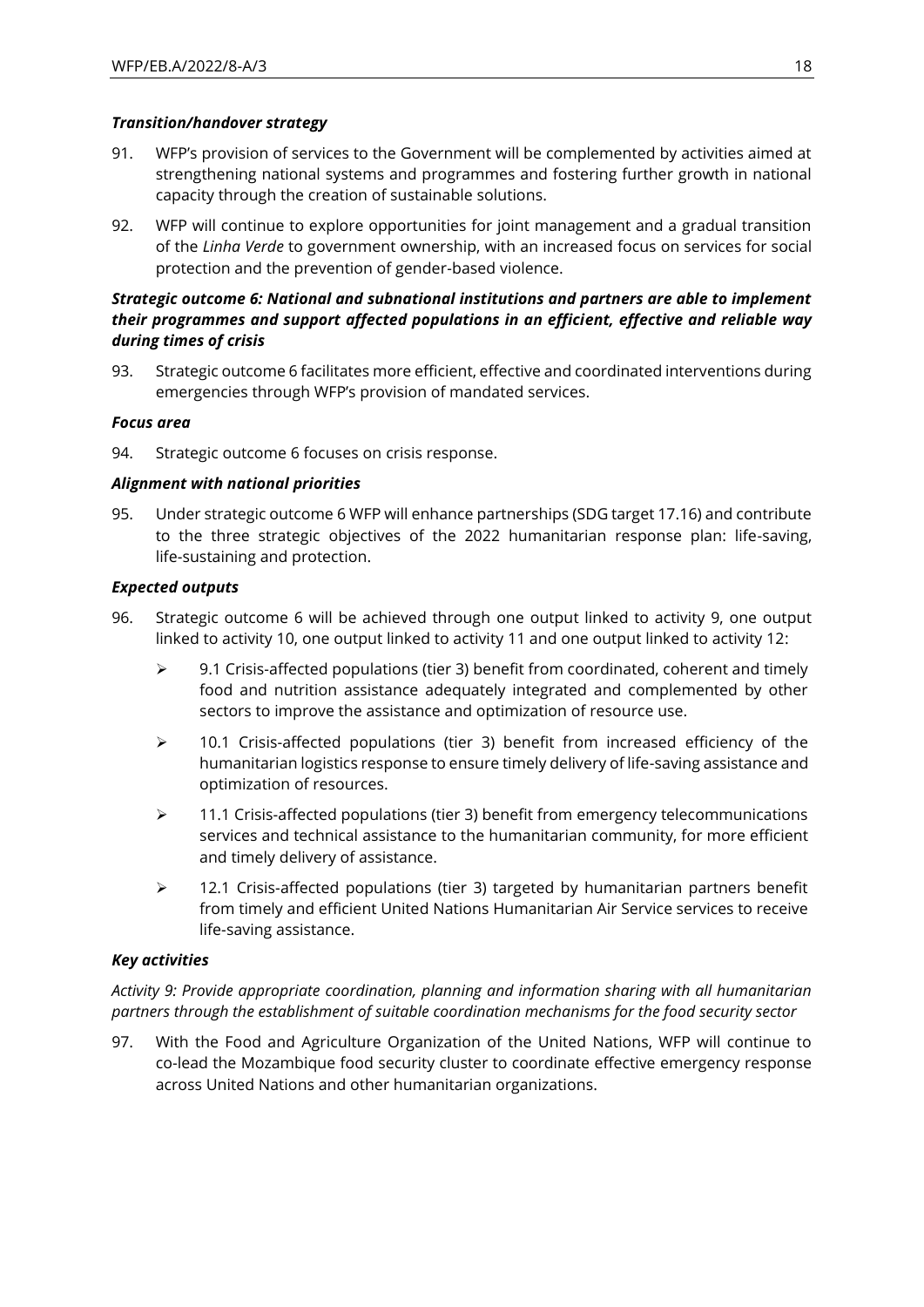### *Transition/handover strategy*

- 91. WFP's provision of services to the Government will be complemented by activities aimed at strengthening national systems and programmes and fostering further growth in national capacity through the creation of sustainable solutions.
- 92. WFP will continue to explore opportunities for joint management and a gradual transition of the *Linha Verde* to government ownership, with an increased focus on services for social protection and the prevention of gender-based violence.

## *Strategic outcome 6: National and subnational institutions and partners are able to implement their programmes and support affected populations in an efficient, effective and reliable way during times of crisis*

93. Strategic outcome 6 facilitates more efficient, effective and coordinated interventions during emergencies through WFP's provision of mandated services.

### *Focus area*

94. Strategic outcome 6 focuses on crisis response.

### *Alignment with national priorities*

95. Under strategic outcome 6 WFP will enhance partnerships (SDG target 17.16) and contribute to the three strategic objectives of the 2022 humanitarian response plan: life-saving, life-sustaining and protection.

### *Expected outputs*

- 96. Strategic outcome 6 will be achieved through one output linked to activity 9, one output linked to activity 10, one output linked to activity 11 and one output linked to activity 12:
	- $\triangleright$  9.1 Crisis-affected populations (tier 3) benefit from coordinated, coherent and timely food and nutrition assistance adequately integrated and complemented by other sectors to improve the assistance and optimization of resource use.
	- $\geq$  10.1 Crisis-affected populations (tier 3) benefit from increased efficiency of the humanitarian logistics response to ensure timely delivery of life-saving assistance and optimization of resources.
	- $\geq$  11.1 Crisis-affected populations (tier 3) benefit from emergency telecommunications services and technical assistance to the humanitarian community, for more efficient and timely delivery of assistance.
	- $\geq$  12.1 Crisis-affected populations (tier 3) targeted by humanitarian partners benefit from timely and efficient United Nations Humanitarian Air Service services to receive life-saving assistance.

#### *Key activities*

*Activity 9: Provide appropriate coordination, planning and information sharing with all humanitarian partners through the establishment of suitable coordination mechanisms for the food security sector*

97. With the Food and Agriculture Organization of the United Nations, WFP will continue to co-lead the Mozambique food security cluster to coordinate effective emergency response across United Nations and other humanitarian organizations.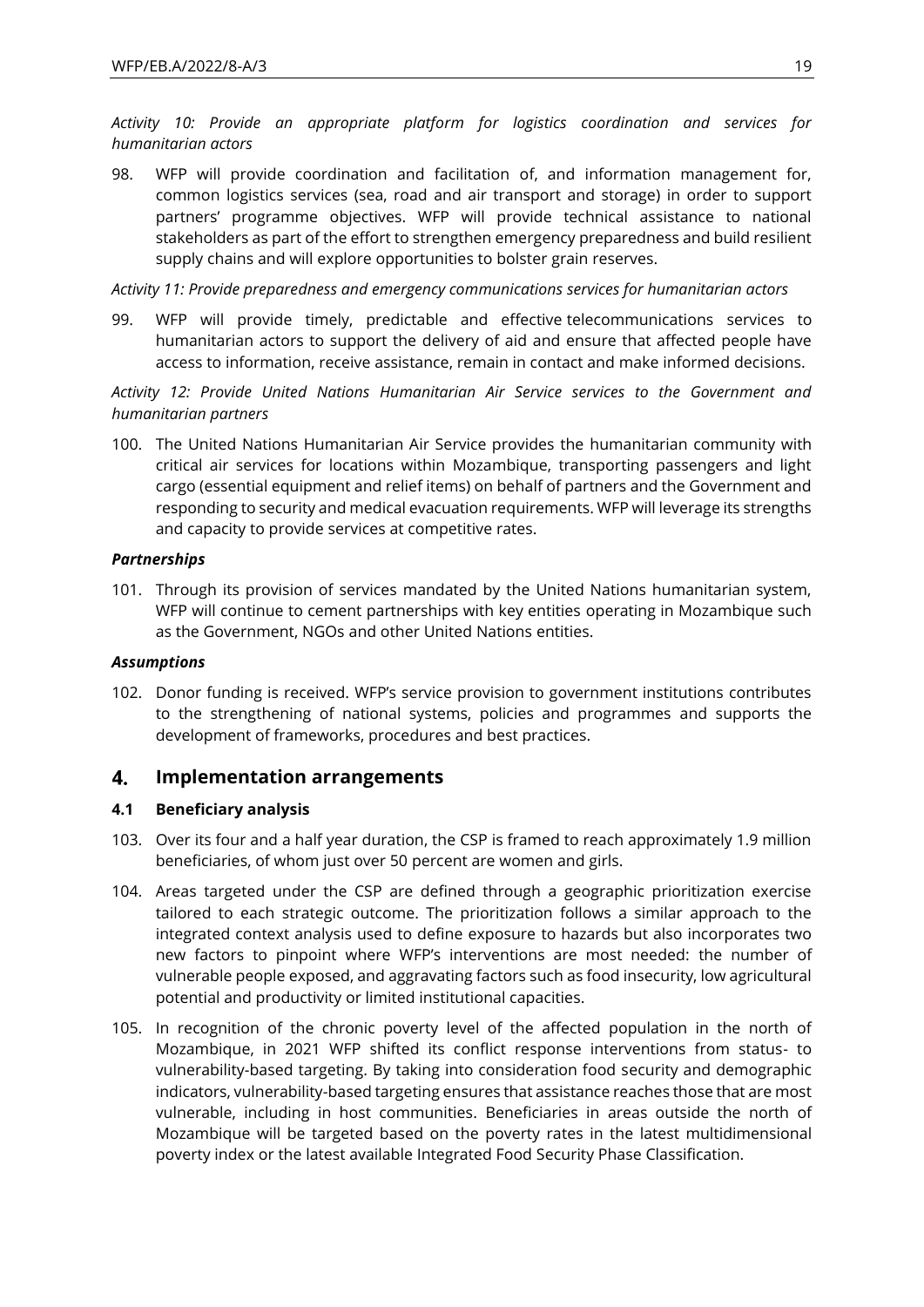*Activity 10: Provide an appropriate platform for logistics coordination and services for humanitarian actors*

98. WFP will provide coordination and facilitation of, and information management for, common logistics services (sea, road and air transport and storage) in order to support partners' programme objectives. WFP will provide technical assistance to national stakeholders as part of the effort to strengthen emergency preparedness and build resilient supply chains and will explore opportunities to bolster grain reserves.

*Activity 11: Provide preparedness and emergency communications services for humanitarian actors*

99. WFP will provide timely, predictable and effective telecommunications services to humanitarian actors to support the delivery of aid and ensure that affected people have access to information, receive assistance, remain in contact and make informed decisions.

*Activity 12: Provide United Nations Humanitarian Air Service services to the Government and humanitarian partners*

100. The United Nations Humanitarian Air Service provides the humanitarian community with critical air services for locations within Mozambique, transporting passengers and light cargo (essential equipment and relief items) on behalf of partners and the Government and responding to security and medical evacuation requirements. WFP will leverage its strengths and capacity to provide services at competitive rates.

#### *Partnerships*

101. Through its provision of services mandated by the United Nations humanitarian system, WFP will continue to cement partnerships with key entities operating in Mozambique such as the Government, NGOs and other United Nations entities.

### *Assumptions*

102. Donor funding is received. WFP's service provision to government institutions contributes to the strengthening of national systems, policies and programmes and supports the development of frameworks, procedures and best practices.

#### 4. **Implementation arrangements**

#### **4.1 Beneficiary analysis**

- 103. Over its four and a half year duration, the CSP is framed to reach approximately 1.9 million beneficiaries, of whom just over 50 percent are women and girls.
- 104. Areas targeted under the CSP are defined through a geographic prioritization exercise tailored to each strategic outcome. The prioritization follows a similar approach to the integrated context analysis used to define exposure to hazards but also incorporates two new factors to pinpoint where WFP's interventions are most needed: the number of vulnerable people exposed, and aggravating factors such as food insecurity, low agricultural potential and productivity or limited institutional capacities.
- 105. In recognition of the chronic poverty level of the affected population in the north of Mozambique, in 2021 WFP shifted its conflict response interventions from status- to vulnerability-based targeting. By taking into consideration food security and demographic indicators, vulnerability-based targeting ensures that assistance reaches those that are most vulnerable, including in host communities. Beneficiaries in areas outside the north of Mozambique will be targeted based on the poverty rates in the latest multidimensional poverty index or the latest available Integrated Food Security Phase Classification.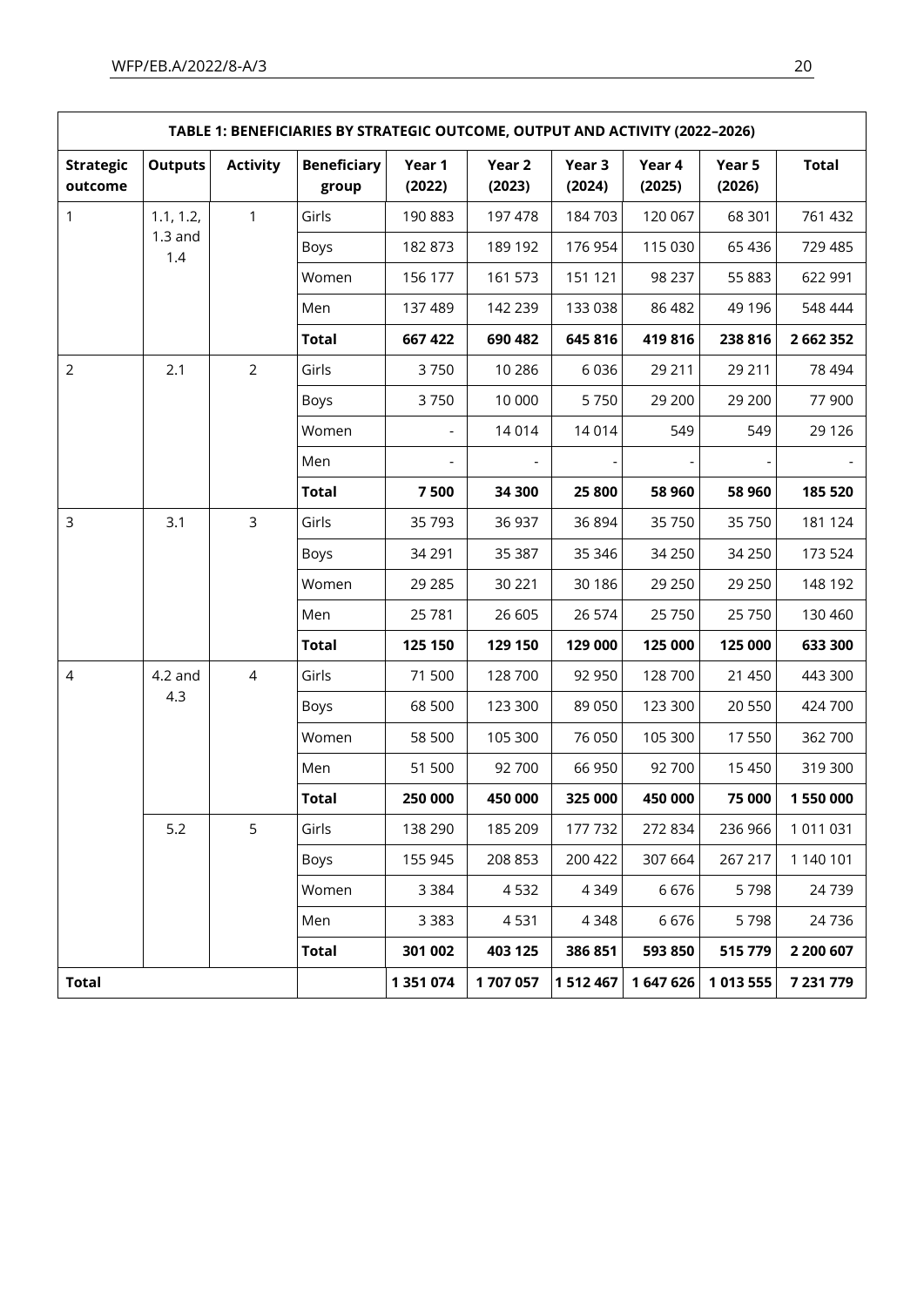|                             |                  |                 | TABLE 1: BENEFICIARIES BY STRATEGIC OUTCOME, OUTPUT AND ACTIVITY (2022-2026) |                          |                  |                  |                  |                  |              |         |
|-----------------------------|------------------|-----------------|------------------------------------------------------------------------------|--------------------------|------------------|------------------|------------------|------------------|--------------|---------|
| <b>Strategic</b><br>outcome | <b>Outputs</b>   | <b>Activity</b> | <b>Beneficiary</b><br>group                                                  | Year 1<br>(2022)         | Year 2<br>(2023) | Year 3<br>(2024) | Year 4<br>(2025) | Year 5<br>(2026) | <b>Total</b> |         |
| $\mathbf{1}$                | 1.1, 1.2,        | 1               | Girls                                                                        | 190 883                  | 197 478          | 184703           | 120 067          | 68 301           | 761 432      |         |
|                             | $1.3$ and<br>1.4 |                 | Boys                                                                         | 182 873                  | 189 192          | 176 954          | 115 030          | 65 436           | 729 485      |         |
|                             |                  |                 | Women                                                                        | 156 177                  | 161 573          | 151 121          | 98 237           | 55 883           | 622 991      |         |
|                             |                  |                 | Men                                                                          | 137 489                  | 142 239          | 133 038          | 86 482           | 49 196           | 548 444      |         |
|                             |                  |                 | <b>Total</b>                                                                 | 667 422                  | 690 482          | 645 816          | 419816           | 238 816          | 2 662 352    |         |
| $\overline{2}$              | 2.1              | $\overline{2}$  | Girls                                                                        | 3750                     | 10 28 6          | 6036             | 29 211           | 29 211           | 78 494       |         |
|                             |                  |                 | Boys                                                                         | 3750                     | 10 000           | 5750             | 29 200           | 29 200           | 77 900       |         |
|                             |                  |                 | Women                                                                        | $\overline{\phantom{a}}$ | 14 0 14          | 14014            | 549              | 549              | 29 1 26      |         |
|                             |                  |                 | Men                                                                          |                          |                  |                  |                  |                  |              |         |
|                             |                  |                 | <b>Total</b>                                                                 | 7500                     | 34 300           | 25 800           | 58 960           | 58 960           | 185 520      |         |
| $\mathsf{3}$                | 3.1              | 3               | Girls                                                                        | 35 793                   | 36 937           | 36 894           | 35 750           | 35 750           | 181 124      |         |
|                             |                  |                 | Boys                                                                         | 34 291                   | 35 387           | 35 346           | 34 250           | 34 250           | 173 524      |         |
|                             |                  |                 | Women                                                                        | 29 28 5                  | 30 221           | 30 186           | 29 250           | 29 250           | 148 192      |         |
|                             |                  |                 | Men                                                                          | 25 781                   | 26 605           | 26 574           | 25 750           | 25 750           | 130 460      |         |
|                             |                  |                 | <b>Total</b>                                                                 | 125 150                  | 129 150          | 129 000          | 125 000          | 125 000          | 633 300      |         |
| $\overline{4}$              | $4.2$ and<br>4.3 |                 | $\overline{4}$                                                               | Girls                    | 71 500           | 128 700          | 92 950           | 128 700          | 21 450       | 443 300 |
|                             |                  |                 |                                                                              | Boys                     | 68 500           | 123 300          | 89 050           | 123 300          | 20 550       | 424 700 |
|                             |                  |                 |                                                                              | Women                    | 58 500           | 105 300          | 76 050           | 105 300          | 17 550       | 362 700 |
|                             |                  |                 | Men                                                                          | 51 500                   | 92 700           | 66 950           | 92 700           | 15 450           | 319 300      |         |
|                             |                  |                 | <b>Total</b>                                                                 | 250 000                  | 450 000          | 325 000          | 450 000          | 75 000           | 1550000      |         |
|                             | 5.2              | 5               | Girls                                                                        | 138 290                  | 185 209          | 177732           | 272 834          | 236 966          | 1 011 031    |         |
|                             |                  |                 | Boys                                                                         | 155 945                  | 208 853          | 200 422          | 307 664          | 267 217          | 1 140 101    |         |
|                             |                  |                 | Women                                                                        | 3 3 8 4                  | 4532             | 4 3 4 9          | 6676             | 5798             | 24 7 39      |         |
|                             |                  |                 | Men                                                                          | 3 3 8 3                  | 4531             | 4 3 4 8          | 6676             | 5798             | 24 7 36      |         |
|                             |                  |                 | <b>Total</b>                                                                 | 301 002                  | 403 125          | 386851           | 593 850          | 515 779          | 2 200 607    |         |
| <b>Total</b>                |                  |                 |                                                                              | 1 351 074                | 1707057          | 1512467          | 1 647 626        | 1 013 555        | 7 231 779    |         |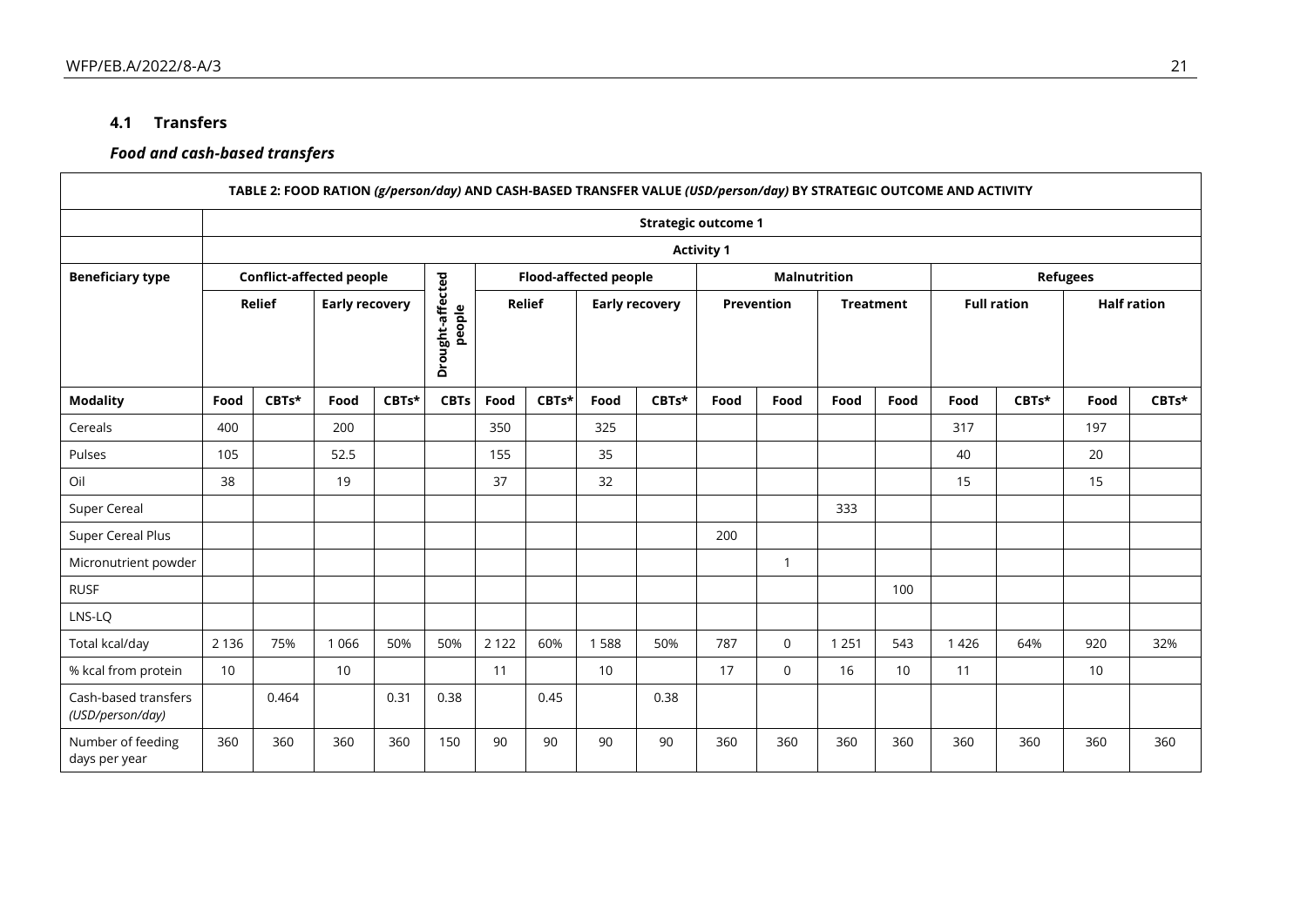## **4.1 Transfers**

## *Food and cash-based transfers*

|                                          |                   |       |                                                     |       |               |         |                              |      |            |                            |                     |         |                    | TABLE 2: FOOD RATION (g/person/day) AND CASH-BASED TRANSFER VALUE (USD/person/day) BY STRATEGIC OUTCOME AND ACTIVITY |                    |      |       |  |
|------------------------------------------|-------------------|-------|-----------------------------------------------------|-------|---------------|---------|------------------------------|------|------------|----------------------------|---------------------|---------|--------------------|----------------------------------------------------------------------------------------------------------------------|--------------------|------|-------|--|
|                                          |                   |       |                                                     |       |               |         |                              |      |            | <b>Strategic outcome 1</b> |                     |         |                    |                                                                                                                      |                    |      |       |  |
|                                          | <b>Activity 1</b> |       |                                                     |       |               |         |                              |      |            |                            |                     |         |                    |                                                                                                                      |                    |      |       |  |
| <b>Beneficiary type</b>                  |                   |       | <b>Conflict-affected people</b>                     |       |               |         | <b>Flood-affected people</b> |      |            |                            | <b>Malnutrition</b> |         |                    |                                                                                                                      | <b>Refugees</b>    |      |       |  |
|                                          | <b>Relief</b>     |       | Drought-affected<br><b>Early recovery</b><br>people |       | <b>Relief</b> |         | <b>Early recovery</b>        |      | Prevention |                            | <b>Treatment</b>    |         | <b>Full ration</b> |                                                                                                                      | <b>Half ration</b> |      |       |  |
| <b>Modality</b>                          | Food              | CBTs* | Food                                                | CBTs* | <b>CBTs</b>   | Food    | CBTs*                        | Food | CBTs*      | Food                       | Food                | Food    | Food               | Food                                                                                                                 | CBTs*              | Food | CBTs* |  |
| Cereals                                  | 400               |       | 200                                                 |       |               | 350     |                              | 325  |            |                            |                     |         |                    | 317                                                                                                                  |                    | 197  |       |  |
| Pulses                                   | 105               |       | 52.5                                                |       |               | 155     |                              | 35   |            |                            |                     |         |                    | 40                                                                                                                   |                    | 20   |       |  |
| Oil                                      | 38                |       | 19                                                  |       |               | 37      |                              | 32   |            |                            |                     |         |                    | 15                                                                                                                   |                    | 15   |       |  |
| Super Cereal                             |                   |       |                                                     |       |               |         |                              |      |            |                            |                     | 333     |                    |                                                                                                                      |                    |      |       |  |
| Super Cereal Plus                        |                   |       |                                                     |       |               |         |                              |      |            | 200                        |                     |         |                    |                                                                                                                      |                    |      |       |  |
| Micronutrient powder                     |                   |       |                                                     |       |               |         |                              |      |            |                            | $\mathbf{1}$        |         |                    |                                                                                                                      |                    |      |       |  |
| <b>RUSF</b>                              |                   |       |                                                     |       |               |         |                              |      |            |                            |                     |         | 100                |                                                                                                                      |                    |      |       |  |
| LNS-LQ                                   |                   |       |                                                     |       |               |         |                              |      |            |                            |                     |         |                    |                                                                                                                      |                    |      |       |  |
| Total kcal/day                           | 2 1 3 6           | 75%   | 1 0 6 6                                             | 50%   | 50%           | 2 1 2 2 | 60%                          | 1588 | 50%        | 787                        | $\Omega$            | 1 2 5 1 | 543                | 1 4 2 6                                                                                                              | 64%                | 920  | 32%   |  |
| % kcal from protein                      | 10                |       | 10                                                  |       |               | 11      |                              | 10   |            | 17                         | $\Omega$            | 16      | 10                 | 11                                                                                                                   |                    | 10   |       |  |
| Cash-based transfers<br>(USD/person/day) |                   | 0.464 |                                                     | 0.31  | 0.38          |         | 0.45                         |      | 0.38       |                            |                     |         |                    |                                                                                                                      |                    |      |       |  |
| Number of feeding<br>days per year       | 360               | 360   | 360                                                 | 360   | 150           | 90      | 90                           | 90   | 90         | 360                        | 360                 | 360     | 360                | 360                                                                                                                  | 360                | 360  | 360   |  |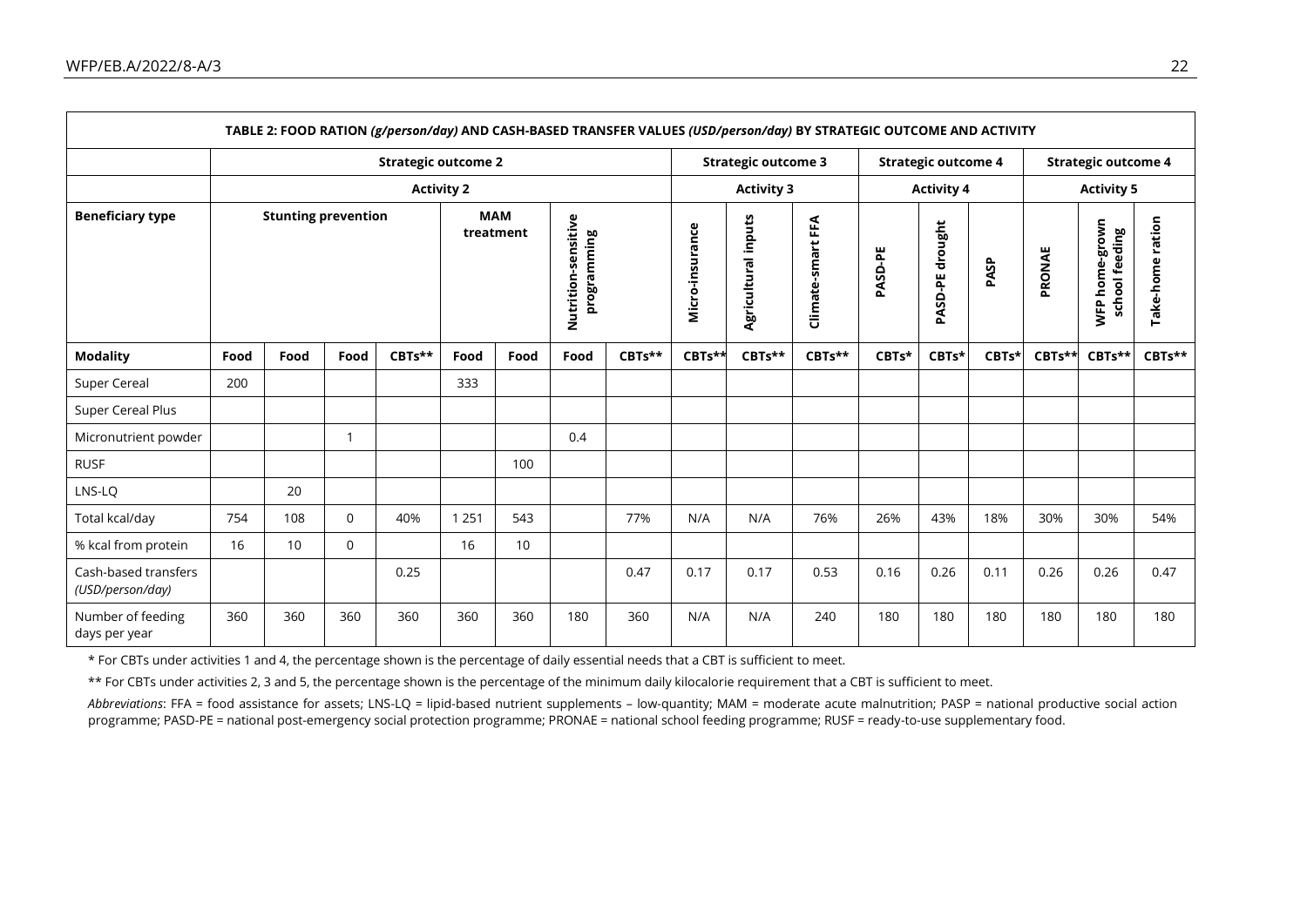| TABLE 2: FOOD RATION (g/person/day) AND CASH-BASED TRANSFER VALUES (USD/person/day) BY STRATEGIC OUTCOME AND ACTIVITY |      |                            |          |                            |                   |                         |                                    |        |                 |                            |                            |         |                   |                            |                   |                                  |                  |
|-----------------------------------------------------------------------------------------------------------------------|------|----------------------------|----------|----------------------------|-------------------|-------------------------|------------------------------------|--------|-----------------|----------------------------|----------------------------|---------|-------------------|----------------------------|-------------------|----------------------------------|------------------|
|                                                                                                                       |      |                            |          | <b>Strategic outcome 2</b> |                   |                         |                                    |        |                 | <b>Strategic outcome 3</b> | <b>Strategic outcome 4</b> |         |                   | <b>Strategic outcome 4</b> |                   |                                  |                  |
|                                                                                                                       |      |                            |          |                            | <b>Activity 2</b> |                         |                                    |        |                 | <b>Activity 3</b>          |                            |         | <b>Activity 4</b> |                            | <b>Activity 5</b> |                                  |                  |
| <b>Beneficiary type</b>                                                                                               |      | <b>Stunting prevention</b> |          |                            |                   | <b>MAM</b><br>treatment | Nutrition-sensitive<br>programming |        | Micro-insurance | <b>Agricultural inputs</b> | Climate-smart FFA          | PASD-PE | PASD-PE drought   | PASP                       | PRONAE            | WFP home-grown<br>school feeding | Take-home ration |
| <b>Modality</b>                                                                                                       | Food | Food                       | Food     | $CBTs**$                   | Food              | Food                    | Food                               | CBTs** | CBTs**          | CBTs**                     | CBTs**                     | CBTs*   | CBTs*             | CBTs*                      | CBTs**            | CBTs**                           | CBTs**           |
| Super Cereal                                                                                                          | 200  |                            |          |                            | 333               |                         |                                    |        |                 |                            |                            |         |                   |                            |                   |                                  |                  |
| Super Cereal Plus                                                                                                     |      |                            |          |                            |                   |                         |                                    |        |                 |                            |                            |         |                   |                            |                   |                                  |                  |
| Micronutrient powder                                                                                                  |      |                            |          |                            |                   |                         | 0.4                                |        |                 |                            |                            |         |                   |                            |                   |                                  |                  |
| <b>RUSF</b>                                                                                                           |      |                            |          |                            |                   | 100                     |                                    |        |                 |                            |                            |         |                   |                            |                   |                                  |                  |
| LNS-LQ                                                                                                                |      | 20                         |          |                            |                   |                         |                                    |        |                 |                            |                            |         |                   |                            |                   |                                  |                  |
| Total kcal/day                                                                                                        | 754  | 108                        | $\Omega$ | 40%                        | 1 2 5 1           | 543                     |                                    | 77%    | N/A             | N/A                        | 76%                        | 26%     | 43%               | 18%                        | 30%               | 30%                              | 54%              |
| % kcal from protein                                                                                                   | 16   | 10                         | $\Omega$ |                            | 16                | 10                      |                                    |        |                 |                            |                            |         |                   |                            |                   |                                  |                  |
| Cash-based transfers<br>(USD/person/day)                                                                              |      |                            |          | 0.25                       |                   |                         |                                    | 0.47   | 0.17            | 0.17                       | 0.53                       | 0.16    | 0.26              | 0.11                       | 0.26              | 0.26                             | 0.47             |
| Number of feeding<br>days per year                                                                                    | 360  | 360                        | 360      | 360                        | 360               | 360                     | 180                                | 360    | N/A             | N/A                        | 240                        | 180     | 180               | 180                        | 180               | 180                              | 180              |

\* For CBTs under activities 1 and 4, the percentage shown is the percentage of daily essential needs that a CBT is sufficient to meet.

\*\* For CBTs under activities 2, 3 and 5, the percentage shown is the percentage of the minimum daily kilocalorie requirement that a CBT is sufficient to meet.

*Abbreviations*: FFA = food assistance for assets; LNS-LQ = lipid-based nutrient supplements – low-quantity; MAM = moderate acute malnutrition; PASP = national productive social action programme; PASD-PE = national post-emergency social protection programme; PRONAE = national school feeding programme; RUSF = ready-to-use supplementary food.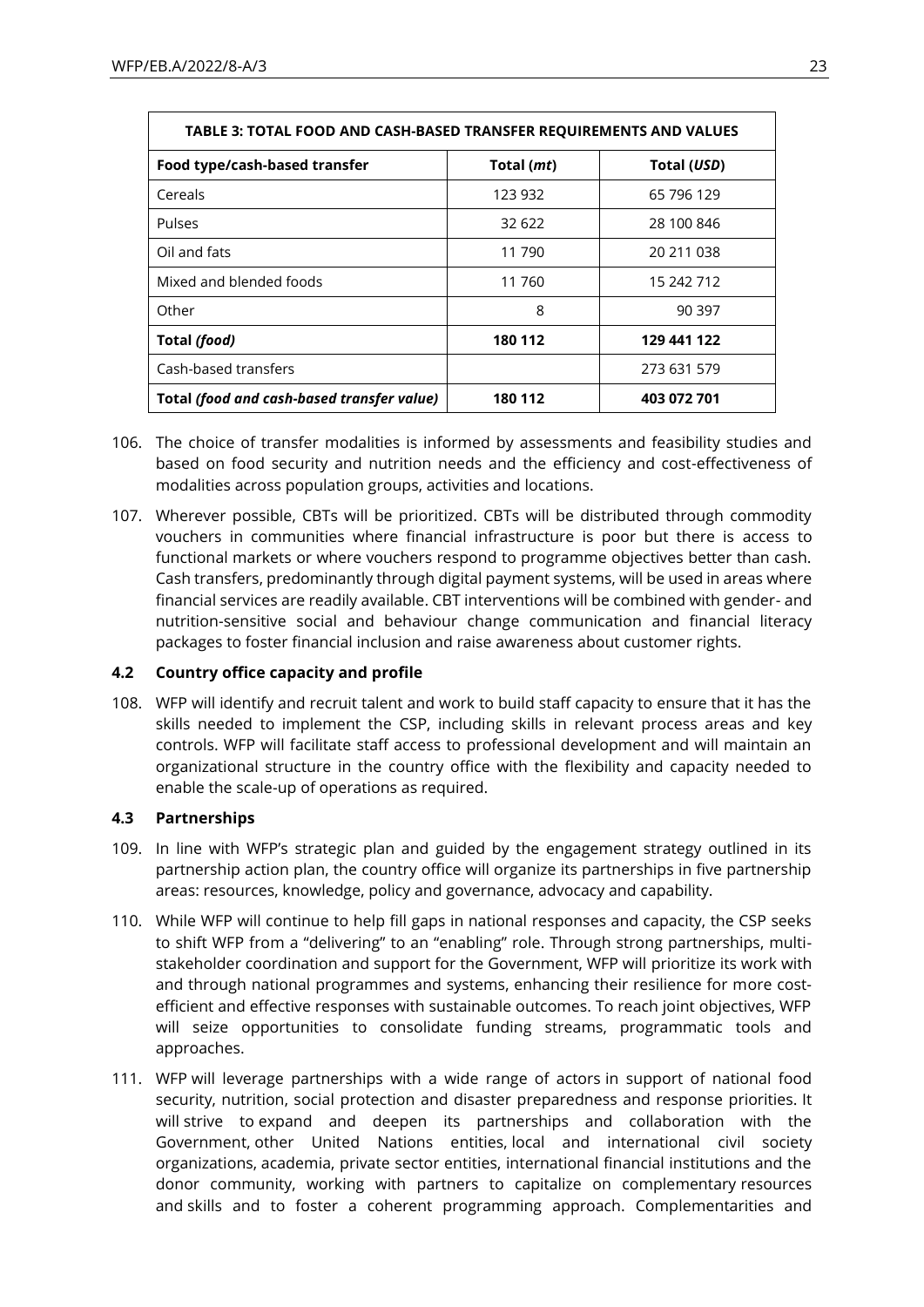| TABLE 3: TOTAL FOOD AND CASH-BASED TRANSFER REQUIREMENTS AND VALUES |            |             |  |  |  |  |
|---------------------------------------------------------------------|------------|-------------|--|--|--|--|
| Food type/cash-based transfer                                       | Total (mt) | Total (USD) |  |  |  |  |
| Cereals                                                             | 123 932    | 65 796 129  |  |  |  |  |
| Pulses                                                              | 32 622     | 28 100 846  |  |  |  |  |
| Oil and fats                                                        | 11 790     | 20 211 038  |  |  |  |  |
| Mixed and blended foods                                             | 11 760     | 15 242 712  |  |  |  |  |
| Other                                                               | 8          | 90 397      |  |  |  |  |
| Total <i>(food)</i>                                                 | 180 112    | 129 441 122 |  |  |  |  |
| Cash-based transfers                                                |            | 273 631 579 |  |  |  |  |
| Total (food and cash-based transfer value)                          | 180 112    | 403 072 701 |  |  |  |  |

- 106. The choice of transfer modalities is informed by assessments and feasibility studies and based on food security and nutrition needs and the efficiency and cost-effectiveness of modalities across population groups, activities and locations.
- 107. Wherever possible, CBTs will be prioritized. CBTs will be distributed through commodity vouchers in communities where financial infrastructure is poor but there is access to functional markets or where vouchers respond to programme objectives better than cash. Cash transfers, predominantly through digital payment systems, will be used in areas where financial services are readily available. CBT interventions will be combined with gender- and nutrition-sensitive social and behaviour change communication and financial literacy packages to foster financial inclusion and raise awareness about customer rights.

### **4.2 Country office capacity and profile**

108. WFP will identify and recruit talent and work to build staff capacity to ensure that it has the skills needed to implement the CSP, including skills in relevant process areas and key controls. WFP will facilitate staff access to professional development and will maintain an organizational structure in the country office with the flexibility and capacity needed to enable the scale-up of operations as required.

### **4.3 Partnerships**

- 109. In line with WFP's strategic plan and guided by the engagement strategy outlined in its partnership action plan, the country office will organize its partnerships in five partnership areas: resources, knowledge, policy and governance, advocacy and capability.
- 110. While WFP will continue to help fill gaps in national responses and capacity, the CSP seeks to shift WFP from a "delivering" to an "enabling" role. Through strong partnerships, multistakeholder coordination and support for the Government, WFP will prioritize its work with and through national programmes and systems, enhancing their resilience for more costefficient and effective responses with sustainable outcomes. To reach joint objectives, WFP will seize opportunities to consolidate funding streams, programmatic tools and approaches.
- 111. WFP will leverage partnerships with a wide range of actors in support of national food security, nutrition, social protection and disaster preparedness and response priorities. It will strive to expand and deepen its partnerships and collaboration with the Government, other United Nations entities, local and international civil society organizations, academia, private sector entities, international financial institutions and the donor community, working with partners to capitalize on complementary resources and skills and to foster a coherent programming approach. Complementarities and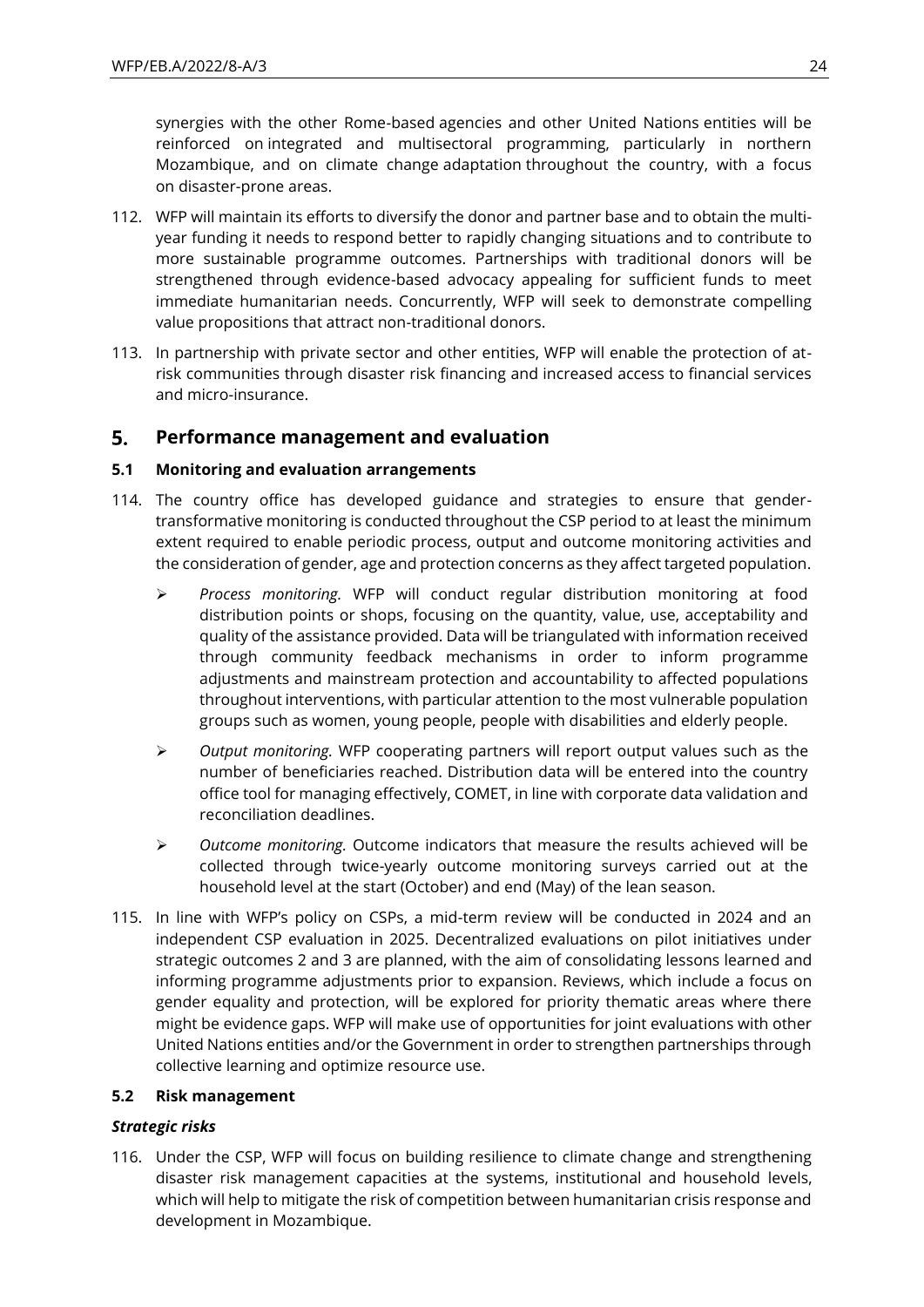synergies with the other Rome-based agencies and other United Nations entities will be reinforced on integrated and multisectoral programming, particularly in northern Mozambique, and on climate change adaptation throughout the country, with a focus on disaster-prone areas.

- 112. WFP will maintain its efforts to diversify the donor and partner base and to obtain the multiyear funding it needs to respond better to rapidly changing situations and to contribute to more sustainable programme outcomes. Partnerships with traditional donors will be strengthened through evidence-based advocacy appealing for sufficient funds to meet immediate humanitarian needs. Concurrently, WFP will seek to demonstrate compelling value propositions that attract non-traditional donors.
- 113. In partnership with private sector and other entities, WFP will enable the protection of atrisk communities through disaster risk financing and increased access to financial services and micro-insurance.

#### 5. **Performance management and evaluation**

### **5.1 Monitoring and evaluation arrangements**

- 114. The country office has developed guidance and strategies to ensure that gendertransformative monitoring is conducted throughout the CSP period to at least the minimum extent required to enable periodic process, output and outcome monitoring activities and the consideration of gender, age and protection concerns as they affect targeted population.
	- ➢ *Process monitoring.* WFP will conduct regular distribution monitoring at food distribution points or shops, focusing on the quantity, value, use, acceptability and quality of the assistance provided. Data will be triangulated with information received through community feedback mechanisms in order to inform programme adjustments and mainstream protection and accountability to affected populations throughout interventions, with particular attention to the most vulnerable population groups such as women, young people, people with disabilities and elderly people.
	- ➢ *Output monitoring.* WFP cooperating partners will report output values such as the number of beneficiaries reached. Distribution data will be entered into the country office tool for managing effectively, COMET, in line with corporate data validation and reconciliation deadlines.
	- ➢ *Outcome monitoring.* Outcome indicators that measure the results achieved will be collected through twice-yearly outcome monitoring surveys carried out at the household level at the start (October) and end (May) of the lean season.
- 115. In line with WFP's policy on CSPs, a mid-term review will be conducted in 2024 and an independent CSP evaluation in 2025. Decentralized evaluations on pilot initiatives under strategic outcomes 2 and 3 are planned, with the aim of consolidating lessons learned and informing programme adjustments prior to expansion. Reviews, which include a focus on gender equality and protection, will be explored for priority thematic areas where there might be evidence gaps. WFP will make use of opportunities for joint evaluations with other United Nations entities and/or the Government in order to strengthen partnerships through collective learning and optimize resource use.

#### **5.2 Risk management**

### *Strategic risks*

116. Under the CSP, WFP will focus on building resilience to climate change and strengthening disaster risk management capacities at the systems, institutional and household levels, which will help to mitigate the risk of competition between humanitarian crisis response and development in Mozambique.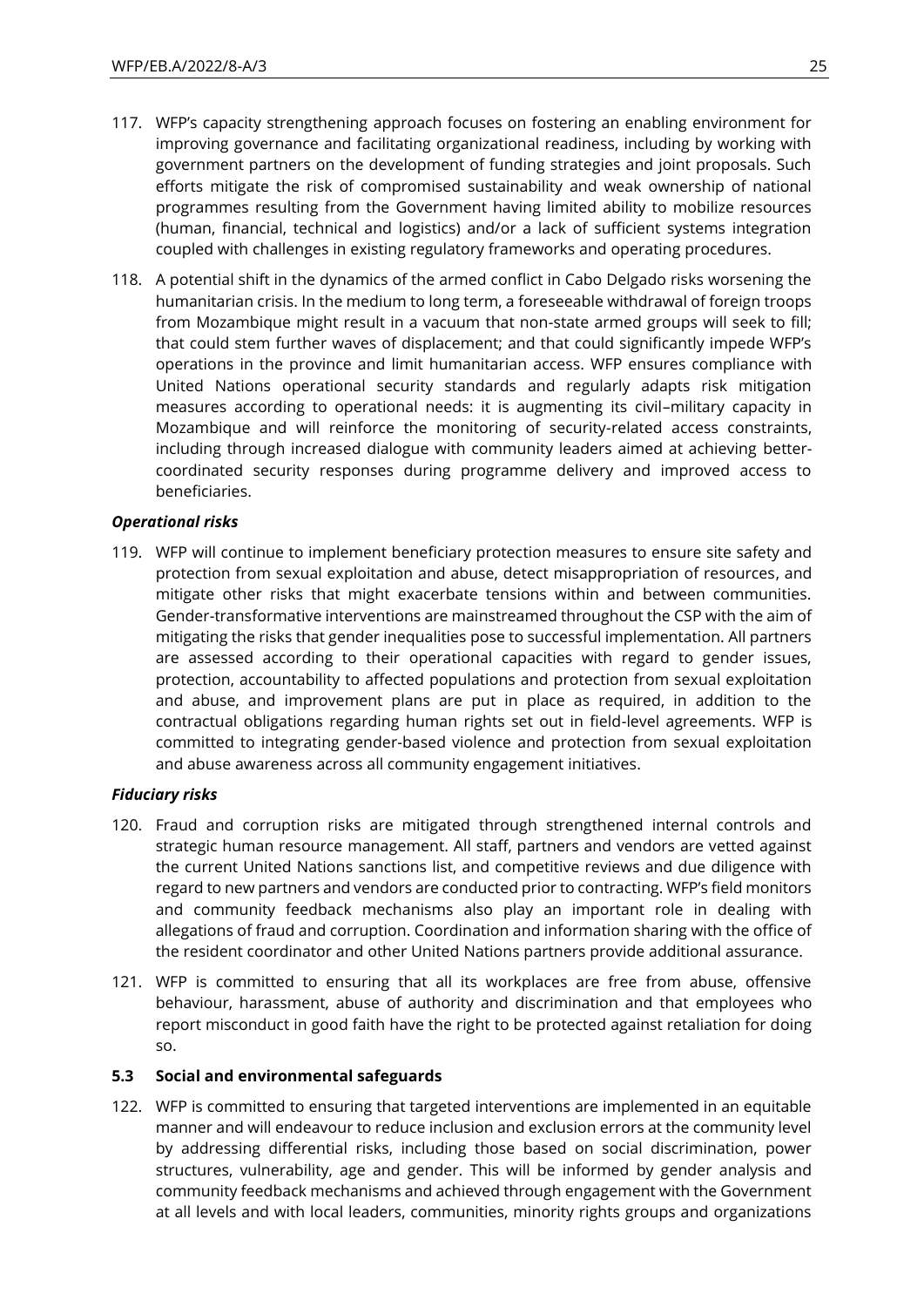- 117. WFP's capacity strengthening approach focuses on fostering an enabling environment for improving governance and facilitating organizational readiness, including by working with government partners on the development of funding strategies and joint proposals. Such efforts mitigate the risk of compromised sustainability and weak ownership of national programmes resulting from the Government having limited ability to mobilize resources (human, financial, technical and logistics) and/or a lack of sufficient systems integration coupled with challenges in existing regulatory frameworks and operating procedures.
- 118. A potential shift in the dynamics of the armed conflict in Cabo Delgado risks worsening the humanitarian crisis. In the medium to long term, a foreseeable withdrawal of foreign troops from Mozambique might result in a vacuum that non-state armed groups will seek to fill; that could stem further waves of displacement; and that could significantly impede WFP's operations in the province and limit humanitarian access. WFP ensures compliance with United Nations operational security standards and regularly adapts risk mitigation measures according to operational needs: it is augmenting its civil–military capacity in Mozambique and will reinforce the monitoring of security-related access constraints, including through increased dialogue with community leaders aimed at achieving bettercoordinated security responses during programme delivery and improved access to beneficiaries.

### *Operational risks*

119. WFP will continue to implement beneficiary protection measures to ensure site safety and protection from sexual exploitation and abuse, detect misappropriation of resources, and mitigate other risks that might exacerbate tensions within and between communities. Gender-transformative interventions are mainstreamed throughout the CSP with the aim of mitigating the risks that gender inequalities pose to successful implementation. All partners are assessed according to their operational capacities with regard to gender issues, protection, accountability to affected populations and protection from sexual exploitation and abuse, and improvement plans are put in place as required, in addition to the contractual obligations regarding human rights set out in field-level agreements. WFP is committed to integrating gender-based violence and protection from sexual exploitation and abuse awareness across all community engagement initiatives.

### *Fiduciary risks*

- 120. Fraud and corruption risks are mitigated through strengthened internal controls and strategic human resource management. All staff, partners and vendors are vetted against the current United Nations sanctions list, and competitive reviews and due diligence with regard to new partners and vendors are conducted prior to contracting. WFP's field monitors and community feedback mechanisms also play an important role in dealing with allegations of fraud and corruption. Coordination and information sharing with the office of the resident coordinator and other United Nations partners provide additional assurance.
- 121. WFP is committed to ensuring that all its workplaces are free from abuse, offensive behaviour, harassment, abuse of authority and discrimination and that employees who report misconduct in good faith have the right to be protected against retaliation for doing so.

#### **5.3 Social and environmental safeguards**

122. WFP is committed to ensuring that targeted interventions are implemented in an equitable manner and will endeavour to reduce inclusion and exclusion errors at the community level by addressing differential risks, including those based on social discrimination, power structures, vulnerability, age and gender. This will be informed by gender analysis and community feedback mechanisms and achieved through engagement with the Government at all levels and with local leaders, communities, minority rights groups and organizations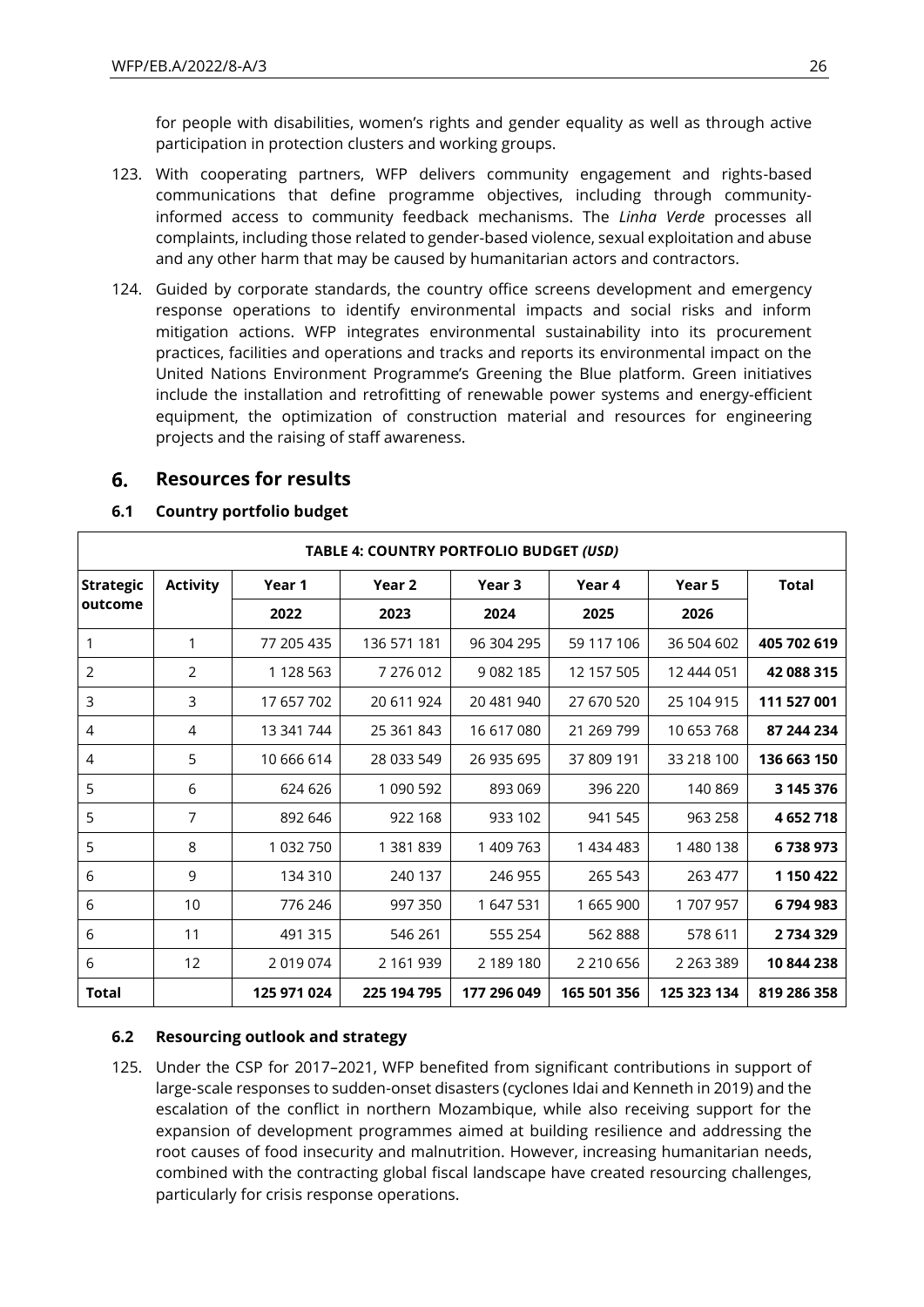for people with disabilities, women's rights and gender equality as well as through active participation in protection clusters and working groups.

- 123. With cooperating partners, WFP delivers community engagement and rights-based communications that define programme objectives, including through communityinformed access to community feedback mechanisms. The *Linha Verde* processes all complaints, including those related to gender-based violence, sexual exploitation and abuse and any other harm that may be caused by humanitarian actors and contractors.
- 124. Guided by corporate standards, the country office screens development and emergency response operations to identify environmental impacts and social risks and inform mitigation actions. WFP integrates environmental sustainability into its procurement practices, facilities and operations and tracks and reports its environmental impact on the United Nations Environment Programme's Greening the Blue platform. Green initiatives include the installation and retrofitting of renewable power systems and energy-efficient equipment, the optimization of construction material and resources for engineering projects and the raising of staff awareness.

#### 6. **Resources for results**

### **6.1 Country portfolio budget**

|                  |                 |             | TABLE 4: COUNTRY PORTFOLIO BUDGET (USD) |                   |             |               |              |
|------------------|-----------------|-------------|-----------------------------------------|-------------------|-------------|---------------|--------------|
| <b>Strategic</b> | <b>Activity</b> | Year 1      | Year <sub>2</sub>                       | Year <sub>3</sub> | Year 4      | Year 5        | <b>Total</b> |
| outcome          |                 | 2022        | 2023                                    | 2024              | 2025        | 2026          |              |
|                  | 1               | 77 205 435  | 136 571 181                             | 96 304 295        | 59 117 106  | 36 504 602    | 405 702 619  |
| 2                | 2               | 1 128 563   | 7 276 012                               | 9 0 8 2 1 8 5     | 12 157 505  | 12 444 051    | 42 088 315   |
| 3                | 3               | 17 657 702  | 20 611 924                              | 20 481 940        | 27 670 520  | 25 104 915    | 111 527 001  |
| 4                | $\overline{4}$  | 13 341 744  | 25 361 843                              | 16 617 080        | 21 269 799  | 10 653 768    | 87 244 234   |
| 4                | 5               | 10 666 614  | 28 033 549                              | 26 935 695        | 37 809 191  | 33 218 100    | 136 663 150  |
| 5                | 6               | 624 626     | 1 090 592                               | 893 069           | 396 220     | 140 869       | 3 145 376    |
| 5                | 7               | 892 646     | 922 168                                 | 933 102           | 941 545     | 963 258       | 4652718      |
| 5                | 8               | 1 032 750   | 1 381 839                               | 1 409 763         | 1 434 483   | 1480138       | 6738973      |
| 6                | 9               | 134 310     | 240 137                                 | 246 955           | 265 543     | 263 477       | 1 150 422    |
| 6                | 10              | 776 246     | 997 350                                 | 1 647 531         | 1 665 900   | 1707957       | 6794983      |
| 6                | 11              | 491 315     | 546 261                                 | 555 254           | 562 888     | 578 611       | 2 734 329    |
| 6                | 12              | 2 019 074   | 2 161 939                               | 2 189 180         | 2 210 656   | 2 2 6 3 3 8 9 | 10 844 238   |
| <b>Total</b>     |                 | 125 971 024 | 225 194 795                             | 177 296 049       | 165 501 356 | 125 323 134   | 819 286 358  |

### **6.2 Resourcing outlook and strategy**

125. Under the CSP for 2017–2021, WFP benefited from significant contributions in support of large-scale responses to sudden-onset disasters (cyclones Idai and Kenneth in 2019) and the escalation of the conflict in northern Mozambique, while also receiving support for the expansion of development programmes aimed at building resilience and addressing the root causes of food insecurity and malnutrition. However, increasing humanitarian needs, combined with the contracting global fiscal landscape have created resourcing challenges, particularly for crisis response operations.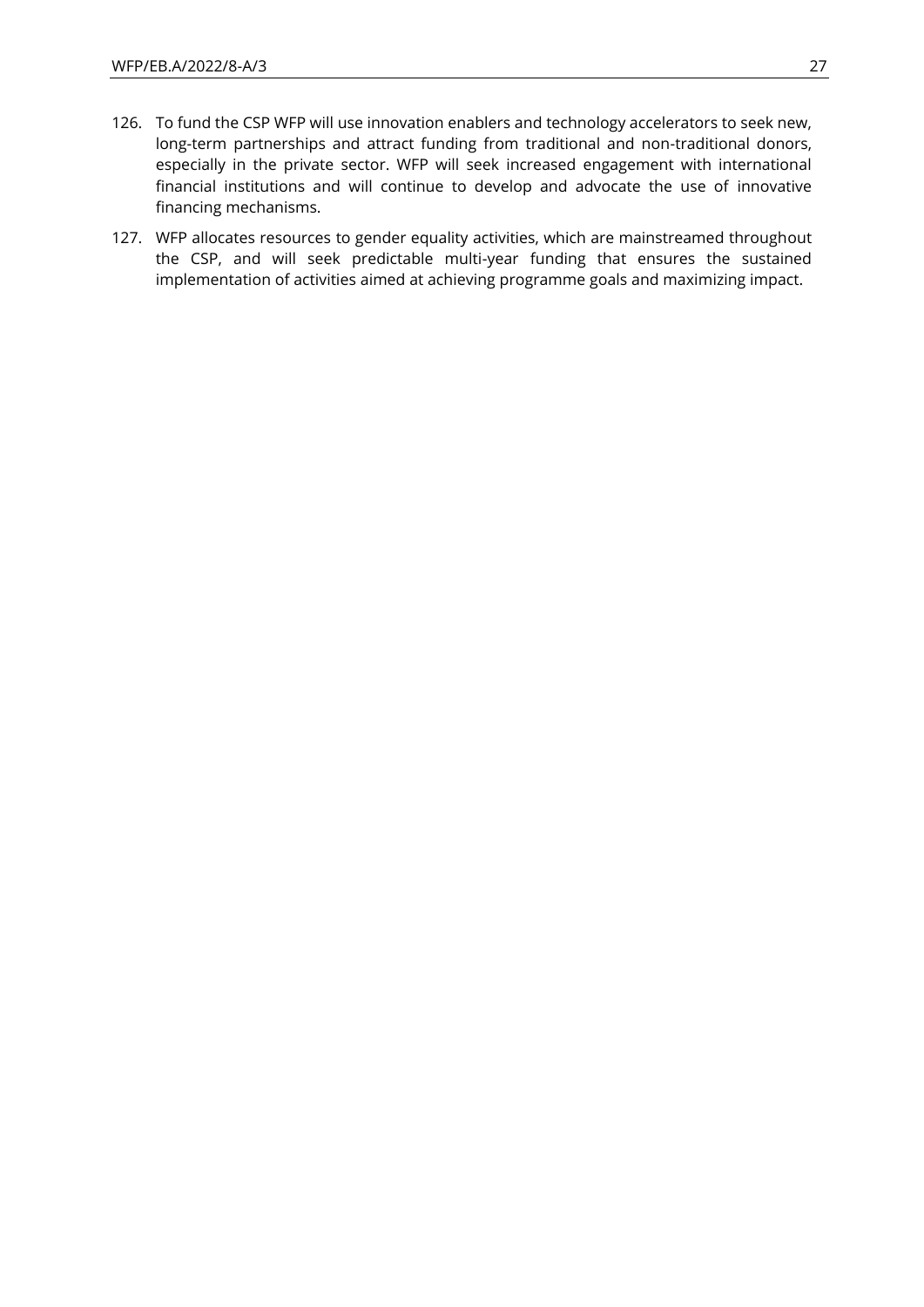- 126. To fund the CSP WFP will use innovation enablers and technology accelerators to seek new, long-term partnerships and attract funding from traditional and non-traditional donors, especially in the private sector. WFP will seek increased engagement with international financial institutions and will continue to develop and advocate the use of innovative financing mechanisms.
- 127. WFP allocates resources to gender equality activities, which are mainstreamed throughout the CSP, and will seek predictable multi-year funding that ensures the sustained implementation of activities aimed at achieving programme goals and maximizing impact.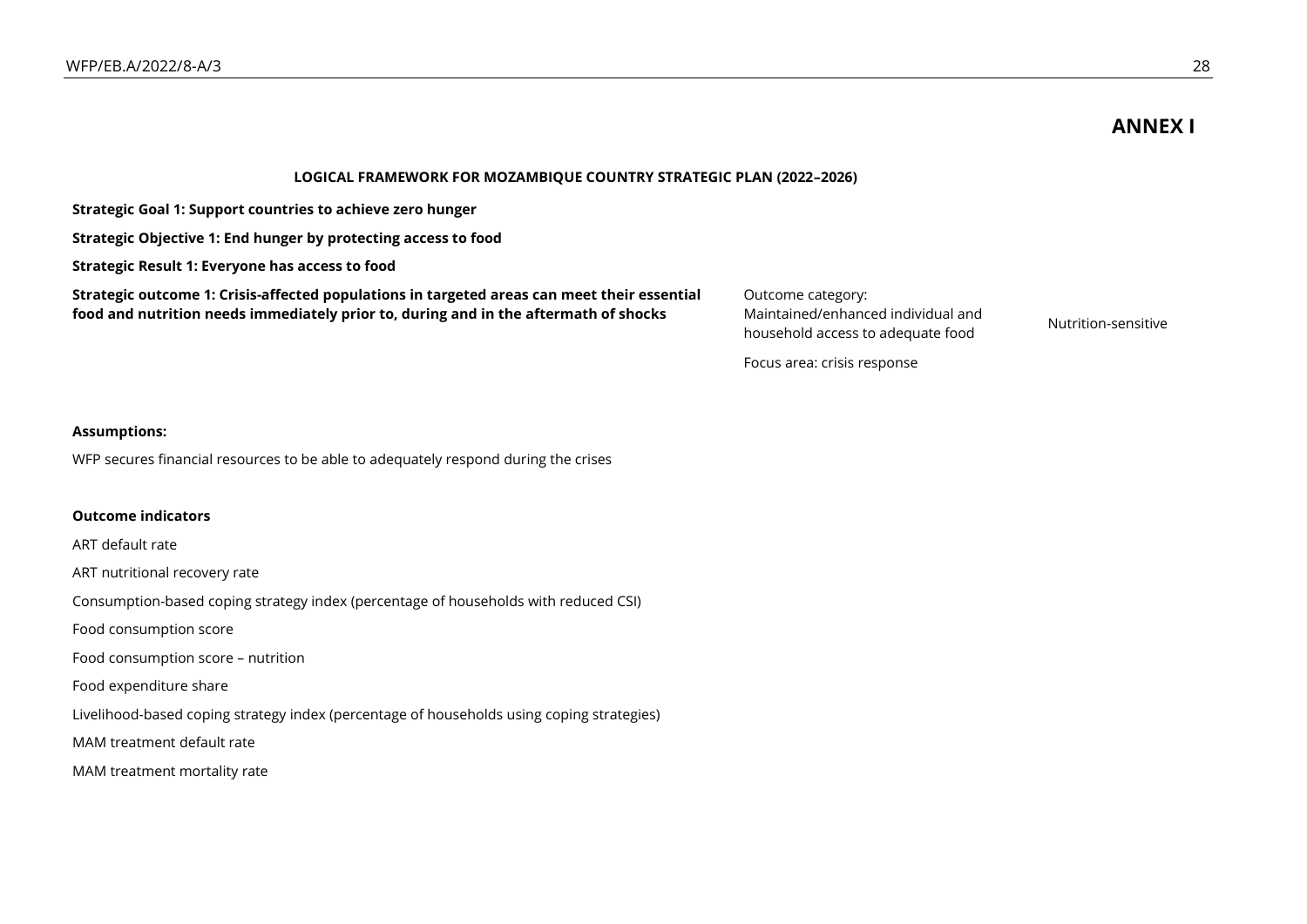## **ANNEX I**

#### **LOGICAL FRAMEWORK FOR MOZAMBIQUE COUNTRY STRATEGIC PLAN (2022–2026)**

**Strategic Goal 1: Support countries to achieve zero hunger**

**Strategic Objective 1: End hunger by protecting access to food**

**Strategic Result 1: Everyone has access to food**

**Strategic outcome 1: Crisis-affected populations in targeted areas can meet their essential food and nutrition needs immediately prior to, during and in the aftermath of shocks**

Outcome category: Maintained/enhanced individual and Mutrition-sensitive<br>household access to adequate food Nutrition-sensitive

Focus area: crisis response

#### **Assumptions:**

WFP secures financial resources to be able to adequately respond during the crises

#### **Outcome indicators**

ART default rate

ART nutritional recovery rate

Consumption-based coping strategy index (percentage of households with reduced CSI)

Food consumption score

Food consumption score – nutrition

Food expenditure share

Livelihood-based coping strategy index (percentage of households using coping strategies)

MAM treatment default rate

MAM treatment mortality rate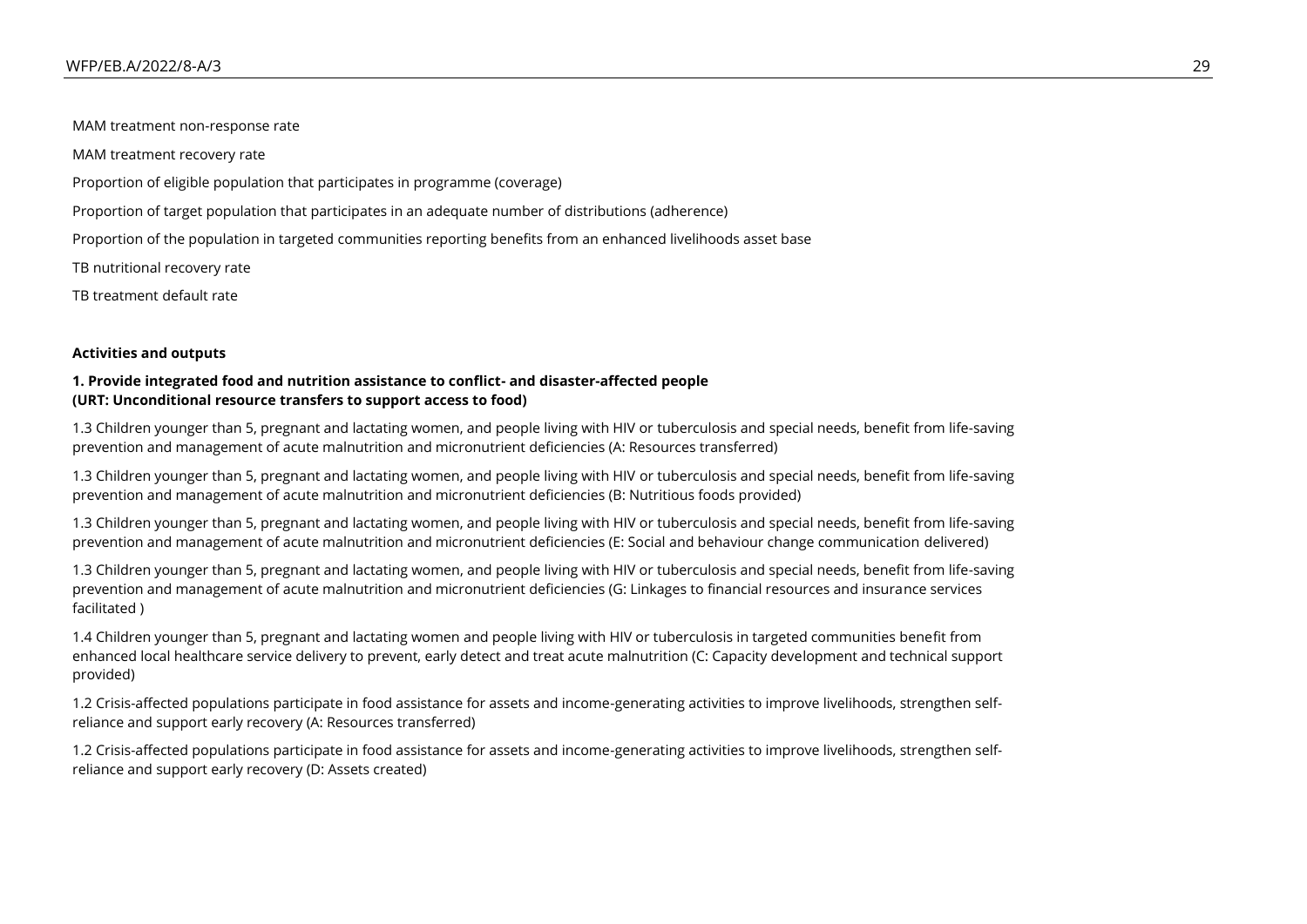MAM treatment non-response rate

MAM treatment recovery rate

Proportion of eligible population that participates in programme (coverage)

Proportion of target population that participates in an adequate number of distributions (adherence)

Proportion of the population in targeted communities reporting benefits from an enhanced livelihoods asset base

TB nutritional recovery rate

TB treatment default rate

#### **Activities and outputs**

#### **1. Provide integrated food and nutrition assistance to conflict- and disaster-affected people (URT: Unconditional resource transfers to support access to food)**

1.3 Children younger than 5, pregnant and lactating women, and people living with HIV or tuberculosis and special needs, benefit from life-saving prevention and management of acute malnutrition and micronutrient deficiencies (A: Resources transferred)

1.3 Children younger than 5, pregnant and lactating women, and people living with HIV or tuberculosis and special needs, benefit from life-saving prevention and management of acute malnutrition and micronutrient deficiencies (B: Nutritious foods provided)

1.3 Children younger than 5, pregnant and lactating women, and people living with HIV or tuberculosis and special needs, benefit from life-saving prevention and management of acute malnutrition and micronutrient deficiencies (E: Social and behaviour change communication delivered)

1.3 Children younger than 5, pregnant and lactating women, and people living with HIV or tuberculosis and special needs, benefit from life-saving prevention and management of acute malnutrition and micronutrient deficiencies (G: Linkages to financial resources and insurance services facilitated )

1.4 Children younger than 5, pregnant and lactating women and people living with HIV or tuberculosis in targeted communities benefit from enhanced local healthcare service delivery to prevent, early detect and treat acute malnutrition (C: Capacity development and technical support provided)

1.2 Crisis-affected populations participate in food assistance for assets and income-generating activities to improve livelihoods, strengthen selfreliance and support early recovery (A: Resources transferred)

1.2 Crisis-affected populations participate in food assistance for assets and income-generating activities to improve livelihoods, strengthen selfreliance and support early recovery (D: Assets created)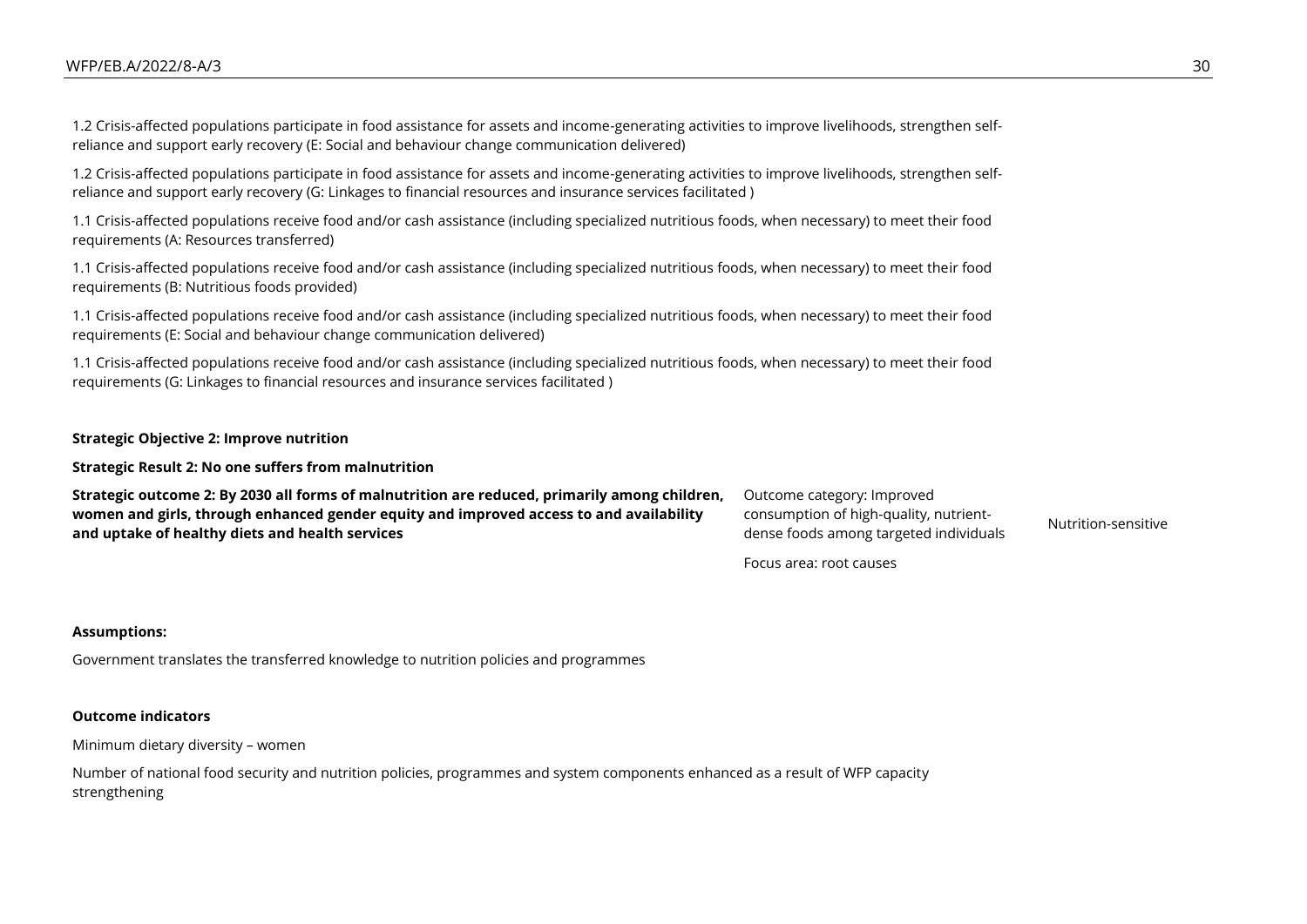1.2 Crisis-affected populations participate in food assistance for assets and income-generating activities to improve livelihoods, strengthen selfreliance and support early recovery (E: Social and behaviour change communication delivered)

1.2 Crisis-affected populations participate in food assistance for assets and income-generating activities to improve livelihoods, strengthen selfreliance and support early recovery (G: Linkages to financial resources and insurance services facilitated )

1.1 Crisis-affected populations receive food and/or cash assistance (including specialized nutritious foods, when necessary) to meet their food requirements (A: Resources transferred)

1.1 Crisis-affected populations receive food and/or cash assistance (including specialized nutritious foods, when necessary) to meet their food requirements (B: Nutritious foods provided)

1.1 Crisis-affected populations receive food and/or cash assistance (including specialized nutritious foods, when necessary) to meet their food requirements (E: Social and behaviour change communication delivered)

1.1 Crisis-affected populations receive food and/or cash assistance (including specialized nutritious foods, when necessary) to meet their food requirements (G: Linkages to financial resources and insurance services facilitated )

#### **Strategic Objective 2: Improve nutrition**

**Strategic Result 2: No one suffers from malnutrition**

| Strategic outcome 2: By 2030 all forms of malnutrition are reduced, primarily among children, Outcome category: Improved |                     |
|--------------------------------------------------------------------------------------------------------------------------|---------------------|
| consumption of high-quality, nutrient-                                                                                   | Nutrition-sensitive |
| dense foods among targeted individuals                                                                                   |                     |
|                                                                                                                          |                     |

#### Focus area: root causes

#### **Assumptions:**

Government translates the transferred knowledge to nutrition policies and programmes

#### **Outcome indicators**

Minimum dietary diversity – women

Number of national food security and nutrition policies, programmes and system components enhanced as a result of WFP capacity strengthening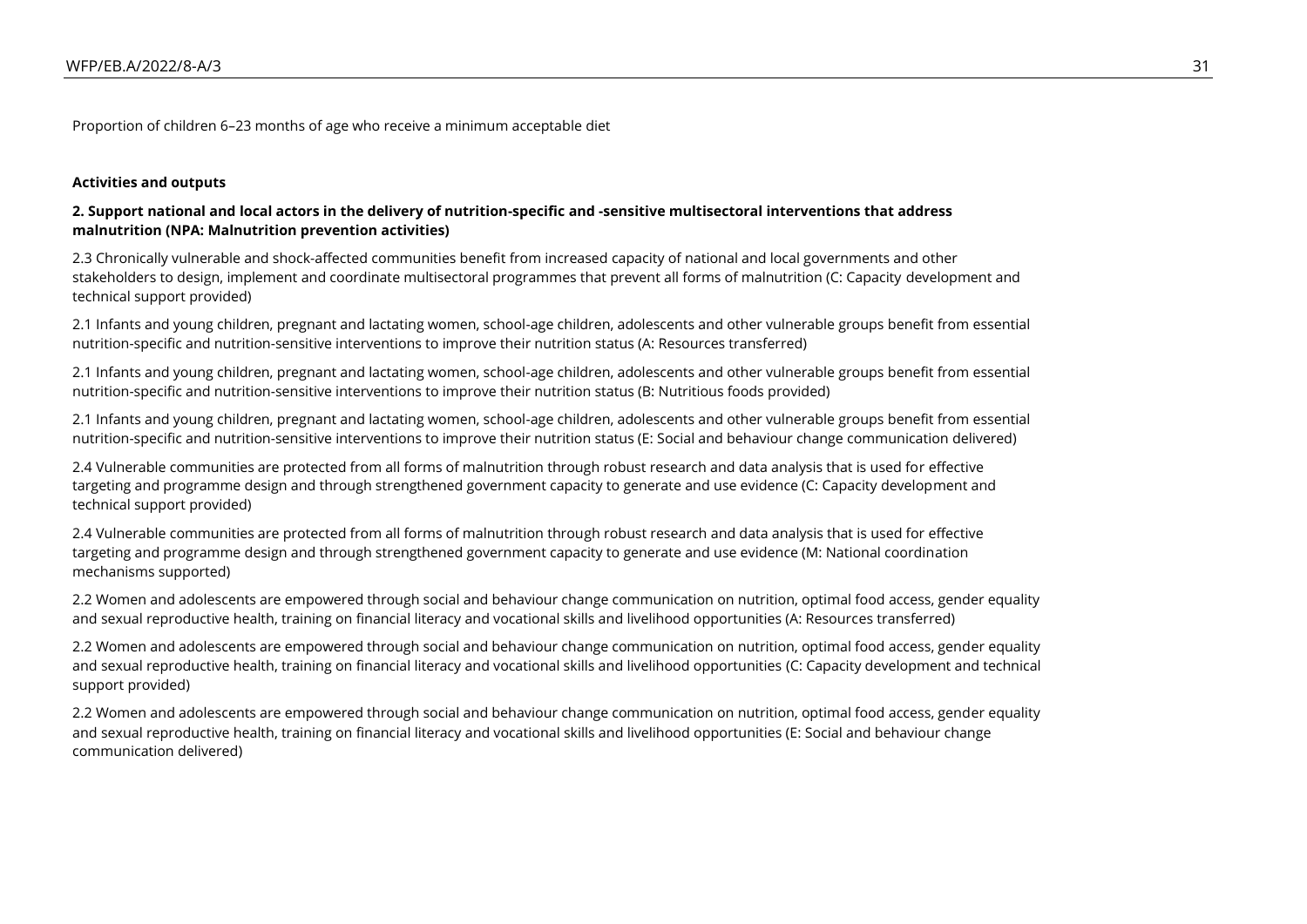Proportion of children 6–23 months of age who receive a minimum acceptable diet

#### **Activities and outputs**

#### **2. Support national and local actors in the delivery of nutrition-specific and -sensitive multisectoral interventions that address malnutrition (NPA: Malnutrition prevention activities)**

2.3 Chronically vulnerable and shock-affected communities benefit from increased capacity of national and local governments and other stakeholders to design, implement and coordinate multisectoral programmes that prevent all forms of malnutrition (C: Capacity development and technical support provided)

2.1 Infants and young children, pregnant and lactating women, school-age children, adolescents and other vulnerable groups benefit from essential nutrition-specific and nutrition-sensitive interventions to improve their nutrition status (A: Resources transferred)

2.1 Infants and young children, pregnant and lactating women, school-age children, adolescents and other vulnerable groups benefit from essential nutrition-specific and nutrition-sensitive interventions to improve their nutrition status (B: Nutritious foods provided)

2.1 Infants and young children, pregnant and lactating women, school-age children, adolescents and other vulnerable groups benefit from essential nutrition-specific and nutrition-sensitive interventions to improve their nutrition status (E: Social and behaviour change communication delivered)

2.4 Vulnerable communities are protected from all forms of malnutrition through robust research and data analysis that is used for effective targeting and programme design and through strengthened government capacity to generate and use evidence (C: Capacity development and technical support provided)

2.4 Vulnerable communities are protected from all forms of malnutrition through robust research and data analysis that is used for effective targeting and programme design and through strengthened government capacity to generate and use evidence (M: National coordination mechanisms supported)

2.2 Women and adolescents are empowered through social and behaviour change communication on nutrition, optimal food access, gender equality and sexual reproductive health, training on financial literacy and vocational skills and livelihood opportunities (A: Resources transferred)

2.2 Women and adolescents are empowered through social and behaviour change communication on nutrition, optimal food access, gender equality and sexual reproductive health, training on financial literacy and vocational skills and livelihood opportunities (C: Capacity development and technical support provided)

2.2 Women and adolescents are empowered through social and behaviour change communication on nutrition, optimal food access, gender equality and sexual reproductive health, training on financial literacy and vocational skills and livelihood opportunities (E: Social and behaviour change communication delivered)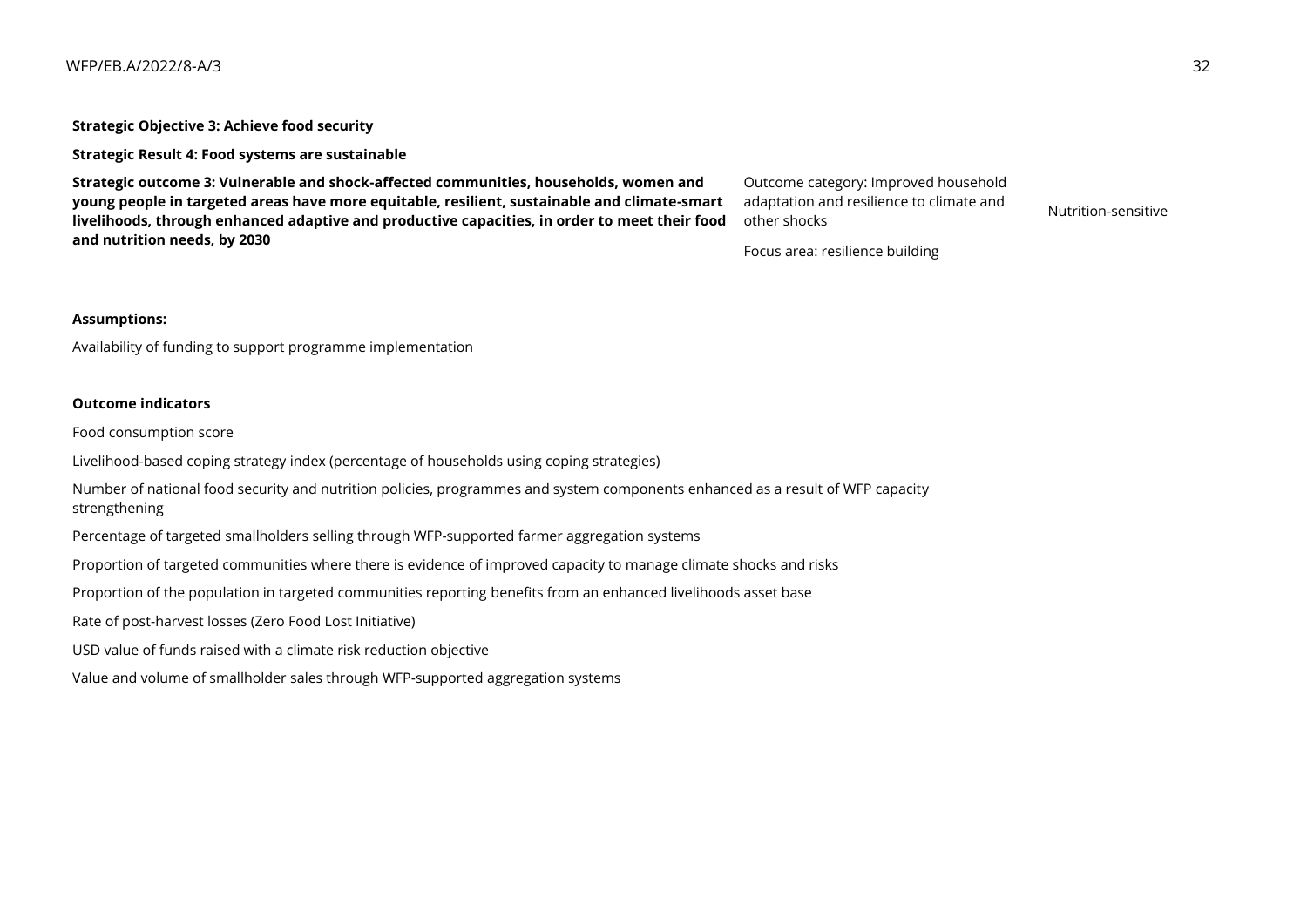**Strategic Objective 3: Achieve food security**

**Strategic Result 4: Food systems are sustainable**

**Strategic outcome 3: Vulnerable and shock-affected communities, households, women and young people in targeted areas have more equitable, resilient, sustainable and climate-smart livelihoods, through enhanced adaptive and productive capacities, in order to meet their food and nutrition needs, by 2030**

Outcome category: Improved household adaptation and resilience to climate and adaptation and resilience to climate and<br>other shocks

Focus area: resilience building

#### **Assumptions:**

Availability of funding to support programme implementation

#### **Outcome indicators**

Food consumption score

Livelihood-based coping strategy index (percentage of households using coping strategies)

Number of national food security and nutrition policies, programmes and system components enhanced as a result of WFP capacity strengthening

Percentage of targeted smallholders selling through WFP-supported farmer aggregation systems

Proportion of targeted communities where there is evidence of improved capacity to manage climate shocks and risks

Proportion of the population in targeted communities reporting benefits from an enhanced livelihoods asset base

Rate of post-harvest losses (Zero Food Lost Initiative)

USD value of funds raised with a climate risk reduction objective

Value and volume of smallholder sales through WFP-supported aggregation systems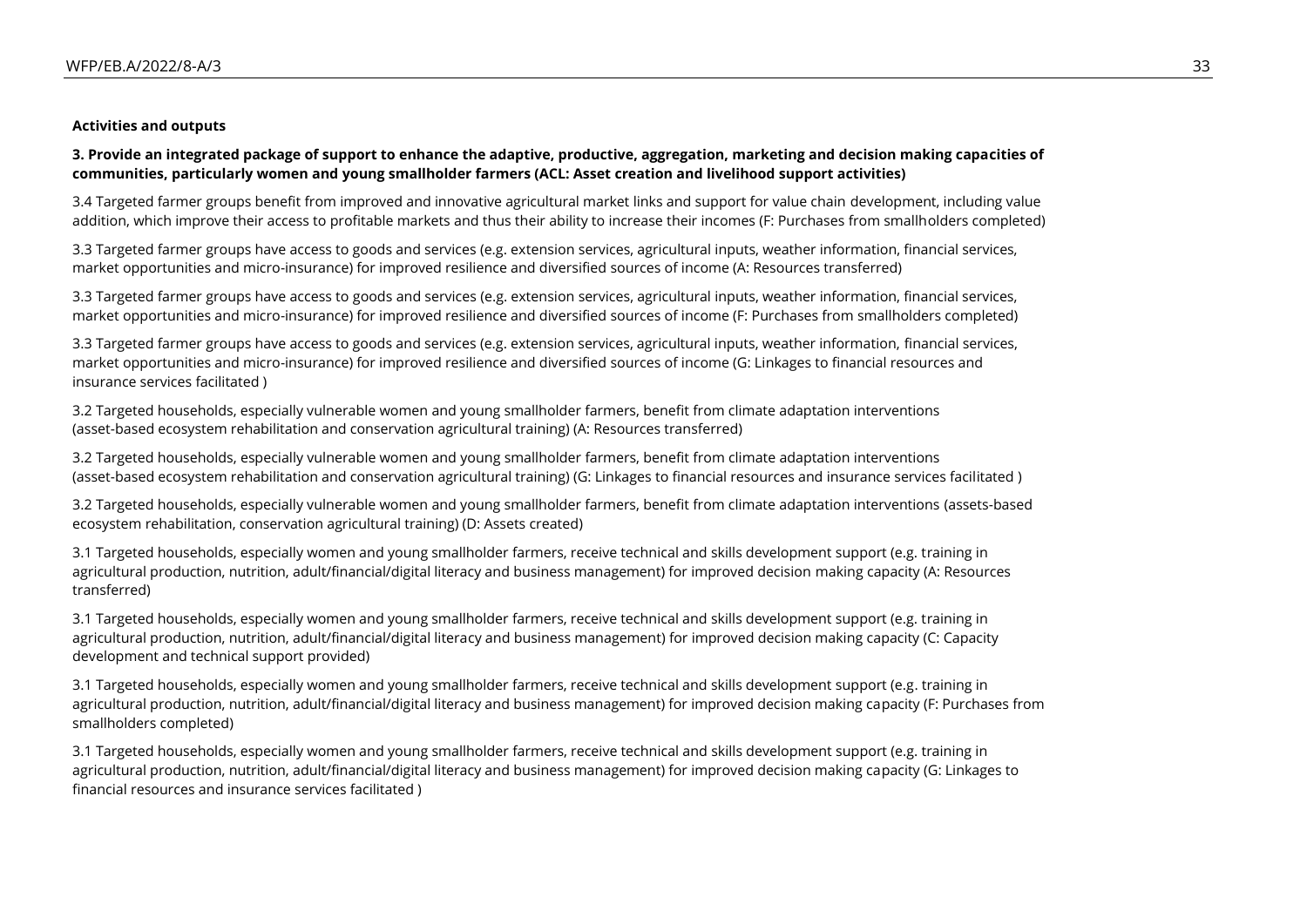#### **Activities and outputs**

**3. Provide an integrated package of support to enhance the adaptive, productive, aggregation, marketing and decision making capacities of communities, particularly women and young smallholder farmers (ACL: Asset creation and livelihood support activities)**

3.4 Targeted farmer groups benefit from improved and innovative agricultural market links and support for value chain development, including value addition, which improve their access to profitable markets and thus their ability to increase their incomes (F: Purchases from smallholders completed)

3.3 Targeted farmer groups have access to goods and services (e.g. extension services, agricultural inputs, weather information, financial services, market opportunities and micro-insurance) for improved resilience and diversified sources of income (A: Resources transferred)

3.3 Targeted farmer groups have access to goods and services (e.g. extension services, agricultural inputs, weather information, financial services, market opportunities and micro-insurance) for improved resilience and diversified sources of income (F: Purchases from smallholders completed)

3.3 Targeted farmer groups have access to goods and services (e.g. extension services, agricultural inputs, weather information, financial services, market opportunities and micro-insurance) for improved resilience and diversified sources of income (G: Linkages to financial resources and insurance services facilitated )

3.2 Targeted households, especially vulnerable women and young smallholder farmers, benefit from climate adaptation interventions (asset-based ecosystem rehabilitation and conservation agricultural training) (A: Resources transferred)

3.2 Targeted households, especially vulnerable women and young smallholder farmers, benefit from climate adaptation interventions (asset-based ecosystem rehabilitation and conservation agricultural training) (G: Linkages to financial resources and insurance services facilitated )

3.2 Targeted households, especially vulnerable women and young smallholder farmers, benefit from climate adaptation interventions (assets-based ecosystem rehabilitation, conservation agricultural training) (D: Assets created)

3.1 Targeted households, especially women and young smallholder farmers, receive technical and skills development support (e.g. training in agricultural production, nutrition, adult/financial/digital literacy and business management) for improved decision making capacity (A: Resources transferred)

3.1 Targeted households, especially women and young smallholder farmers, receive technical and skills development support (e.g. training in agricultural production, nutrition, adult/financial/digital literacy and business management) for improved decision making capacity (C: Capacity development and technical support provided)

3.1 Targeted households, especially women and young smallholder farmers, receive technical and skills development support (e.g. training in agricultural production, nutrition, adult/financial/digital literacy and business management) for improved decision making capacity (F: Purchases from smallholders completed)

3.1 Targeted households, especially women and young smallholder farmers, receive technical and skills development support (e.g. training in agricultural production, nutrition, adult/financial/digital literacy and business management) for improved decision making capacity (G: Linkages to financial resources and insurance services facilitated )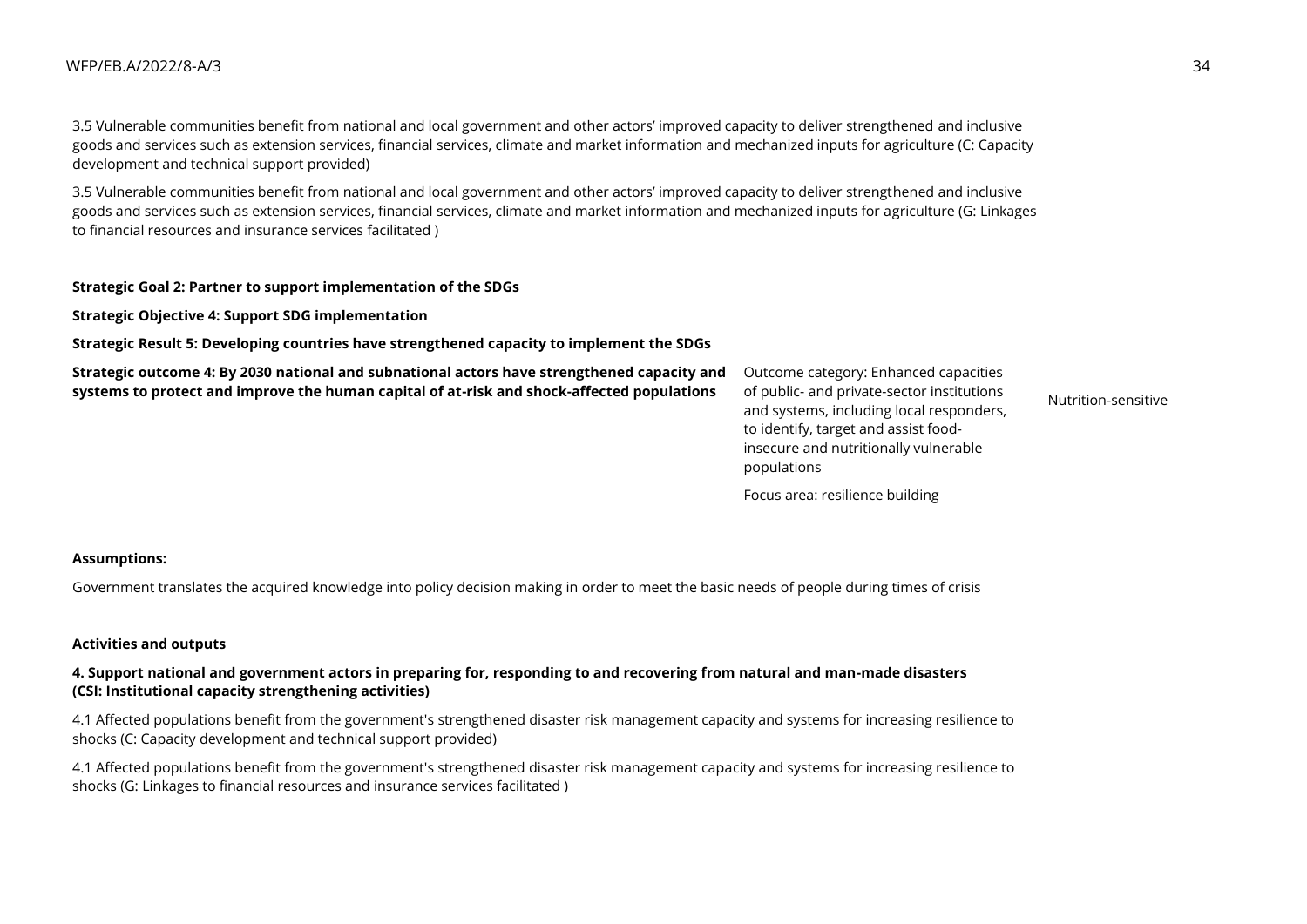3.5 Vulnerable communities benefit from national and local government and other actors' improved capacity to deliver strengthened and inclusive goods and services such as extension services, financial services, climate and market information and mechanized inputs for agriculture (C: Capacity development and technical support provided)

3.5 Vulnerable communities benefit from national and local government and other actors' improved capacity to deliver strengthened and inclusive goods and services such as extension services, financial services, climate and market information and mechanized inputs for agriculture (G: Linkages to financial resources and insurance services facilitated )

#### **Strategic Goal 2: Partner to support implementation of the SDGs**

**Strategic Objective 4: Support SDG implementation**

**Strategic Result 5: Developing countries have strengthened capacity to implement the SDGs**

**Strategic outcome 4: By 2030 national and subnational actors have strengthened capacity and systems to protect and improve the human capital of at-risk and shock-affected populations**

Outcome category: Enhanced capacities of public- and private-sector institutions and systems, including local responders, to identify, target and assist foodinsecure and nutritionally vulnerable populations Focus area: resilience building

Nutrition-sensitive

#### **Assumptions:**

Government translates the acquired knowledge into policy decision making in order to meet the basic needs of people during times of crisis

#### **Activities and outputs**

#### **4. Support national and government actors in preparing for, responding to and recovering from natural and man-made disasters (CSI: Institutional capacity strengthening activities)**

4.1 Affected populations benefit from the government's strengthened disaster risk management capacity and systems for increasing resilience to shocks (C: Capacity development and technical support provided)

4.1 Affected populations benefit from the government's strengthened disaster risk management capacity and systems for increasing resilience to shocks (G: Linkages to financial resources and insurance services facilitated )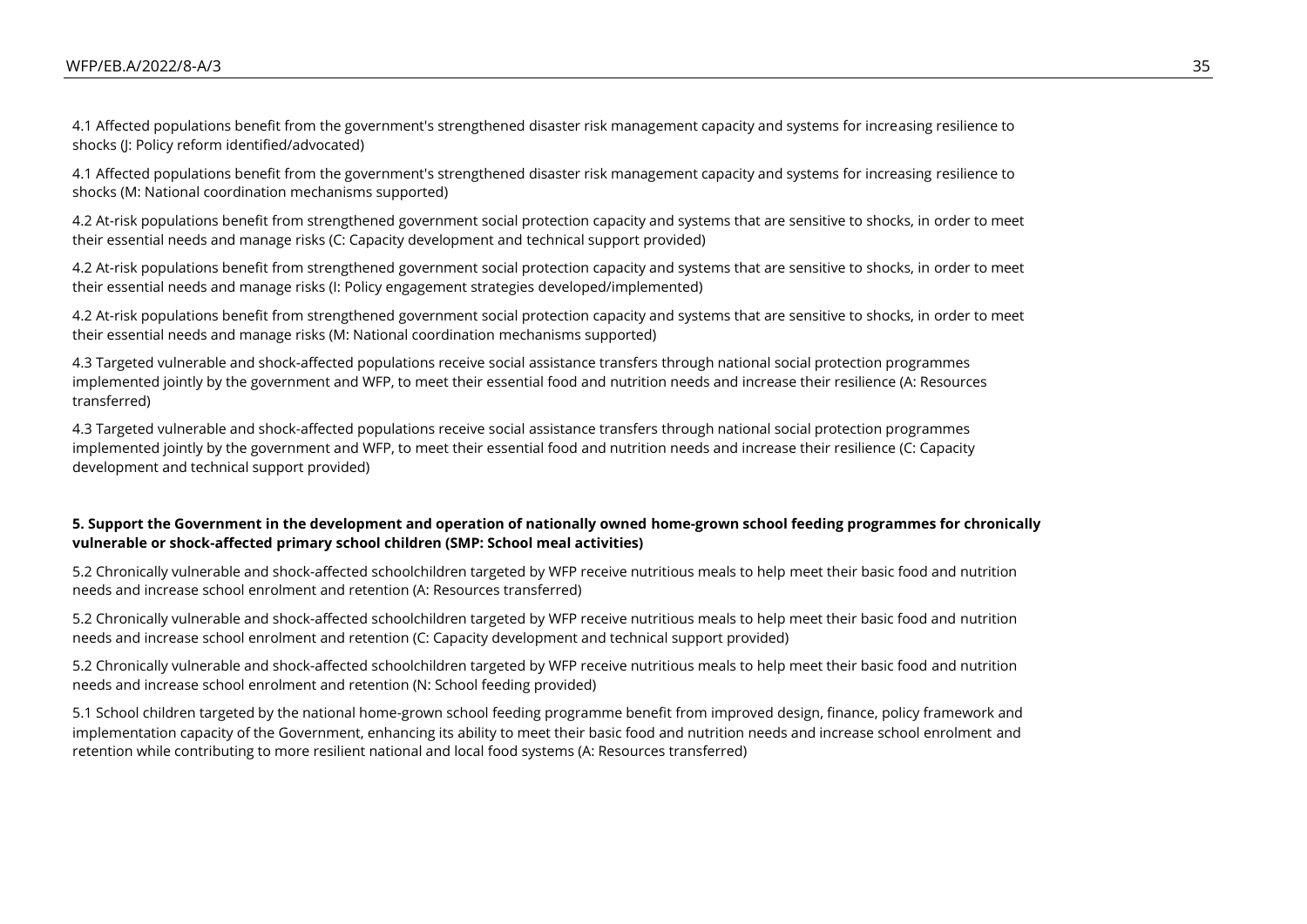4.1 Affected populations benefit from the government's strengthened disaster risk management capacity and systems for increasing resilience to shocks (J: Policy reform identified/advocated)

4.1 Affected populations benefit from the government's strengthened disaster risk management capacity and systems for increasing resilience to shocks (M: National coordination mechanisms supported)

4.2 At-risk populations benefit from strengthened government social protection capacity and systems that are sensitive to shocks, in order to meet their essential needs and manage risks (C: Capacity development and technical support provided)

4.2 At-risk populations benefit from strengthened government social protection capacity and systems that are sensitive to shocks, in order to meet their essential needs and manage risks (I: Policy engagement strategies developed/implemented)

4.2 At-risk populations benefit from strengthened government social protection capacity and systems that are sensitive to shocks, in order to meet their essential needs and manage risks (M: National coordination mechanisms supported)

4.3 Targeted vulnerable and shock-affected populations receive social assistance transfers through national social protection programmes implemented jointly by the government and WFP, to meet their essential food and nutrition needs and increase their resilience (A: Resources transferred)

4.3 Targeted vulnerable and shock-affected populations receive social assistance transfers through national social protection programmes implemented jointly by the government and WFP, to meet their essential food and nutrition needs and increase their resilience (C: Capacity development and technical support provided)

#### **5. Support the Government in the development and operation of nationally owned home-grown school feeding programmes for chronically vulnerable or shock-affected primary school children (SMP: School meal activities)**

5.2 Chronically vulnerable and shock-affected schoolchildren targeted by WFP receive nutritious meals to help meet their basic food and nutrition needs and increase school enrolment and retention (A: Resources transferred)

5.2 Chronically vulnerable and shock-affected schoolchildren targeted by WFP receive nutritious meals to help meet their basic food and nutrition needs and increase school enrolment and retention (C: Capacity development and technical support provided)

5.2 Chronically vulnerable and shock-affected schoolchildren targeted by WFP receive nutritious meals to help meet their basic food and nutrition needs and increase school enrolment and retention (N: School feeding provided)

5.1 School children targeted by the national home-grown school feeding programme benefit from improved design, finance, policy framework and implementation capacity of the Government, enhancing its ability to meet their basic food and nutrition needs and increase school enrolment and retention while contributing to more resilient national and local food systems (A: Resources transferred)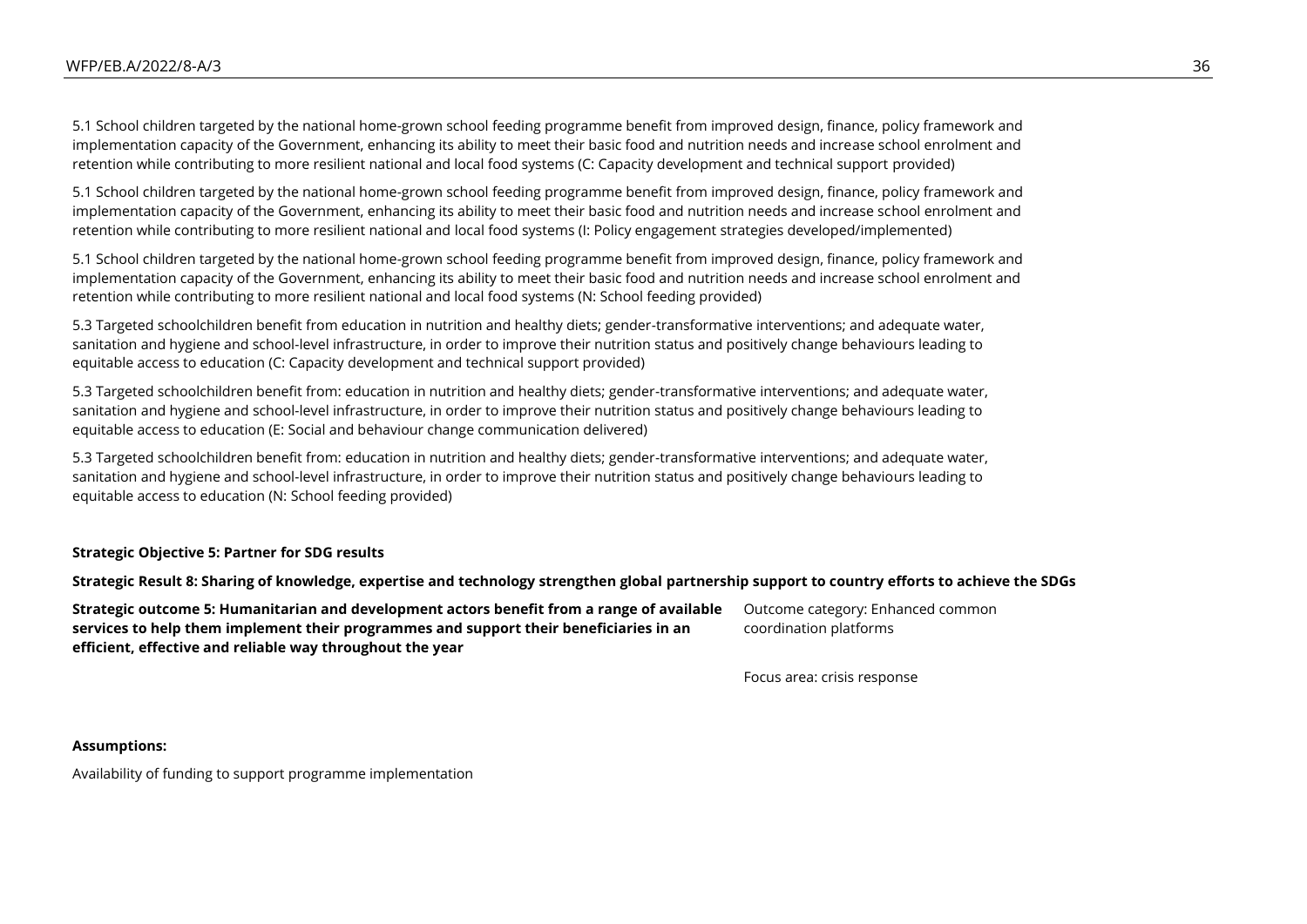5.1 School children targeted by the national home-grown school feeding programme benefit from improved design, finance, policy framework and implementation capacity of the Government, enhancing its ability to meet their basic food and nutrition needs and increase school enrolment and retention while contributing to more resilient national and local food systems (C: Capacity development and technical support provided)

5.1 School children targeted by the national home-grown school feeding programme benefit from improved design, finance, policy framework and implementation capacity of the Government, enhancing its ability to meet their basic food and nutrition needs and increase school enrolment and retention while contributing to more resilient national and local food systems (I: Policy engagement strategies developed/implemented)

5.1 School children targeted by the national home-grown school feeding programme benefit from improved design, finance, policy framework and implementation capacity of the Government, enhancing its ability to meet their basic food and nutrition needs and increase school enrolment and retention while contributing to more resilient national and local food systems (N: School feeding provided)

5.3 Targeted schoolchildren benefit from education in nutrition and healthy diets; gender-transformative interventions; and adequate water, sanitation and hygiene and school-level infrastructure, in order to improve their nutrition status and positively change behaviours leading to equitable access to education (C: Capacity development and technical support provided)

5.3 Targeted schoolchildren benefit from: education in nutrition and healthy diets; gender-transformative interventions; and adequate water, sanitation and hygiene and school-level infrastructure, in order to improve their nutrition status and positively change behaviours leading to equitable access to education (E: Social and behaviour change communication delivered)

5.3 Targeted schoolchildren benefit from: education in nutrition and healthy diets; gender-transformative interventions; and adequate water, sanitation and hygiene and school-level infrastructure, in order to improve their nutrition status and positively change behaviours leading to equitable access to education (N: School feeding provided)

#### **Strategic Objective 5: Partner for SDG results**

**Strategic Result 8: Sharing of knowledge, expertise and technology strengthen global partnership support to country efforts to achieve the SDGs**

**Strategic outcome 5: Humanitarian and development actors benefit from a range of available services to help them implement their programmes and support their beneficiaries in an efficient, effective and reliable way throughout the year**

Outcome category: Enhanced common coordination platforms

Focus area: crisis response

#### **Assumptions:**

Availability of funding to support programme implementation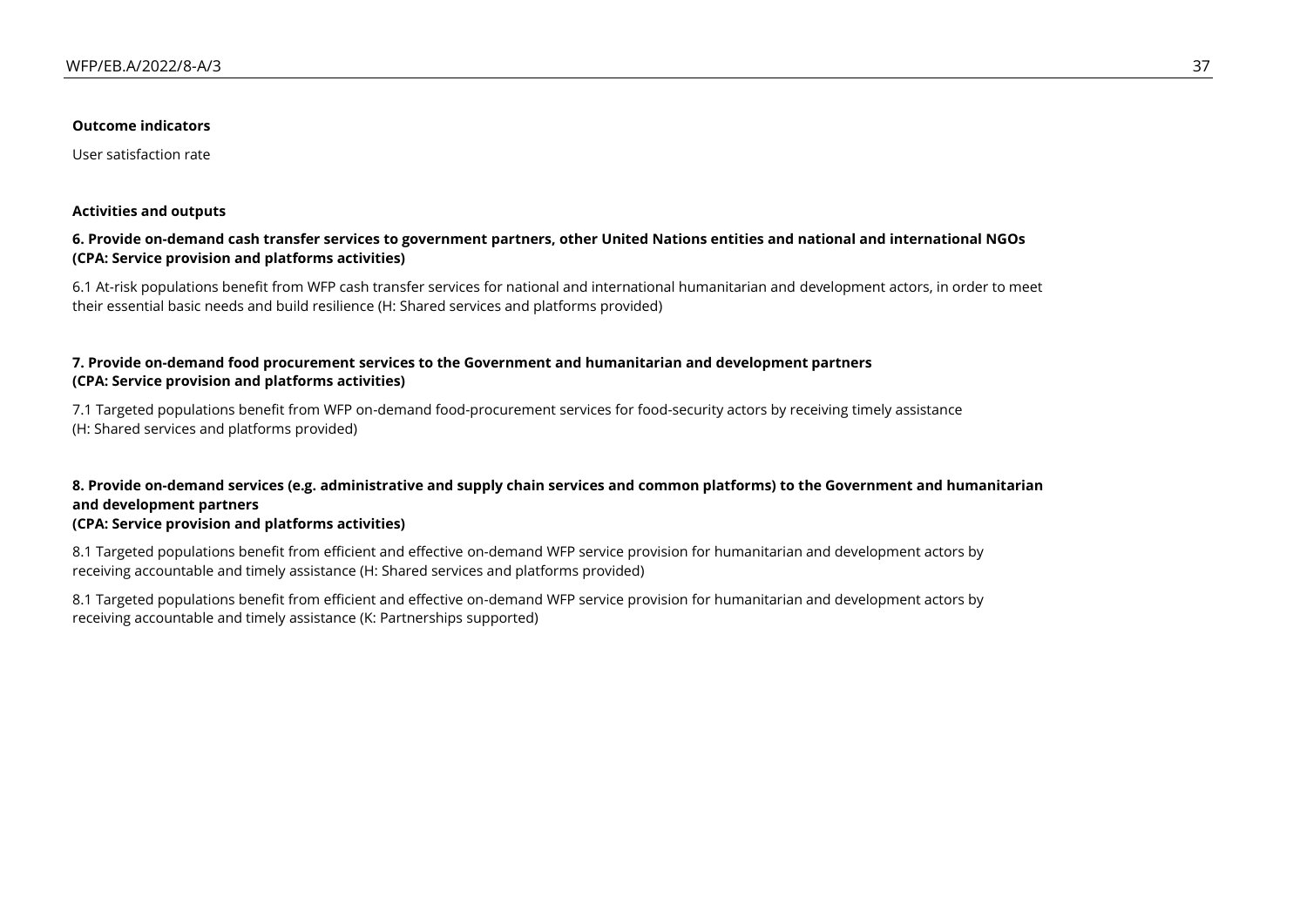#### **Outcome indicators**

User satisfaction rate

#### **Activities and outputs**

#### **6. Provide on-demand cash transfer services to government partners, other United Nations entities and national and international NGOs (CPA: Service provision and platforms activities)**

6.1 At-risk populations benefit from WFP cash transfer services for national and international humanitarian and development actors, in order to meet their essential basic needs and build resilience (H: Shared services and platforms provided)

#### **7. Provide on-demand food procurement services to the Government and humanitarian and development partners (CPA: Service provision and platforms activities)**

7.1 Targeted populations benefit from WFP on-demand food-procurement services for food-security actors by receiving timely assistance (H: Shared services and platforms provided)

# **8. Provide on-demand services (e.g. administrative and supply chain services and common platforms) to the Government and humanitarian and development partners**

#### **(CPA: Service provision and platforms activities)**

8.1 Targeted populations benefit from efficient and effective on-demand WFP service provision for humanitarian and development actors by receiving accountable and timely assistance (H: Shared services and platforms provided)

8.1 Targeted populations benefit from efficient and effective on-demand WFP service provision for humanitarian and development actors by receiving accountable and timely assistance (K: Partnerships supported)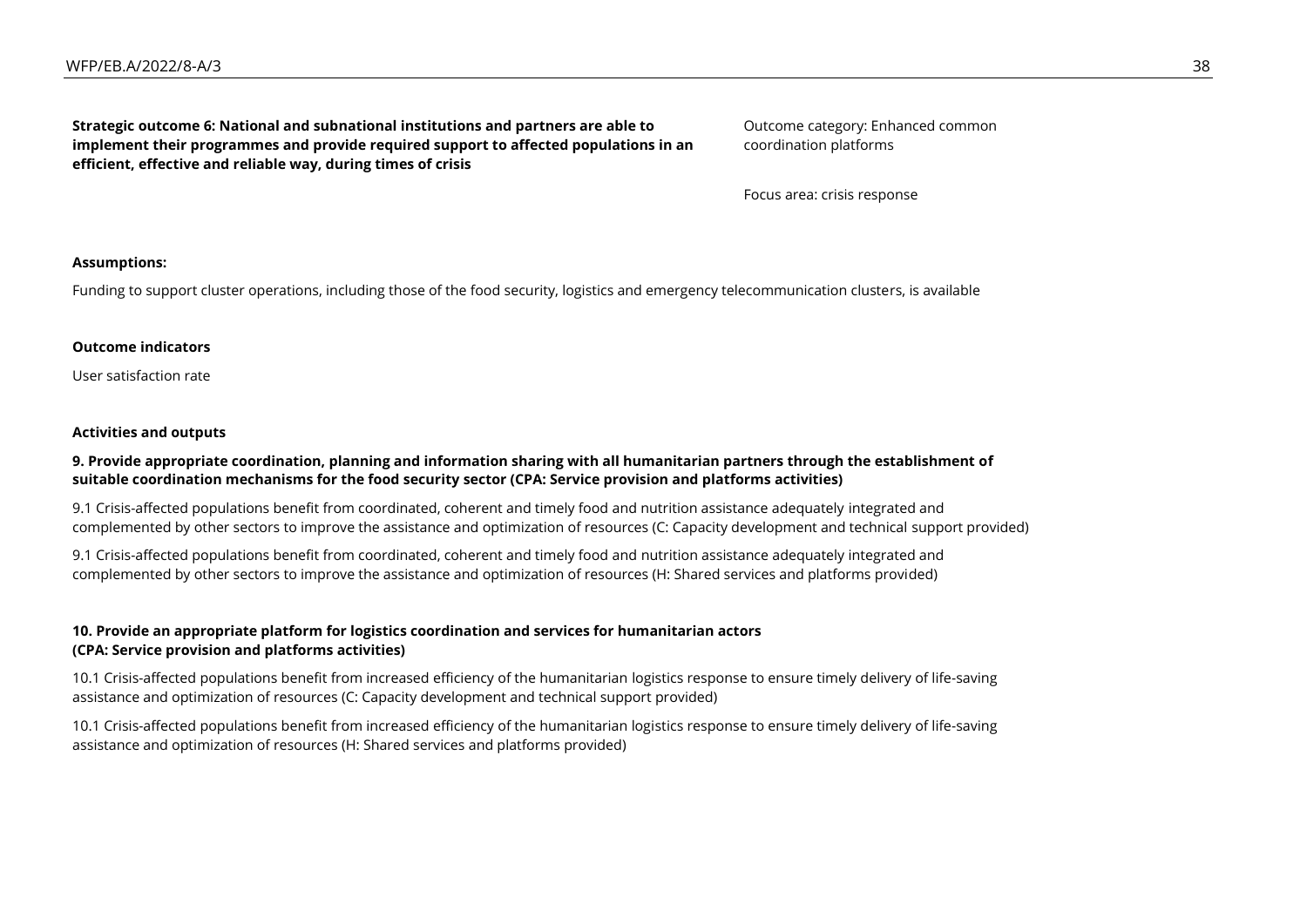**Strategic outcome 6: National and subnational institutions and partners are able to implement their programmes and provide required support to affected populations in an efficient, effective and reliable way, during times of crisis**

Outcome category: Enhanced common coordination platforms

Focus area: crisis response

#### **Assumptions:**

Funding to support cluster operations, including those of the food security, logistics and emergency telecommunication clusters, is available

#### **Outcome indicators**

User satisfaction rate

#### **Activities and outputs**

#### **9. Provide appropriate coordination, planning and information sharing with all humanitarian partners through the establishment of suitable coordination mechanisms for the food security sector (CPA: Service provision and platforms activities)**

9.1 Crisis-affected populations benefit from coordinated, coherent and timely food and nutrition assistance adequately integrated and complemented by other sectors to improve the assistance and optimization of resources (C: Capacity development and technical support provided)

9.1 Crisis-affected populations benefit from coordinated, coherent and timely food and nutrition assistance adequately integrated and complemented by other sectors to improve the assistance and optimization of resources (H: Shared services and platforms provided)

#### **10. Provide an appropriate platform for logistics coordination and services for humanitarian actors (CPA: Service provision and platforms activities)**

10.1 Crisis-affected populations benefit from increased efficiency of the humanitarian logistics response to ensure timely delivery of life-saving assistance and optimization of resources (C: Capacity development and technical support provided)

10.1 Crisis-affected populations benefit from increased efficiency of the humanitarian logistics response to ensure timely delivery of life-saving assistance and optimization of resources (H: Shared services and platforms provided)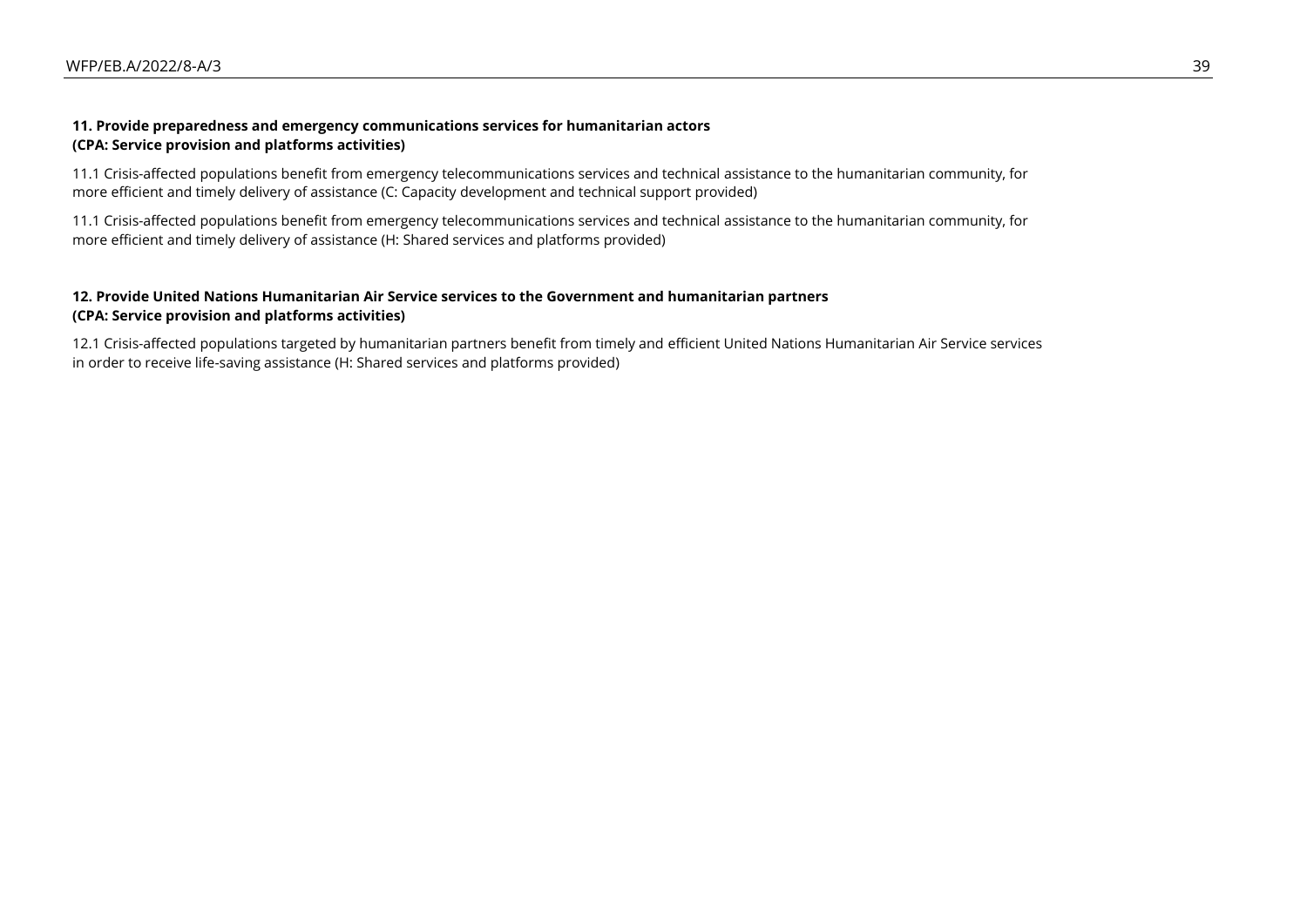#### **11. Provide preparedness and emergency communications services for humanitarian actors (CPA: Service provision and platforms activities)**

11.1 Crisis-affected populations benefit from emergency telecommunications services and technical assistance to the humanitarian community, for more efficient and timely delivery of assistance (C: Capacity development and technical support provided)

11.1 Crisis-affected populations benefit from emergency telecommunications services and technical assistance to the humanitarian community, for more efficient and timely delivery of assistance (H: Shared services and platforms provided)

#### **12. Provide United Nations Humanitarian Air Service services to the Government and humanitarian partners (CPA: Service provision and platforms activities)**

12.1 Crisis-affected populations targeted by humanitarian partners benefit from timely and efficient United Nations Humanitarian Air Service services in order to receive life-saving assistance (H: Shared services and platforms provided)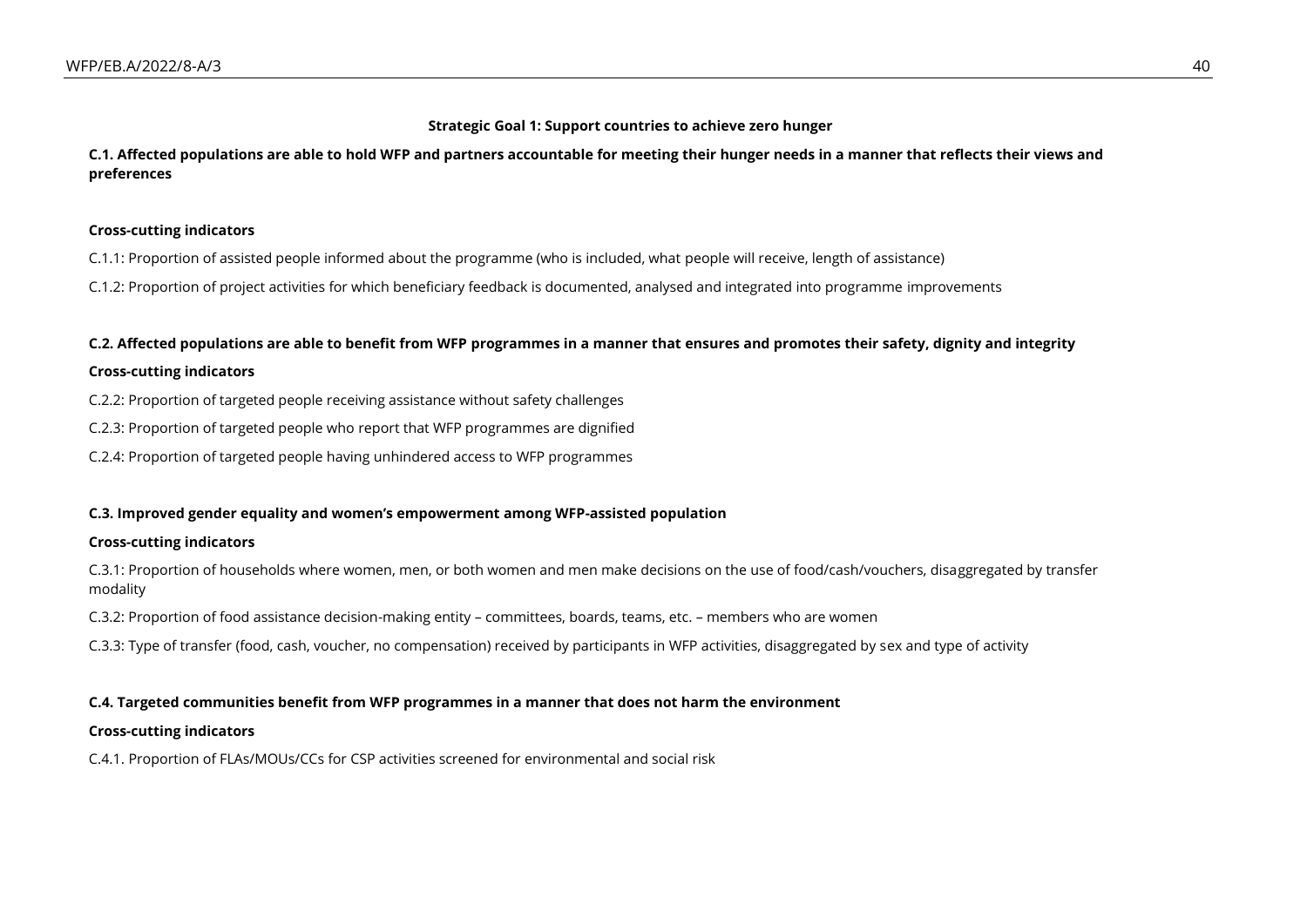#### **Strategic Goal 1: Support countries to achieve zero hunger**

#### **C.1. Affected populations are able to hold WFP and partners accountable for meeting their hunger needs in a manner that reflects their views and preferences**

#### **Cross-cutting indicators**

- C.1.1: Proportion of assisted people informed about the programme (who is included, what people will receive, length of assistance)
- C.1.2: Proportion of project activities for which beneficiary feedback is documented, analysed and integrated into programme improvements

#### **C.2. Affected populations are able to benefit from WFP programmes in a manner that ensures and promotes their safety, dignity and integrity**

#### **Cross-cutting indicators**

- C.2.2: Proportion of targeted people receiving assistance without safety challenges
- C.2.3: Proportion of targeted people who report that WFP programmes are dignified
- C.2.4: Proportion of targeted people having unhindered access to WFP programmes

#### **C.3. Improved gender equality and women's empowerment among WFP-assisted population**

#### **Cross-cutting indicators**

C.3.1: Proportion of households where women, men, or both women and men make decisions on the use of food/cash/vouchers, disaggregated by transfer modality

C.3.2: Proportion of food assistance decision-making entity – committees, boards, teams, etc. – members who are women

C.3.3: Type of transfer (food, cash, voucher, no compensation) received by participants in WFP activities, disaggregated by sex and type of activity

#### **C.4. Targeted communities benefit from WFP programmes in a manner that does not harm the environment**

#### **Cross-cutting indicators**

C.4.1. Proportion of FLAs/MOUs/CCs for CSP activities screened for environmental and social risk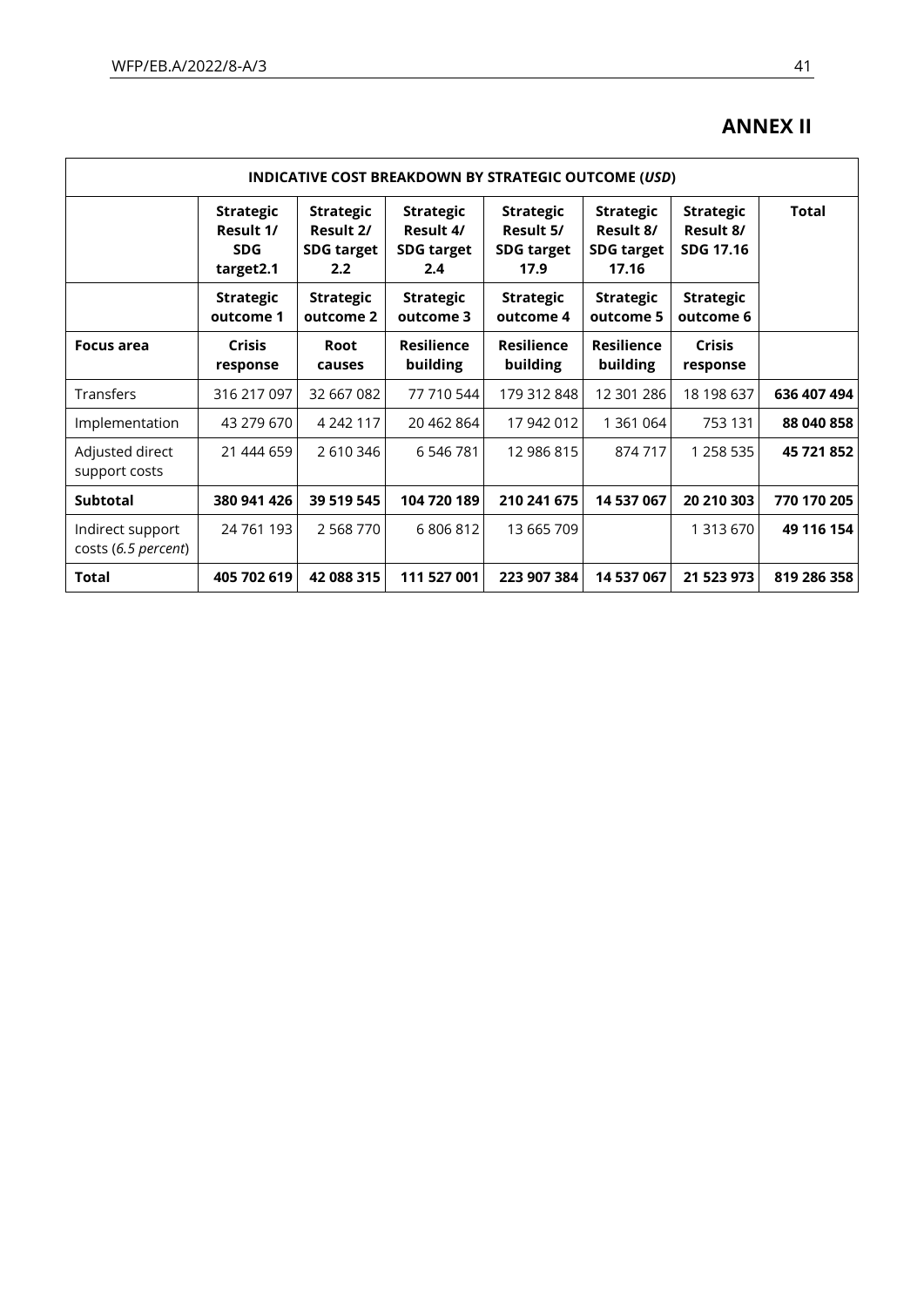# **ANNEX II**

| <b>INDICATIVE COST BREAKDOWN BY STRATEGIC OUTCOME (USD)</b> |                                                          |                                                           |                                                           |                                                            |                                                             |                                                   |              |  |
|-------------------------------------------------------------|----------------------------------------------------------|-----------------------------------------------------------|-----------------------------------------------------------|------------------------------------------------------------|-------------------------------------------------------------|---------------------------------------------------|--------------|--|
|                                                             | <b>Strategic</b><br>Result 1/<br><b>SDG</b><br>target2.1 | <b>Strategic</b><br>Result 2/<br><b>SDG target</b><br>2.2 | <b>Strategic</b><br>Result 4/<br><b>SDG target</b><br>2.4 | <b>Strategic</b><br>Result 5/<br><b>SDG target</b><br>17.9 | <b>Strategic</b><br>Result 8/<br><b>SDG target</b><br>17.16 | <b>Strategic</b><br>Result 8/<br><b>SDG 17.16</b> | <b>Total</b> |  |
|                                                             | <b>Strategic</b><br>outcome 1                            | <b>Strategic</b><br>outcome 2                             | <b>Strategic</b><br>outcome 3                             | <b>Strategic</b><br>outcome 4                              | <b>Strategic</b><br>outcome 5                               | <b>Strategic</b><br>outcome 6                     |              |  |
| <b>Focus area</b>                                           | <b>Crisis</b><br>response                                | <b>Root</b><br>causes                                     | <b>Resilience</b><br>building                             | <b>Resilience</b><br>building                              | <b>Resilience</b><br>building                               | <b>Crisis</b><br>response                         |              |  |
| Transfers                                                   | 316 217 097                                              | 32 667 082                                                | 77 710 544                                                | 179 312 848                                                | 12 301 286                                                  | 18 198 637                                        | 636 407 494  |  |
| Implementation                                              | 43 279 670                                               | 4 242 117                                                 | 20 462 864                                                | 17 942 012                                                 | 1 361 064                                                   | 753 131                                           | 88 040 858   |  |
| Adjusted direct<br>support costs                            | 21 444 659                                               | 2 610 346                                                 | 6 546 781                                                 | 12 986 815                                                 | 874 717                                                     | 1 258 535                                         | 45 721 852   |  |
| <b>Subtotal</b>                                             | 380 941 426                                              | 39 519 545                                                | 104 720 189                                               | 210 241 675                                                | 14 537 067                                                  | 20 210 303                                        | 770 170 205  |  |
| Indirect support<br>costs (6.5 percent)                     | 24 761 193                                               | 2 5 6 8 7 7 0                                             | 6806812                                                   | 13 665 709                                                 |                                                             | 1 313 670                                         | 49 116 154   |  |
| Total                                                       | 405 702 619                                              | 42 088 315                                                | 111 527 001                                               | 223 907 384                                                | 14 537 067                                                  | 21 523 973                                        | 819 286 358  |  |